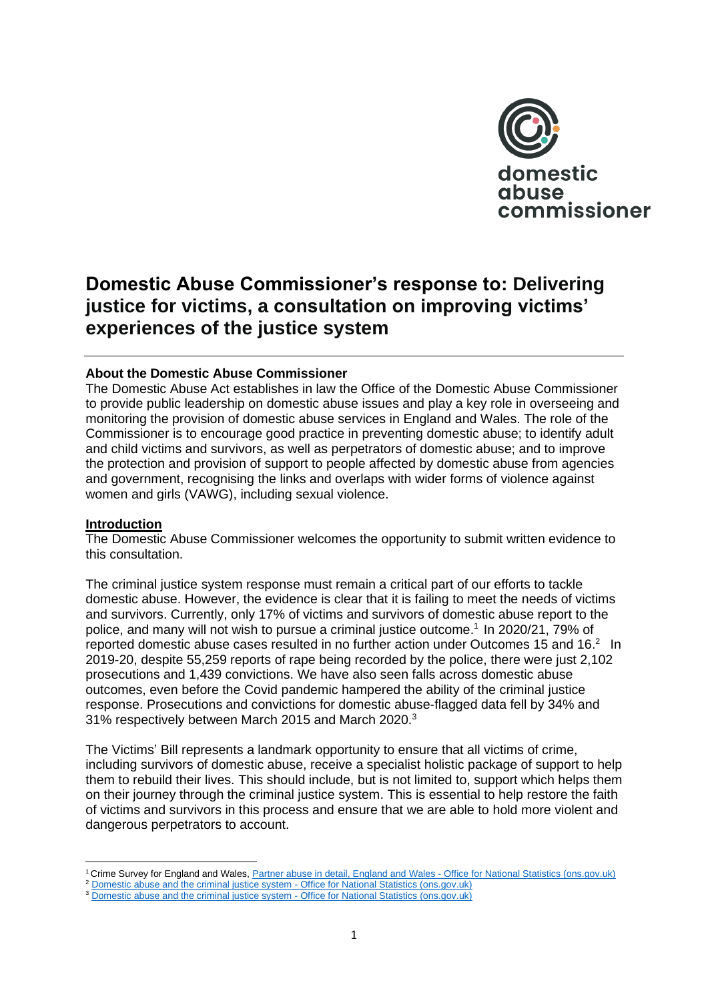

# **Domestic Abuse Commissioner's response to: Delivering justice for victims, a consultation on improving victims' experiences of the justice system**

## **About the Domestic Abuse Commissioner**

The Domestic Abuse Act establishes in law the Office of the Domestic Abuse Commissioner to provide public leadership on domestic abuse issues and play a key role in overseeing and monitoring the provision of domestic abuse services in England and Wales. The role of the Commissioner is to encourage good practice in preventing domestic abuse; to identify adult and child victims and survivors, as well as perpetrators of domestic abuse; and to improve the protection and provision of support to people affected by domestic abuse from agencies and government, recognising the links and overlaps with wider forms of violence against women and girls (VAWG), including sexual violence.

#### **Introduction**

The Domestic Abuse Commissioner welcomes the opportunity to submit written evidence to this consultation.

The criminal justice system response must remain a critical part of our efforts to tackle domestic abuse. However, the evidence is clear that it is failing to meet the needs of victims and survivors. Currently, only 17% of victims and survivors of domestic abuse report to the police, and many will not wish to pursue a criminal justice outcome. 1 In 2020/21, 79% of reported domestic abuse cases resulted in no further action under Outcomes 15 and 16.<sup>2</sup> In 2019-20, despite 55,259 reports of rape being recorded by the police, there were just 2,102 prosecutions and 1,439 convictions. We have also seen falls across domestic abuse outcomes, even before the Covid pandemic hampered the ability of the criminal justice response. Prosecutions and convictions for domestic abuse-flagged data fell by 34% and 31% respectively between March 2015 and March 2020.<sup>3</sup>

The Victims' Bill represents a landmark opportunity to ensure that all victims of crime, including survivors of domestic abuse, receive a specialist holistic package of support to help them to rebuild their lives. This should include, but is not limited to, support which helps them on their journey through the criminal justice system. This is essential to help restore the faith of victims and survivors in this process and ensure that we are able to hold more violent and dangerous perpetrators to account.

<sup>1</sup> Crime Survey for England and Wales, Partner abuse in detail, England and Wales - [Office for National Statistics \(ons.gov.uk\)](https://www.ons.gov.uk/peoplepopulationandcommunity/crimeandjustice/articles/partnerabuseindetailenglandandwales/yearendingmarch2018#reporting-partner-abuse-to-the-police)

<sup>&</sup>lt;sup>2</sup> [Domestic abuse and the criminal justice system -](https://www.ons.gov.uk/peoplepopulationandcommunity/crimeandjustice/datasets/domesticabuseandthecriminaljusticesystemappendixtables) Office for National Statistics (ons.gov.uk) <sup>3</sup> [Domestic abuse and the criminal justice system -](https://www.ons.gov.uk/peoplepopulationandcommunity/crimeandjustice/datasets/domesticabuseandthecriminaljusticesystemappendixtables) Office for National Statistics (ons.gov.uk)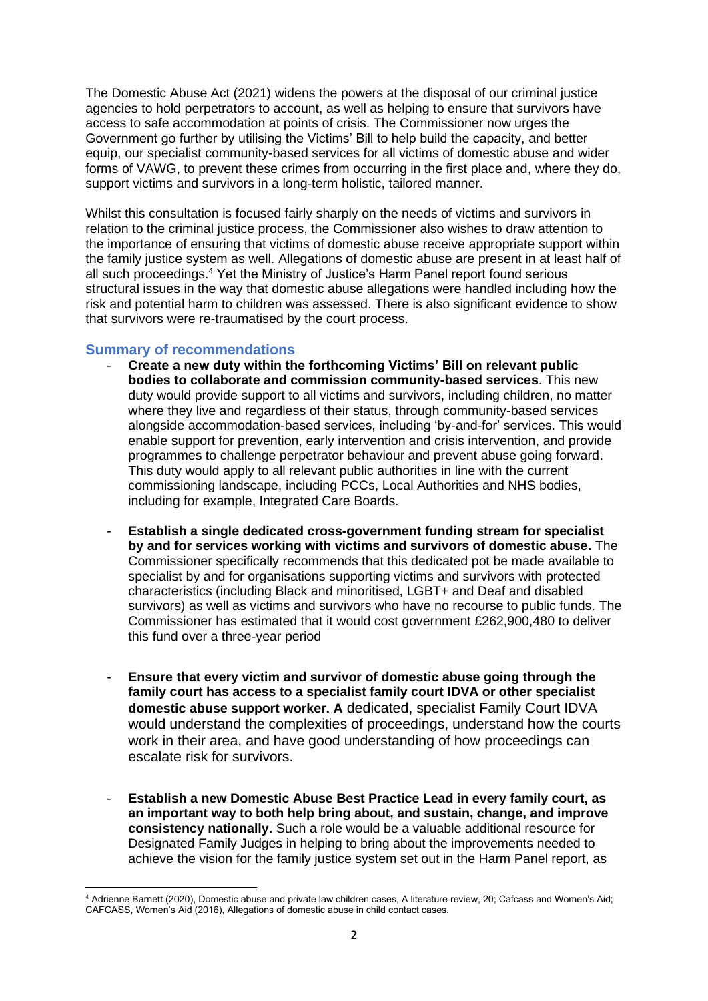The Domestic Abuse Act (2021) widens the powers at the disposal of our criminal justice agencies to hold perpetrators to account, as well as helping to ensure that survivors have access to safe accommodation at points of crisis. The Commissioner now urges the Government go further by utilising the Victims' Bill to help build the capacity, and better equip, our specialist community-based services for all victims of domestic abuse and wider forms of VAWG, to prevent these crimes from occurring in the first place and, where they do, support victims and survivors in a long-term holistic, tailored manner.

Whilst this consultation is focused fairly sharply on the needs of victims and survivors in relation to the criminal justice process, the Commissioner also wishes to draw attention to the importance of ensuring that victims of domestic abuse receive appropriate support within the family justice system as well. Allegations of domestic abuse are present in at least half of all such proceedings.<sup>4</sup> Yet the Ministry of Justice's Harm Panel report found serious structural issues in the way that domestic abuse allegations were handled including how the risk and potential harm to children was assessed. There is also significant evidence to show that survivors were re-traumatised by the court process.

## **Summary of recommendations**

- **Create a new duty within the forthcoming Victims' Bill on relevant public bodies to collaborate and commission community-based services**. This new duty would provide support to all victims and survivors, including children, no matter where they live and regardless of their status, through community-based services alongside accommodation-based services, including 'by-and-for' services. This would enable support for prevention, early intervention and crisis intervention, and provide programmes to challenge perpetrator behaviour and prevent abuse going forward. This duty would apply to all relevant public authorities in line with the current commissioning landscape, including PCCs, Local Authorities and NHS bodies, including for example, Integrated Care Boards.
- **Establish a single dedicated cross-government funding stream for specialist by and for services working with victims and survivors of domestic abuse.** The Commissioner specifically recommends that this dedicated pot be made available to specialist by and for organisations supporting victims and survivors with protected characteristics (including Black and minoritised, LGBT+ and Deaf and disabled survivors) as well as victims and survivors who have no recourse to public funds. The Commissioner has estimated that it would cost government £262,900,480 to deliver this fund over a three-year period
- **Ensure that every victim and survivor of domestic abuse going through the family court has access to a specialist family court IDVA or other specialist domestic abuse support worker. A** dedicated, specialist Family Court IDVA would understand the complexities of proceedings, understand how the courts work in their area, and have good understanding of how proceedings can escalate risk for survivors.
- **Establish a new Domestic Abuse Best Practice Lead in every family court, as an important way to both help bring about, and sustain, change, and improve consistency nationally.** Such a role would be a valuable additional resource for Designated Family Judges in helping to bring about the improvements needed to achieve the vision for the family justice system set out in the Harm Panel report, as

<sup>4</sup> Adrienne Barnett (2020), Domestic abuse and private law children cases, A literature review, 20; Cafcass and Women's Aid; CAFCASS, Women's Aid (2016), Allegations of domestic abuse in child contact cases.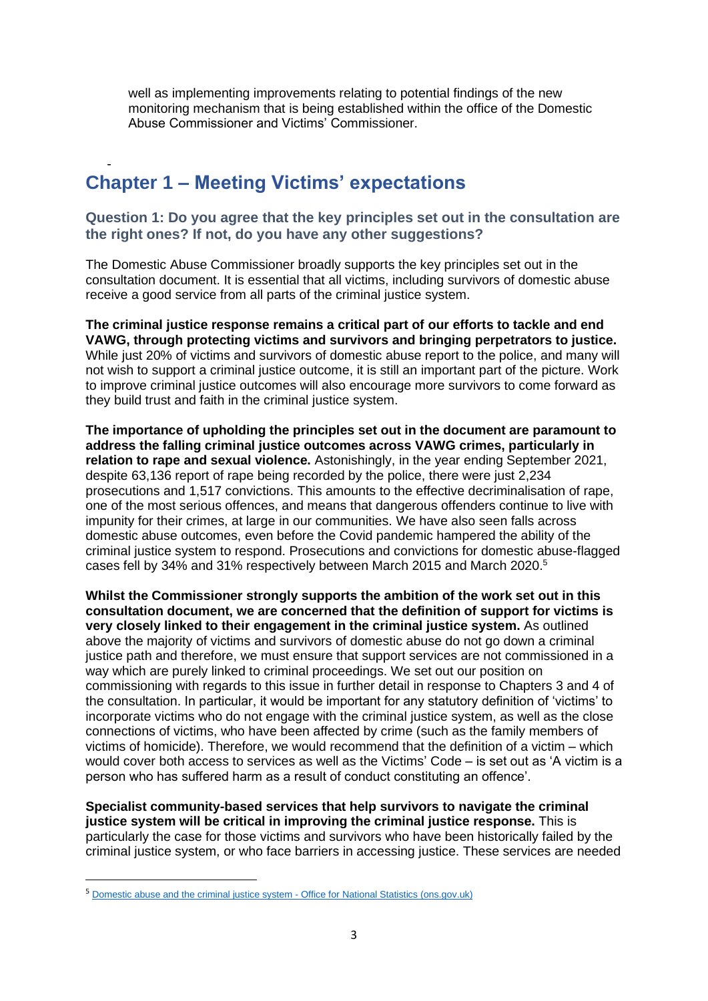well as implementing improvements relating to potential findings of the new monitoring mechanism that is being established within the office of the Domestic Abuse Commissioner and Victims' Commissioner.

# - **Chapter 1 – Meeting Victims' expectations**

# **Question 1: Do you agree that the key principles set out in the consultation are the right ones? If not, do you have any other suggestions?**

The Domestic Abuse Commissioner broadly supports the key principles set out in the consultation document. It is essential that all victims, including survivors of domestic abuse receive a good service from all parts of the criminal justice system.

**The criminal justice response remains a critical part of our efforts to tackle and end VAWG, through protecting victims and survivors and bringing perpetrators to justice.** While just 20% of victims and survivors of domestic abuse report to the police, and many will not wish to support a criminal justice outcome, it is still an important part of the picture. Work to improve criminal justice outcomes will also encourage more survivors to come forward as they build trust and faith in the criminal justice system.

**The importance of upholding the principles set out in the document are paramount to address the falling criminal justice outcomes across VAWG crimes, particularly in relation to rape and sexual violence.** Astonishingly, in the year ending September 2021, despite 63,136 report of rape being recorded by the police, there were just 2,234 prosecutions and 1,517 convictions. This amounts to the effective decriminalisation of rape, one of the most serious offences, and means that dangerous offenders continue to live with impunity for their crimes, at large in our communities. We have also seen falls across domestic abuse outcomes, even before the Covid pandemic hampered the ability of the criminal justice system to respond. Prosecutions and convictions for domestic abuse-flagged cases fell by 34% and 31% respectively between March 2015 and March 2020.<sup>5</sup>

**Whilst the Commissioner strongly supports the ambition of the work set out in this consultation document, we are concerned that the definition of support for victims is very closely linked to their engagement in the criminal justice system.** As outlined above the majority of victims and survivors of domestic abuse do not go down a criminal justice path and therefore, we must ensure that support services are not commissioned in a way which are purely linked to criminal proceedings. We set out our position on commissioning with regards to this issue in further detail in response to Chapters 3 and 4 of the consultation. In particular, it would be important for any statutory definition of 'victims' to incorporate victims who do not engage with the criminal justice system, as well as the close connections of victims, who have been affected by crime (such as the family members of victims of homicide). Therefore, we would recommend that the definition of a victim – which would cover both access to services as well as the Victims' Code – is set out as 'A victim is a person who has suffered harm as a result of conduct constituting an offence'.

**Specialist community-based services that help survivors to navigate the criminal justice system will be critical in improving the criminal justice response.** This is particularly the case for those victims and survivors who have been historically failed by the criminal justice system, or who face barriers in accessing justice. These services are needed

<sup>&</sup>lt;sup>5</sup> [Domestic abuse and the criminal justice system -](https://www.ons.gov.uk/peoplepopulationandcommunity/crimeandjustice/datasets/domesticabuseandthecriminaljusticesystemappendixtables) Office for National Statistics (ons.gov.uk)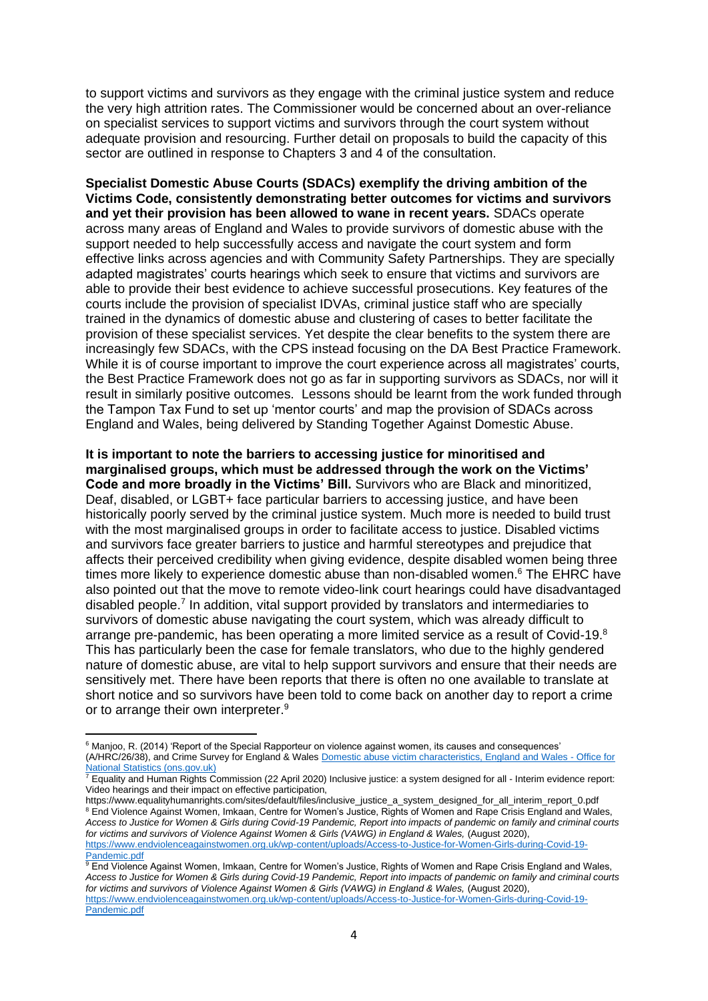to support victims and survivors as they engage with the criminal justice system and reduce the very high attrition rates. The Commissioner would be concerned about an over-reliance on specialist services to support victims and survivors through the court system without adequate provision and resourcing. Further detail on proposals to build the capacity of this sector are outlined in response to Chapters 3 and 4 of the consultation.

**Specialist Domestic Abuse Courts (SDACs) exemplify the driving ambition of the Victims Code, consistently demonstrating better outcomes for victims and survivors and yet their provision has been allowed to wane in recent years.** SDACs operate across many areas of England and Wales to provide survivors of domestic abuse with the support needed to help successfully access and navigate the court system and form effective links across agencies and with Community Safety Partnerships. They are specially adapted magistrates' courts hearings which seek to ensure that victims and survivors are able to provide their best evidence to achieve successful prosecutions. Key features of the courts include the provision of specialist IDVAs, criminal justice staff who are specially trained in the dynamics of domestic abuse and clustering of cases to better facilitate the provision of these specialist services. Yet despite the clear benefits to the system there are increasingly few SDACs, with the CPS instead focusing on the DA Best Practice Framework. While it is of course important to improve the court experience across all magistrates' courts, the Best Practice Framework does not go as far in supporting survivors as SDACs, nor will it result in similarly positive outcomes. Lessons should be learnt from the work funded through the Tampon Tax Fund to set up 'mentor courts' and map the provision of SDACs across England and Wales, being delivered by Standing Together Against Domestic Abuse.

**It is important to note the barriers to accessing justice for minoritised and marginalised groups, which must be addressed through the work on the Victims' Code and more broadly in the Victims' Bill.** Survivors who are Black and minoritized, Deaf, disabled, or LGBT+ face particular barriers to accessing justice, and have been historically poorly served by the criminal justice system. Much more is needed to build trust with the most marginalised groups in order to facilitate access to justice. Disabled victims and survivors face greater barriers to justice and harmful stereotypes and prejudice that affects their perceived credibility when giving evidence, despite disabled women being three times more likely to experience domestic abuse than non-disabled women. <sup>6</sup> The EHRC have also pointed out that the move to remote video-link court hearings could have disadvantaged disabled people.<sup>7</sup> In addition, vital support provided by translators and intermediaries to survivors of domestic abuse navigating the court system, which was already difficult to arrange pre-pandemic, has been operating a more limited service as a result of Covid-19.<sup>8</sup> This has particularly been the case for female translators, who due to the highly gendered nature of domestic abuse, are vital to help support survivors and ensure that their needs are sensitively met. There have been reports that there is often no one available to translate at short notice and so survivors have been told to come back on another day to report a crime or to arrange their own interpreter.<sup>9</sup>

<sup>6</sup> Manjoo, R. (2014) 'Report of the Special Rapporteur on violence against women, its causes and consequences' (A/HRC/26/38), and Crime Survey for England & Wale[s Domestic abuse victim characteristics, England and Wales -](https://www.ons.gov.uk/peoplepopulationandcommunity/crimeandjustice/articles/domesticabusevictimcharacteristicsenglandandwales/yearendingmarch2020#disability) Office for [National Statistics \(ons.gov.uk\)](https://www.ons.gov.uk/peoplepopulationandcommunity/crimeandjustice/articles/domesticabusevictimcharacteristicsenglandandwales/yearendingmarch2020#disability)

<sup>7</sup> Equality and Human Rights Commission (22 April 2020) Inclusive justice: a system designed for all - Interim evidence report: Video hearings and their impact on effective participation,

https://www.equalityhumanrights.com/sites/default/files/inclusive\_justice\_a\_system\_designed\_for\_all\_interim\_report\_0.pdf <sup>8</sup> End Violence Against Women, Imkaan, Centre for Women's Justice, Rights of Women and Rape Crisis England and Wales, *Access to Justice for Women & Girls during Covid-19 Pandemic, Report into impacts of pandemic on family and criminal courts*  for victims and survivors of Violence Against Women & Girls (VAWG) in England & Wales, (August 2020), [https://www.endviolenceagainstwomen.org.uk/wp-content/uploads/Access-to-Justice-for-Women-Girls-during-Covid-19-](https://www.endviolenceagainstwomen.org.uk/wp-content/uploads/Access-to-Justice-for-Women-Girls-during-Covid-19-Pandemic.pdf) [Pandemic.pdf](https://www.endviolenceagainstwomen.org.uk/wp-content/uploads/Access-to-Justice-for-Women-Girls-during-Covid-19-Pandemic.pdf)

 $^9$  End Violence Against Women, Imkaan, Centre for Women's Justice, Rights of Women and Rape Crisis England and Wales, *Access to Justice for Women & Girls during Covid-19 Pandemic, Report into impacts of pandemic on family and criminal courts*  for victims and survivors of Violence Against Women & Girls (VAWG) in England & Wales, (August 2020), [https://www.endviolenceagainstwomen.org.uk/wp-content/uploads/Access-to-Justice-for-Women-Girls-during-Covid-19-](https://www.endviolenceagainstwomen.org.uk/wp-content/uploads/Access-to-Justice-for-Women-Girls-during-Covid-19-Pandemic.pdf) [Pandemic.pdf](https://www.endviolenceagainstwomen.org.uk/wp-content/uploads/Access-to-Justice-for-Women-Girls-during-Covid-19-Pandemic.pdf)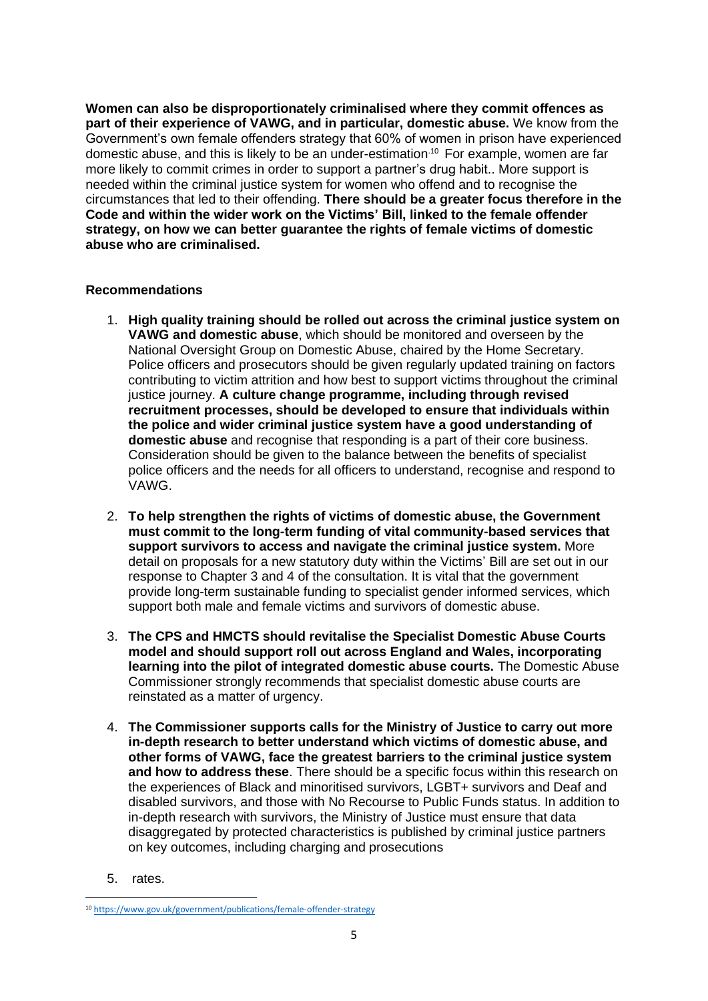**Women can also be disproportionately criminalised where they commit offences as part of their experience of VAWG, and in particular, domestic abuse.** We know from the Government's own female offenders strategy that 60% of women in prison have experienced domestic abuse, and this is likely to be an under-estimation.<sup>10</sup> For example, women are far more likely to commit crimes in order to support a partner's drug habit.. More support is needed within the criminal justice system for women who offend and to recognise the circumstances that led to their offending. **There should be a greater focus therefore in the Code and within the wider work on the Victims' Bill, linked to the female offender strategy, on how we can better guarantee the rights of female victims of domestic abuse who are criminalised.**

# **Recommendations**

- 1. **High quality training should be rolled out across the criminal justice system on VAWG and domestic abuse**, which should be monitored and overseen by the National Oversight Group on Domestic Abuse, chaired by the Home Secretary. Police officers and prosecutors should be given regularly updated training on factors contributing to victim attrition and how best to support victims throughout the criminal justice journey. **A culture change programme, including through revised recruitment processes, should be developed to ensure that individuals within the police and wider criminal justice system have a good understanding of domestic abuse** and recognise that responding is a part of their core business. Consideration should be given to the balance between the benefits of specialist police officers and the needs for all officers to understand, recognise and respond to VAWG.
- 2. **To help strengthen the rights of victims of domestic abuse, the Government must commit to the long-term funding of vital community-based services that support survivors to access and navigate the criminal justice system.** More detail on proposals for a new statutory duty within the Victims' Bill are set out in our response to Chapter 3 and 4 of the consultation. It is vital that the government provide long-term sustainable funding to specialist gender informed services, which support both male and female victims and survivors of domestic abuse.
- 3. **The CPS and HMCTS should revitalise the Specialist Domestic Abuse Courts model and should support roll out across England and Wales, incorporating learning into the pilot of integrated domestic abuse courts.** The Domestic Abuse Commissioner strongly recommends that specialist domestic abuse courts are reinstated as a matter of urgency.
- 4. **The Commissioner supports calls for the Ministry of Justice to carry out more in-depth research to better understand which victims of domestic abuse, and other forms of VAWG, face the greatest barriers to the criminal justice system and how to address these**. There should be a specific focus within this research on the experiences of Black and minoritised survivors, LGBT+ survivors and Deaf and disabled survivors, and those with No Recourse to Public Funds status. In addition to in-depth research with survivors, the Ministry of Justice must ensure that data disaggregated by protected characteristics is published by criminal justice partners on key outcomes, including charging and prosecutions
- 5. rates.

<sup>10</sup> <https://www.gov.uk/government/publications/female-offender-strategy>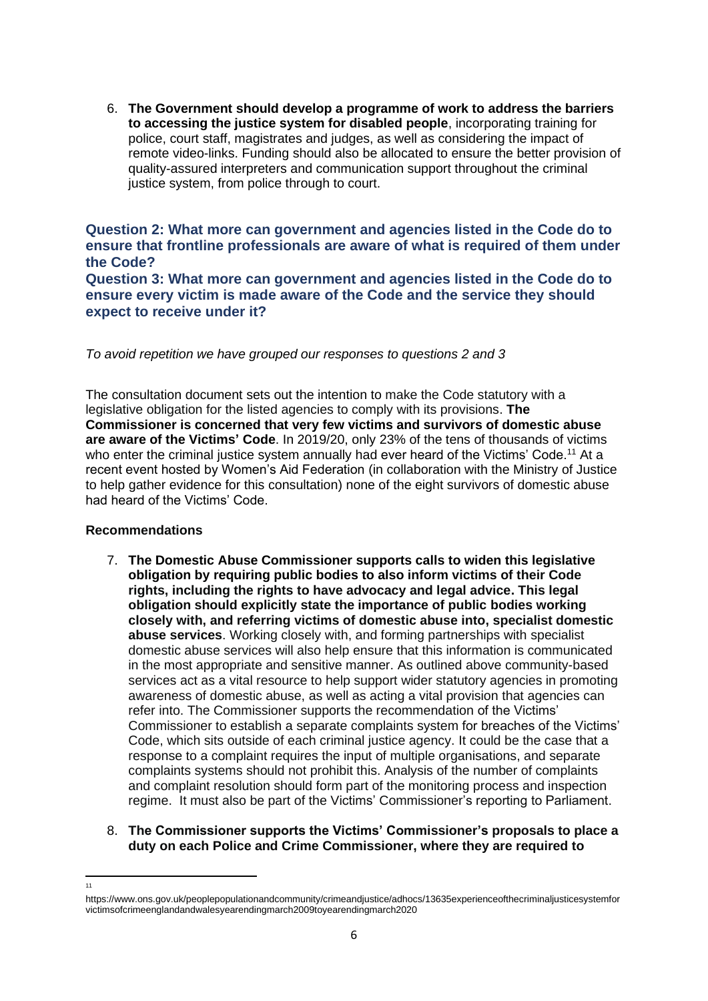6. **The Government should develop a programme of work to address the barriers to accessing the justice system for disabled people**, incorporating training for police, court staff, magistrates and judges, as well as considering the impact of remote video-links. Funding should also be allocated to ensure the better provision of quality-assured interpreters and communication support throughout the criminal justice system, from police through to court.

**Question 2: What more can government and agencies listed in the Code do to ensure that frontline professionals are aware of what is required of them under the Code? Question 3: What more can government and agencies listed in the Code do to ensure every victim is made aware of the Code and the service they should expect to receive under it?**

*To avoid repetition we have grouped our responses to questions 2 and 3* 

The consultation document sets out the intention to make the Code statutory with a legislative obligation for the listed agencies to comply with its provisions. **The Commissioner is concerned that very few victims and survivors of domestic abuse are aware of the Victims' Code**. In 2019/20, only 23% of the tens of thousands of victims who enter the criminal justice system annually had ever heard of the Victims' Code.<sup>11</sup> At a recent event hosted by Women's Aid Federation (in collaboration with the Ministry of Justice to help gather evidence for this consultation) none of the eight survivors of domestic abuse had heard of the Victims' Code.

## **Recommendations**

<sub>11</sub>

7. **The Domestic Abuse Commissioner supports calls to widen this legislative obligation by requiring public bodies to also inform victims of their Code rights, including the rights to have advocacy and legal advice. This legal obligation should explicitly state the importance of public bodies working closely with, and referring victims of domestic abuse into, specialist domestic abuse services**. Working closely with, and forming partnerships with specialist domestic abuse services will also help ensure that this information is communicated in the most appropriate and sensitive manner. As outlined above community-based services act as a vital resource to help support wider statutory agencies in promoting awareness of domestic abuse, as well as acting a vital provision that agencies can refer into. The Commissioner supports the recommendation of the Victims' Commissioner to establish a separate complaints system for breaches of the Victims' Code, which sits outside of each criminal justice agency. It could be the case that a response to a complaint requires the input of multiple organisations, and separate complaints systems should not prohibit this. Analysis of the number of complaints and complaint resolution should form part of the monitoring process and inspection regime. It must also be part of the Victims' Commissioner's reporting to Parliament.

## 8. **The Commissioner supports the Victims' Commissioner's proposals to place a duty on each Police and Crime Commissioner, where they are required to**

https://www.ons.gov.uk/peoplepopulationandcommunity/crimeandjustice/adhocs/13635experienceofthecriminaljusticesystemfor victimsofcrimeenglandandwalesyearendingmarch2009toyearendingmarch2020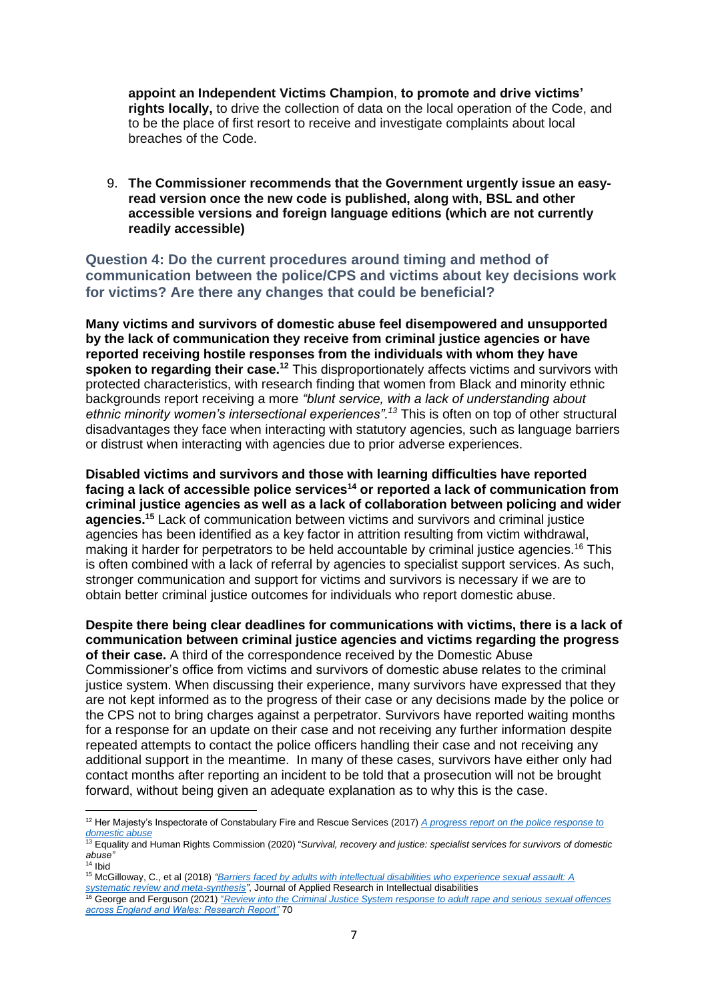**appoint an Independent Victims Champion**, **to promote and drive victims' rights locally,** to drive the collection of data on the local operation of the Code, and to be the place of first resort to receive and investigate complaints about local breaches of the Code.

9. **The Commissioner recommends that the Government urgently issue an easyread version once the new code is published, along with, BSL and other accessible versions and foreign language editions (which are not currently readily accessible)**

**Question 4: Do the current procedures around timing and method of communication between the police/CPS and victims about key decisions work for victims? Are there any changes that could be beneficial?**

**Many victims and survivors of domestic abuse feel disempowered and unsupported by the lack of communication they receive from criminal justice agencies or have reported receiving hostile responses from the individuals with whom they have spoken to regarding their case.<sup>12</sup>** This disproportionately affects victims and survivors with protected characteristics, with research finding that women from Black and minority ethnic backgrounds report receiving a more *"blunt service, with a lack of understanding about ethnic minority women's intersectional experiences".<sup>13</sup>* This is often on top of other structural disadvantages they face when interacting with statutory agencies, such as language barriers or distrust when interacting with agencies due to prior adverse experiences.

**Disabled victims and survivors and those with learning difficulties have reported facing a lack of accessible police services<sup>14</sup> or reported a lack of communication from criminal justice agencies as well as a lack of collaboration between policing and wider agencies.<sup>15</sup>** Lack of communication between victims and survivors and criminal justice agencies has been identified as a key factor in attrition resulting from victim withdrawal, making it harder for perpetrators to be held accountable by criminal justice agencies.<sup>16</sup> This is often combined with a lack of referral by agencies to specialist support services. As such, stronger communication and support for victims and survivors is necessary if we are to obtain better criminal justice outcomes for individuals who report domestic abuse.

**Despite there being clear deadlines for communications with victims, there is a lack of communication between criminal justice agencies and victims regarding the progress of their case.** A third of the correspondence received by the Domestic Abuse

Commissioner's office from victims and survivors of domestic abuse relates to the criminal justice system. When discussing their experience, many survivors have expressed that they are not kept informed as to the progress of their case or any decisions made by the police or the CPS not to bring charges against a perpetrator. Survivors have reported waiting months for a response for an update on their case and not receiving any further information despite repeated attempts to contact the police officers handling their case and not receiving any additional support in the meantime. In many of these cases, survivors have either only had contact months after reporting an incident to be told that a prosecution will not be brought forward, without being given an adequate explanation as to why this is the case.

<sup>12</sup> Her Majesty's Inspectorate of Constabulary Fire and Rescue Services (2017) *[A progress report on the police response to](https://www.justiceinspectorates.gov.uk/hmicfrs/wp-content/uploads/progress-report-on-the-police-response-to-domestic-abuse.pdf)  [domestic abuse](https://www.justiceinspectorates.gov.uk/hmicfrs/wp-content/uploads/progress-report-on-the-police-response-to-domestic-abuse.pdf)*

<sup>13</sup> Equality and Human Rights Commission (2020) "*Survival, recovery and justice: specialist services for survivors of domestic abuse"* 

 $14$  Ibid

<sup>15</sup> McGilloway, C., et al (2018) *["Barriers faced by adults with intellectual disabilities who experience sexual assault: A](https://onlinelibrary.wiley.com/doi/abs/10.1111/jar.12445)  [systematic review and meta](https://onlinelibrary.wiley.com/doi/abs/10.1111/jar.12445)*‐*synthesis"*, Journal of Applied Research in Intellectual disabilities

<sup>16</sup> George and Ferguson (2021) "*[Review into the Criminal Justice System response to adult rape and serious](https://assets.publishing.service.gov.uk/government/uploads/system/uploads/attachment_data/file/994817/rape-review-research-report.pdf) sexual offences [across England and Wales: Research Report"](https://assets.publishing.service.gov.uk/government/uploads/system/uploads/attachment_data/file/994817/rape-review-research-report.pdf)* 70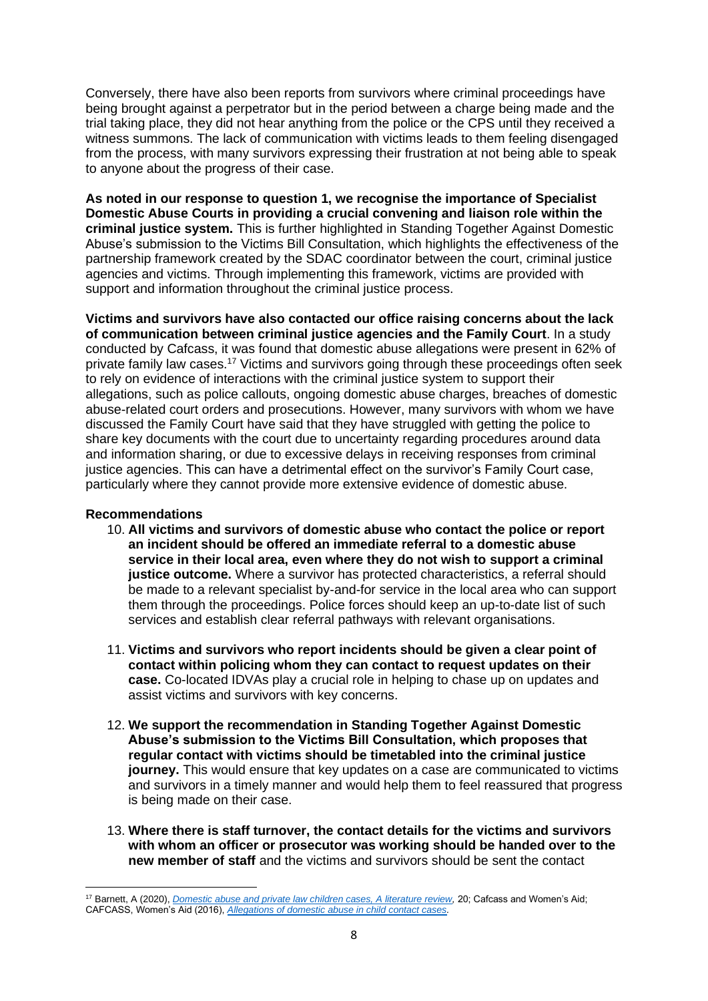Conversely, there have also been reports from survivors where criminal proceedings have being brought against a perpetrator but in the period between a charge being made and the trial taking place, they did not hear anything from the police or the CPS until they received a witness summons. The lack of communication with victims leads to them feeling disengaged from the process, with many survivors expressing their frustration at not being able to speak to anyone about the progress of their case.

**As noted in our response to question 1, we recognise the importance of Specialist Domestic Abuse Courts in providing a crucial convening and liaison role within the criminal justice system.** This is further highlighted in Standing Together Against Domestic Abuse's submission to the Victims Bill Consultation, which highlights the effectiveness of the partnership framework created by the SDAC coordinator between the court, criminal justice agencies and victims. Through implementing this framework, victims are provided with support and information throughout the criminal justice process.

**Victims and survivors have also contacted our office raising concerns about the lack of communication between criminal justice agencies and the Family Court**. In a study conducted by Cafcass, it was found that domestic abuse allegations were present in 62% of private family law cases.<sup>17</sup> Victims and survivors going through these proceedings often seek to rely on evidence of interactions with the criminal justice system to support their allegations, such as police callouts, ongoing domestic abuse charges, breaches of domestic abuse-related court orders and prosecutions. However, many survivors with whom we have discussed the Family Court have said that they have struggled with getting the police to share key documents with the court due to uncertainty regarding procedures around data and information sharing, or due to excessive delays in receiving responses from criminal justice agencies. This can have a detrimental effect on the survivor's Family Court case, particularly where they cannot provide more extensive evidence of domestic abuse.

## **Recommendations**

- 10. **All victims and survivors of domestic abuse who contact the police or report an incident should be offered an immediate referral to a domestic abuse service in their local area, even where they do not wish to support a criminal justice outcome.** Where a survivor has protected characteristics, a referral should be made to a relevant specialist by-and-for service in the local area who can support them through the proceedings. Police forces should keep an up-to-date list of such services and establish clear referral pathways with relevant organisations.
- 11. **Victims and survivors who report incidents should be given a clear point of contact within policing whom they can contact to request updates on their case.** Co-located IDVAs play a crucial role in helping to chase up on updates and assist victims and survivors with key concerns.
- 12. **We support the recommendation in Standing Together Against Domestic Abuse's submission to the Victims Bill Consultation, which proposes that regular contact with victims should be timetabled into the criminal justice journey.** This would ensure that key updates on a case are communicated to victims and survivors in a timely manner and would help them to feel reassured that progress is being made on their case.
- 13. **Where there is staff turnover, the contact details for the victims and survivors with whom an officer or prosecutor was working should be handed over to the new member of staff** and the victims and survivors should be sent the contact

<sup>17</sup> Barnett, A (2020), *[Domestic abuse and private law children cases, A literature review,](https://assets.publishing.service.gov.uk/government/uploads/system/uploads/attachment_data/file/895175/domestic-abuse-private-law-children-cases-literature-review.pdf)* 20; Cafcass and Women's Aid; CAFCASS, Women's Aid (2016), *[Allegations of domestic abuse in child contact cases.](https://gbr01.safelinks.protection.outlook.com/?url=https%3A%2F%2Fwww.cafcass.gov.uk%2Fdownload%2F2124%2F&data=04%7C01%7CEmily.Hindle%40domesticabusecommissioner.independent.gov.uk%7C458fe988bada40f06c7c08d91f906572%7Cf24d93ecb2914192a08af182245945c2%7C0%7C0%7C637575528311254674%7CUnknown%7CTWFpbGZsb3d8eyJWIjoiMC4wLjAwMDAiLCJQIjoiV2luMzIiLCJBTiI6Ik1haWwiLCJXVCI6Mn0%3D%7C1000&sdata=5sYRn91Xq1U6LQWnpx92WFpJo%2F0LgLdzOMGczS3oQwE%3D&reserved=0)*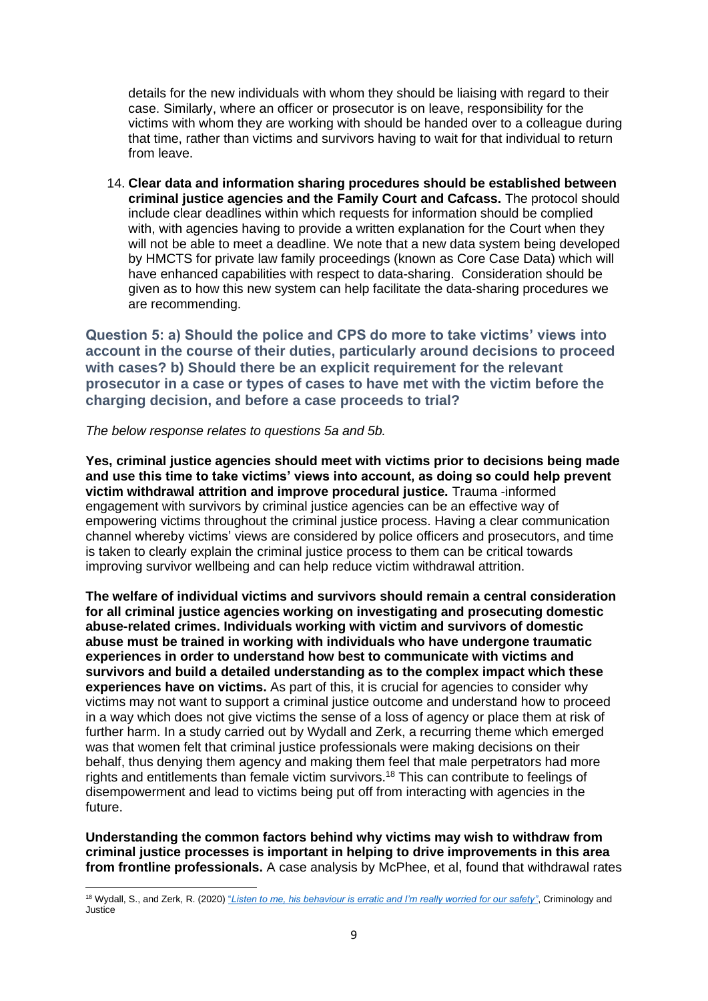details for the new individuals with whom they should be liaising with regard to their case. Similarly, where an officer or prosecutor is on leave, responsibility for the victims with whom they are working with should be handed over to a colleague during that time, rather than victims and survivors having to wait for that individual to return from leave.

14. **Clear data and information sharing procedures should be established between criminal justice agencies and the Family Court and Cafcass.** The protocol should include clear deadlines within which requests for information should be complied with, with agencies having to provide a written explanation for the Court when they will not be able to meet a deadline. We note that a new data system being developed by HMCTS for private law family proceedings (known as Core Case Data) which will have enhanced capabilities with respect to data-sharing. Consideration should be given as to how this new system can help facilitate the data-sharing procedures we are recommending.

**Question 5: a) Should the police and CPS do more to take victims' views into account in the course of their duties, particularly around decisions to proceed with cases? b) Should there be an explicit requirement for the relevant prosecutor in a case or types of cases to have met with the victim before the charging decision, and before a case proceeds to trial?** 

*The below response relates to questions 5a and 5b.* 

**Yes, criminal justice agencies should meet with victims prior to decisions being made and use this time to take victims' views into account, as doing so could help prevent victim withdrawal attrition and improve procedural justice.** Trauma -informed engagement with survivors by criminal justice agencies can be an effective way of empowering victims throughout the criminal justice process. Having a clear communication channel whereby victims' views are considered by police officers and prosecutors, and time is taken to clearly explain the criminal justice process to them can be critical towards improving survivor wellbeing and can help reduce victim withdrawal attrition.

**The welfare of individual victims and survivors should remain a central consideration for all criminal justice agencies working on investigating and prosecuting domestic abuse-related crimes. Individuals working with victim and survivors of domestic abuse must be trained in working with individuals who have undergone traumatic experiences in order to understand how best to communicate with victims and survivors and build a detailed understanding as to the complex impact which these experiences have on victims.** As part of this, it is crucial for agencies to consider why victims may not want to support a criminal justice outcome and understand how to proceed in a way which does not give victims the sense of a loss of agency or place them at risk of further harm. In a study carried out by Wydall and Zerk, a recurring theme which emerged was that women felt that criminal justice professionals were making decisions on their behalf, thus denying them agency and making them feel that male perpetrators had more rights and entitlements than female victim survivors.<sup>18</sup> This can contribute to feelings of disempowerment and lead to victims being put off from interacting with agencies in the future.

**Understanding the common factors behind why victims may wish to withdraw from criminal justice processes is important in helping to drive improvements in this area from frontline professionals.** A case analysis by McPhee, et al, found that withdrawal rates

<sup>18</sup> Wydall, S., and Zerk, R. (2020) "*[Listen to me, his behaviour is erratic and I'm really worried for our safety"](https://pure.aber.ac.uk/portal/files/36089060/Proof_of_submission.pdf)*, Criminology and Justice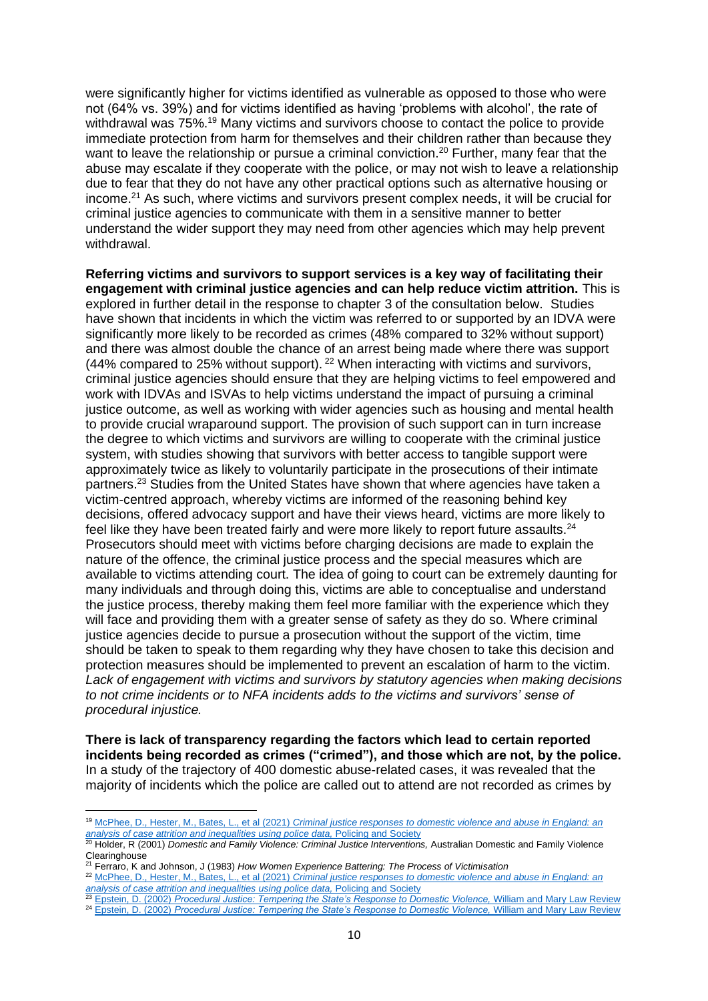were significantly higher for victims identified as vulnerable as opposed to those who were not (64% vs. 39%) and for victims identified as having 'problems with alcohol', the rate of withdrawal was 75%.<sup>19</sup> Many victims and survivors choose to contact the police to provide immediate protection from harm for themselves and their children rather than because they want to leave the relationship or pursue a criminal conviction.<sup>20</sup> Further, many fear that the abuse may escalate if they cooperate with the police, or may not wish to leave a relationship due to fear that they do not have any other practical options such as alternative housing or income.<sup>21</sup> As such, where victims and survivors present complex needs, it will be crucial for criminal justice agencies to communicate with them in a sensitive manner to better understand the wider support they may need from other agencies which may help prevent withdrawal.

**Referring victims and survivors to support services is a key way of facilitating their engagement with criminal justice agencies and can help reduce victim attrition.** This is explored in further detail in the response to chapter 3 of the consultation below. Studies have shown that incidents in which the victim was referred to or supported by an IDVA were significantly more likely to be recorded as crimes (48% compared to 32% without support) and there was almost double the chance of an arrest being made where there was support (44% compared to 25% without support). <sup>22</sup> When interacting with victims and survivors, criminal justice agencies should ensure that they are helping victims to feel empowered and work with IDVAs and ISVAs to help victims understand the impact of pursuing a criminal justice outcome, as well as working with wider agencies such as housing and mental health to provide crucial wraparound support. The provision of such support can in turn increase the degree to which victims and survivors are willing to cooperate with the criminal justice system, with studies showing that survivors with better access to tangible support were approximately twice as likely to voluntarily participate in the prosecutions of their intimate partners.<sup>23</sup> Studies from the United States have shown that where agencies have taken a victim-centred approach, whereby victims are informed of the reasoning behind key decisions, offered advocacy support and have their views heard, victims are more likely to feel like they have been treated fairly and were more likely to report future assaults. $^{24}$ Prosecutors should meet with victims before charging decisions are made to explain the nature of the offence, the criminal justice process and the special measures which are available to victims attending court. The idea of going to court can be extremely daunting for many individuals and through doing this, victims are able to conceptualise and understand the justice process, thereby making them feel more familiar with the experience which they will face and providing them with a greater sense of safety as they do so. Where criminal justice agencies decide to pursue a prosecution without the support of the victim, time should be taken to speak to them regarding why they have chosen to take this decision and protection measures should be implemented to prevent an escalation of harm to the victim. *Lack of engagement with victims and survivors by statutory agencies when making decisions to not crime incidents or to NFA incidents adds to the victims and survivors' sense of procedural injustice.*

**There is lack of transparency regarding the factors which lead to certain reported incidents being recorded as crimes ("crimed"), and those which are not, by the police.** In a study of the trajectory of 400 domestic abuse-related cases, it was revealed that the majority of incidents which the police are called out to attend are not recorded as crimes by

<sup>19</sup> McPhee, D., Hester, M., Bates, L., et al (2021) *[Criminal justice responses to domestic violence and abuse in England: an](https://www.tandfonline.com/doi/full/10.1080/10439463.2021.2003358)  [analysis of case attrition and inequalities using police data,](https://www.tandfonline.com/doi/full/10.1080/10439463.2021.2003358)* Policing and Society

<sup>&</sup>lt;sup>20</sup> Holder, R (2001) *Domestic and Family Violence: Criminal Justice Interventions, Australian Domestic and Family Violence* Clearinghouse

<sup>21</sup> Ferraro, K and Johnson, J (1983) *How Women Experience Battering: The Process of Victimisation*

<sup>22</sup> McPhee, D., Hester, M., Bates, L., et al (2021) *[Criminal justice responses to domestic violence and abuse in England: an](https://www.tandfonline.com/doi/full/10.1080/10439463.2021.2003358)  [analysis of case attrition and inequalities](https://www.tandfonline.com/doi/full/10.1080/10439463.2021.2003358) using police data,* Policing and Society

<sup>23</sup> Epstein, D. (2002) *[Procedural Justice: Tempering the State's Response to Domestic Violence,](https://scholarship.law.georgetown.edu/cgi/viewcontent.cgi?article=1077&context=facpub) William and Mary Law Review* 

<sup>&</sup>lt;sup>24</sup> Epstein, D. (2002) *[Procedural Justice: Tempering the State's Response to Domestic Violence,](https://scholarship.law.georgetown.edu/cgi/viewcontent.cgi?article=1077&context=facpub) William and Mary Law Review*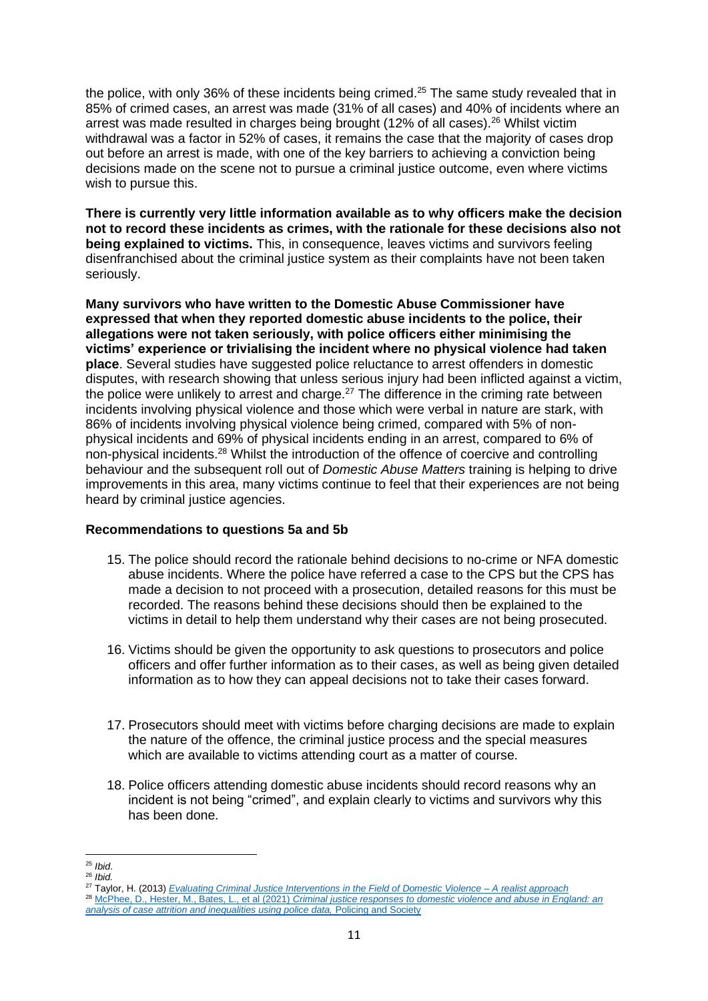the police, with only 36% of these incidents being crimed.<sup>25</sup> The same study revealed that in 85% of crimed cases, an arrest was made (31% of all cases) and 40% of incidents where an arrest was made resulted in charges being brought (12% of all cases).<sup>26</sup> Whilst victim withdrawal was a factor in 52% of cases, it remains the case that the majority of cases drop out before an arrest is made, with one of the key barriers to achieving a conviction being decisions made on the scene not to pursue a criminal justice outcome, even where victims wish to pursue this.

**There is currently very little information available as to why officers make the decision not to record these incidents as crimes, with the rationale for these decisions also not being explained to victims.** This, in consequence, leaves victims and survivors feeling disenfranchised about the criminal justice system as their complaints have not been taken seriously.

**Many survivors who have written to the Domestic Abuse Commissioner have expressed that when they reported domestic abuse incidents to the police, their allegations were not taken seriously, with police officers either minimising the victims' experience or trivialising the incident where no physical violence had taken place**. Several studies have suggested police reluctance to arrest offenders in domestic disputes, with research showing that unless serious injury had been inflicted against a victim, the police were unlikely to arrest and charge. $27$  The difference in the criming rate between incidents involving physical violence and those which were verbal in nature are stark, with 86% of incidents involving physical violence being crimed, compared with 5% of nonphysical incidents and 69% of physical incidents ending in an arrest, compared to 6% of non-physical incidents.<sup>28</sup> Whilst the introduction of the offence of coercive and controlling behaviour and the subsequent roll out of *Domestic Abuse Matters* training is helping to drive improvements in this area, many victims continue to feel that their experiences are not being heard by criminal justice agencies.

## **Recommendations to questions 5a and 5b**

- 15. The police should record the rationale behind decisions to no-crime or NFA domestic abuse incidents. Where the police have referred a case to the CPS but the CPS has made a decision to not proceed with a prosecution, detailed reasons for this must be recorded. The reasons behind these decisions should then be explained to the victims in detail to help them understand why their cases are not being prosecuted.
- 16. Victims should be given the opportunity to ask questions to prosecutors and police officers and offer further information as to their cases, as well as being given detailed information as to how they can appeal decisions not to take their cases forward.
- 17. Prosecutors should meet with victims before charging decisions are made to explain the nature of the offence, the criminal justice process and the special measures which are available to victims attending court as a matter of course.
- 18. Police officers attending domestic abuse incidents should record reasons why an incident is not being "crimed", and explain clearly to victims and survivors why this has been done.

<sup>25</sup> *Ibid*.

<sup>26</sup> *Ibid.*

<sup>27</sup> Taylor, H. (2013) *[Evaluating Criminal Justice Interventions in the Field of Domestic Violence –](https://etheses.bham.ac.uk/id/eprint/5240/1/Taylor14PhD.pdf) A realist approach*

<sup>28</sup> McPhee, D., Hester, M., Bates, L., et al (2021) *[Criminal justice responses to domestic violence and abuse in England: an](https://www.tandfonline.com/doi/full/10.1080/10439463.2021.2003358)  [analysis of case attrition and inequalities using police data,](https://www.tandfonline.com/doi/full/10.1080/10439463.2021.2003358)* Policing and Society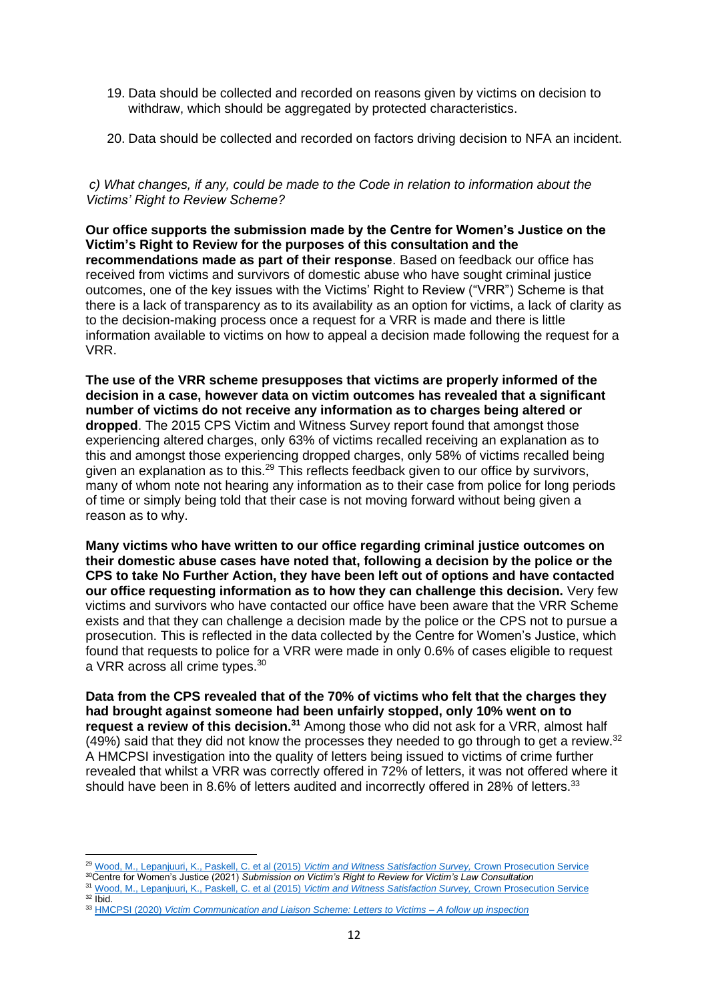- 19. Data should be collected and recorded on reasons given by victims on decision to withdraw, which should be aggregated by protected characteristics.
- 20. Data should be collected and recorded on factors driving decision to NFA an incident.

# *c) What changes, if any, could be made to the Code in relation to information about the Victims' Right to Review Scheme?*

**Our office supports the submission made by the Centre for Women's Justice on the Victim's Right to Review for the purposes of this consultation and the recommendations made as part of their response**. Based on feedback our office has received from victims and survivors of domestic abuse who have sought criminal justice outcomes, one of the key issues with the Victims' Right to Review ("VRR") Scheme is that there is a lack of transparency as to its availability as an option for victims, a lack of clarity as to the decision-making process once a request for a VRR is made and there is little information available to victims on how to appeal a decision made following the request for a VRR.

**The use of the VRR scheme presupposes that victims are properly informed of the decision in a case, however data on victim outcomes has revealed that a significant number of victims do not receive any information as to charges being altered or dropped**. The 2015 CPS Victim and Witness Survey report found that amongst those experiencing altered charges, only 63% of victims recalled receiving an explanation as to this and amongst those experiencing dropped charges, only 58% of victims recalled being given an explanation as to this.<sup>29</sup> This reflects feedback given to our office by survivors, many of whom note not hearing any information as to their case from police for long periods of time or simply being told that their case is not moving forward without being given a reason as to why.

**Many victims who have written to our office regarding criminal justice outcomes on their domestic abuse cases have noted that, following a decision by the police or the CPS to take No Further Action, they have been left out of options and have contacted our office requesting information as to how they can challenge this decision.** Very few victims and survivors who have contacted our office have been aware that the VRR Scheme exists and that they can challenge a decision made by the police or the CPS not to pursue a prosecution. This is reflected in the data collected by the Centre for Women's Justice, which found that requests to police for a VRR were made in only 0.6% of cases eligible to request a VRR across all crime types.<sup>30</sup>

**Data from the CPS revealed that of the 70% of victims who felt that the charges they had brought against someone had been unfairly stopped, only 10% went on to request a review of this decision.<sup>31</sup>** Among those who did not ask for a VRR, almost half (49%) said that they did not know the processes they needed to go through to get a review.<sup>32</sup> A HMCPSI investigation into the quality of letters being issued to victims of crime further revealed that whilst a VRR was correctly offered in 72% of letters, it was not offered where it should have been in 8.6% of letters audited and incorrectly offered in 28% of letters.<sup>33</sup>

<sup>29</sup> [Wood, M., Lepanjuuri, K., Paskell, C. et al \(2015\)](https://www.cps.gov.uk/sites/default/files/documents/victims_witnesses/cps_victim_and_witness_survey_sept_2015.pdf) *Victim and Witness Satisfaction Survey,* Crown Prosecution Service <sup>30</sup>Centre for Women's Justice (2021) *Submission on Victim's Right to Review for Victim's Law Consultation* 

<sup>31</sup> [Wood, M., Lepanjuuri, K., Paskell, C. et al \(2015\)](https://www.cps.gov.uk/sites/default/files/documents/victims_witnesses/cps_victim_and_witness_survey_sept_2015.pdf) *Victim and Witness Satisfaction Survey,* Crown Prosecution Service <sup>32</sup> Ibid.

<sup>33</sup> HMCPSI (2020) *[Victim Communication and Liaison Scheme: Letters to Victims –](https://www.justiceinspectorates.gov.uk/hmcpsi/wp-content/uploads/sites/3/2021/04/2020-11-03-VCL-report-accessible.pdf) A follow up inspection*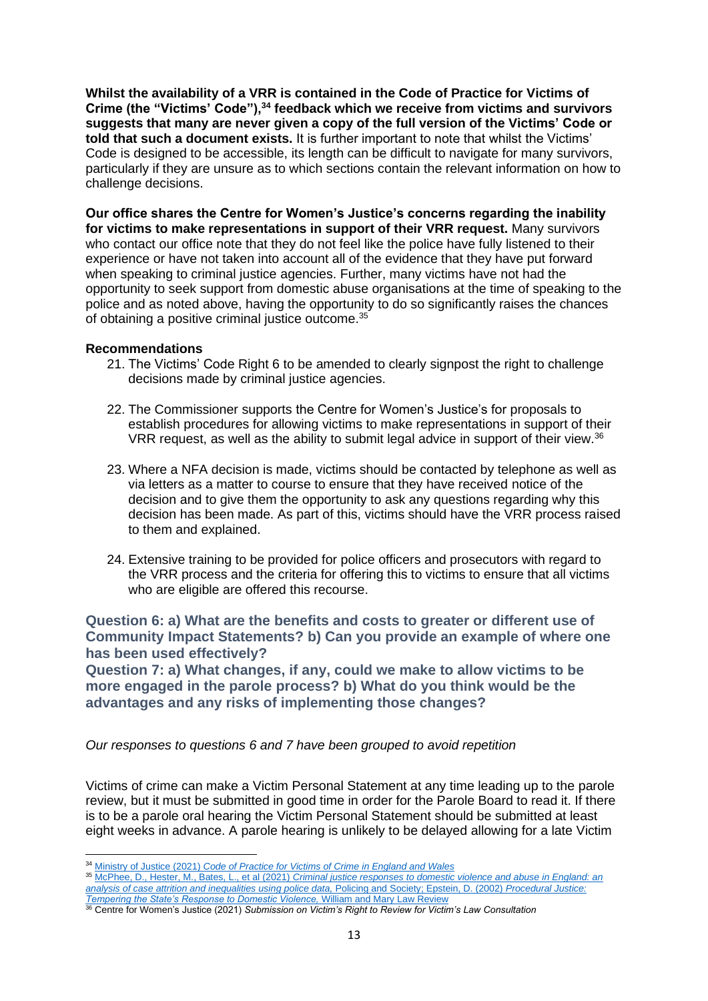**Whilst the availability of a VRR is contained in the Code of Practice for Victims of Crime (the "Victims' Code"),<sup>34</sup> feedback which we receive from victims and survivors suggests that many are never given a copy of the full version of the Victims' Code or told that such a document exists.** It is further important to note that whilst the Victims' Code is designed to be accessible, its length can be difficult to navigate for many survivors, particularly if they are unsure as to which sections contain the relevant information on how to challenge decisions.

**Our office shares the Centre for Women's Justice's concerns regarding the inability for victims to make representations in support of their VRR request.** Many survivors who contact our office note that they do not feel like the police have fully listened to their experience or have not taken into account all of the evidence that they have put forward when speaking to criminal justice agencies. Further, many victims have not had the opportunity to seek support from domestic abuse organisations at the time of speaking to the police and as noted above, having the opportunity to do so significantly raises the chances of obtaining a positive criminal justice outcome.<sup>35</sup>

## **Recommendations**

- 21. The Victims' Code Right 6 to be amended to clearly signpost the right to challenge decisions made by criminal justice agencies.
- 22. The Commissioner supports the Centre for Women's Justice's for proposals to establish procedures for allowing victims to make representations in support of their VRR request, as well as the ability to submit legal advice in support of their view.<sup>36</sup>
- 23. Where a NFA decision is made, victims should be contacted by telephone as well as via letters as a matter to course to ensure that they have received notice of the decision and to give them the opportunity to ask any questions regarding why this decision has been made. As part of this, victims should have the VRR process raised to them and explained.
- 24. Extensive training to be provided for police officers and prosecutors with regard to the VRR process and the criteria for offering this to victims to ensure that all victims who are eligible are offered this recourse.

# **Question 6: a) What are the benefits and costs to greater or different use of Community Impact Statements? b) Can you provide an example of where one has been used effectively?**

**Question 7: a) What changes, if any, could we make to allow victims to be more engaged in the parole process? b) What do you think would be the advantages and any risks of implementing those changes?**

*Our responses to questions 6 and 7 have been grouped to avoid repetition*

Victims of crime can make a Victim Personal Statement at any time leading up to the parole review, but it must be submitted in good time in order for the Parole Board to read it. If there is to be a parole oral hearing the Victim Personal Statement should be submitted at least eight weeks in advance. A parole hearing is unlikely to be delayed allowing for a late Victim

<sup>34</sup> Ministry of Justice (2021) *[Code of Practice for Victims of Crime in England and Wales](https://www.gov.uk/government/publications/the-code-of-practice-for-victims-of-crime/code-of-practice-for-victims-of-crime-in-england-and-wales-victims-code)*

<sup>35</sup> McPhee, D., Hester, M., Bates, L., et al (2021) *[Criminal justice responses to domestic violence and abuse in England: an](https://www.tandfonline.com/doi/full/10.1080/10439463.2021.2003358)  [analysis of case attrition and inequalities using police data,](https://www.tandfonline.com/doi/full/10.1080/10439463.2021.2003358)* Policing and Society; Epstein, D. (2002) *[Procedural Justice:](https://scholarship.law.georgetown.edu/cgi/viewcontent.cgi?article=1077&context=facpub)  [Tempering the State's Response to Domestic Violence,](https://scholarship.law.georgetown.edu/cgi/viewcontent.cgi?article=1077&context=facpub)* William and Mary Law Review

<sup>36</sup> Centre for Women's Justice (2021) *Submission on Victim's Right to Review for Victim's Law Consultation*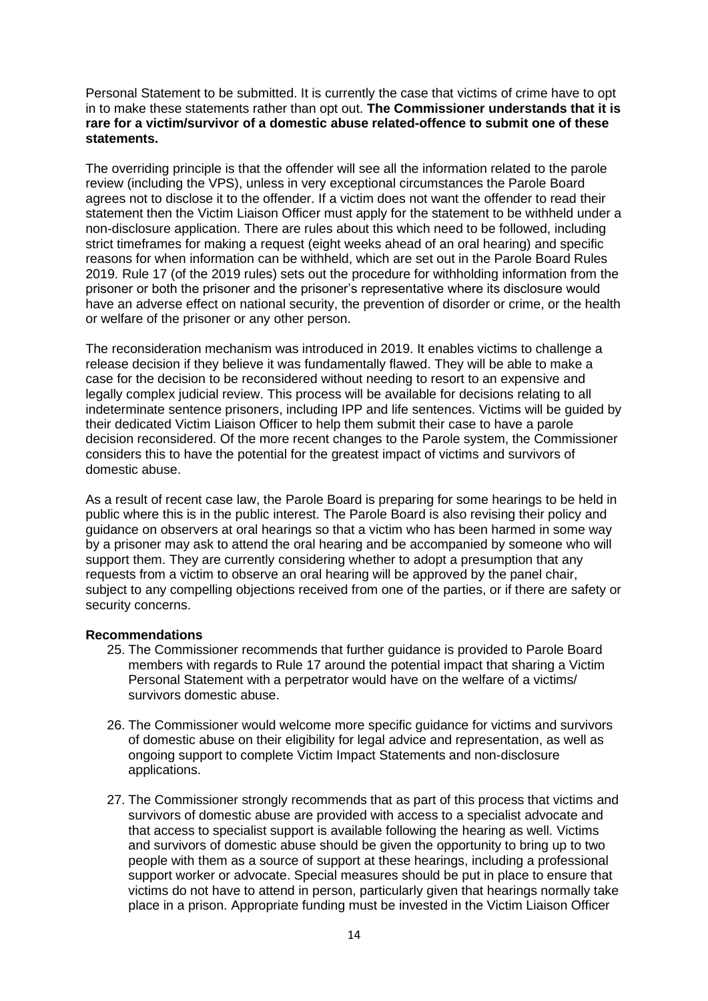Personal Statement to be submitted. It is currently the case that victims of crime have to opt in to make these statements rather than opt out. **The Commissioner understands that it is rare for a victim/survivor of a domestic abuse related-offence to submit one of these statements.**

The overriding principle is that the offender will see all the information related to the parole review (including the VPS), unless in very exceptional circumstances the Parole Board agrees not to disclose it to the offender. If a victim does not want the offender to read their statement then the Victim Liaison Officer must apply for the statement to be withheld under a non-disclosure application. There are rules about this which need to be followed, including strict timeframes for making a request (eight weeks ahead of an oral hearing) and specific reasons for when information can be withheld, which are set out in the Parole Board Rules 2019. Rule 17 (of the 2019 rules) sets out the procedure for withholding information from the prisoner or both the prisoner and the prisoner's representative where its disclosure would have an adverse effect on national security, the prevention of disorder or crime, or the health or welfare of the prisoner or any other person.

The reconsideration mechanism was introduced in 2019. It enables victims to challenge a release decision if they believe it was fundamentally flawed. They will be able to make a case for the decision to be reconsidered without needing to resort to an expensive and legally complex judicial review. This process will be available for decisions relating to all indeterminate sentence prisoners, including IPP and life sentences. Victims will be guided by their dedicated Victim Liaison Officer to help them submit their case to have a parole decision reconsidered. Of the more recent changes to the Parole system, the Commissioner considers this to have the potential for the greatest impact of victims and survivors of domestic abuse.

As a result of recent case law, the Parole Board is preparing for some hearings to be held in public where this is in the public interest. The Parole Board is also revising their policy and guidance on observers at oral hearings so that a victim who has been harmed in some way by a prisoner may ask to attend the oral hearing and be accompanied by someone who will support them. They are currently considering whether to adopt a presumption that any requests from a victim to observe an oral hearing will be approved by the panel chair, subject to any compelling objections received from one of the parties, or if there are safety or security concerns.

## **Recommendations**

- 25. The Commissioner recommends that further guidance is provided to Parole Board members with regards to Rule 17 around the potential impact that sharing a Victim Personal Statement with a perpetrator would have on the welfare of a victims/ survivors domestic abuse.
- 26. The Commissioner would welcome more specific guidance for victims and survivors of domestic abuse on their eligibility for legal advice and representation, as well as ongoing support to complete Victim Impact Statements and non-disclosure applications.
- 27. The Commissioner strongly recommends that as part of this process that victims and survivors of domestic abuse are provided with access to a specialist advocate and that access to specialist support is available following the hearing as well. Victims and survivors of domestic abuse should be given the opportunity to bring up to two people with them as a source of support at these hearings, including a professional support worker or advocate. Special measures should be put in place to ensure that victims do not have to attend in person, particularly given that hearings normally take place in a prison. Appropriate funding must be invested in the Victim Liaison Officer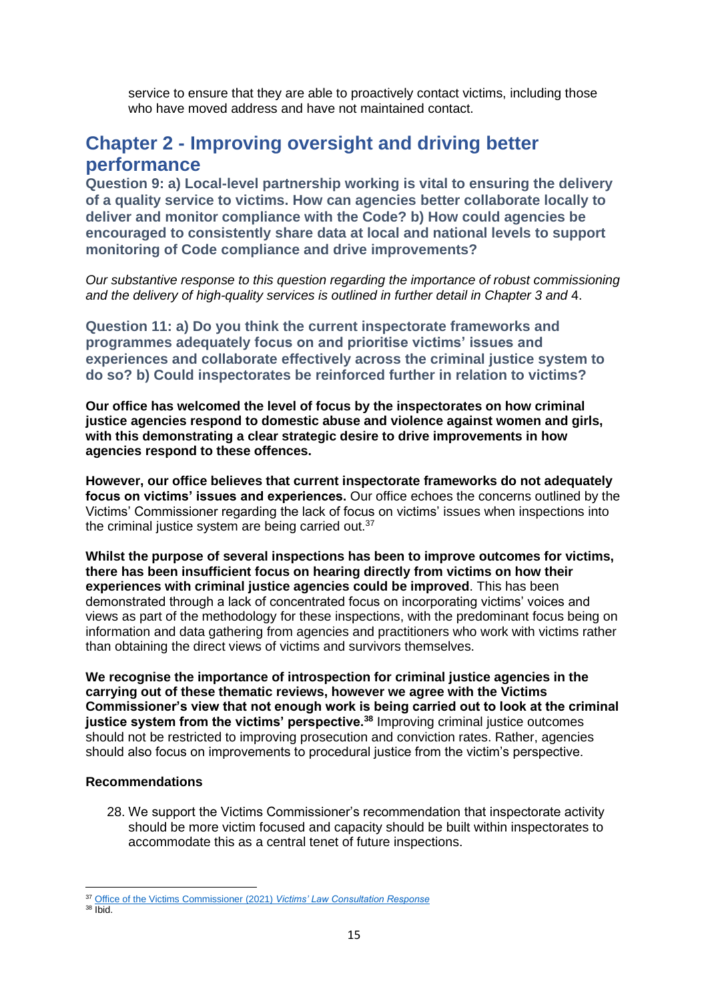service to ensure that they are able to proactively contact victims, including those who have moved address and have not maintained contact.

# **Chapter 2 - Improving oversight and driving better performance**

**Question 9: a) Local-level partnership working is vital to ensuring the delivery of a quality service to victims. How can agencies better collaborate locally to deliver and monitor compliance with the Code? b) How could agencies be encouraged to consistently share data at local and national levels to support monitoring of Code compliance and drive improvements?**

*Our substantive response to this question regarding the importance of robust commissioning and the delivery of high-quality services is outlined in further detail in Chapter 3 and* 4.

**Question 11: a) Do you think the current inspectorate frameworks and programmes adequately focus on and prioritise victims' issues and experiences and collaborate effectively across the criminal justice system to do so? b) Could inspectorates be reinforced further in relation to victims?**

**Our office has welcomed the level of focus by the inspectorates on how criminal justice agencies respond to domestic abuse and violence against women and girls, with this demonstrating a clear strategic desire to drive improvements in how agencies respond to these offences.** 

**However, our office believes that current inspectorate frameworks do not adequately focus on victims' issues and experiences.** Our office echoes the concerns outlined by the Victims' Commissioner regarding the lack of focus on victims' issues when inspections into the criminal justice system are being carried out.<sup>37</sup>

**Whilst the purpose of several inspections has been to improve outcomes for victims, there has been insufficient focus on hearing directly from victims on how their experiences with criminal justice agencies could be improved**. This has been demonstrated through a lack of concentrated focus on incorporating victims' voices and views as part of the methodology for these inspections, with the predominant focus being on information and data gathering from agencies and practitioners who work with victims rather than obtaining the direct views of victims and survivors themselves.

**We recognise the importance of introspection for criminal justice agencies in the carrying out of these thematic reviews, however we agree with the Victims Commissioner's view that not enough work is being carried out to look at the criminal justice system from the victims' perspective.<sup>38</sup>** Improving criminal justice outcomes should not be restricted to improving prosecution and conviction rates. Rather, agencies should also focus on improvements to procedural justice from the victim's perspective.

## **Recommendations**

28. We support the Victims Commissioner's recommendation that inspectorate activity should be more victim focused and capacity should be built within inspectorates to accommodate this as a central tenet of future inspections.

<sup>37</sup> Office of the Victims Commissioner (2021) *[Victims' Law Consultation Response](https://victimscommissioner.org.uk/our-work/briefings/victims-law/improving-oversight-and-driving-better-performance/)*

 $38$  Ibid.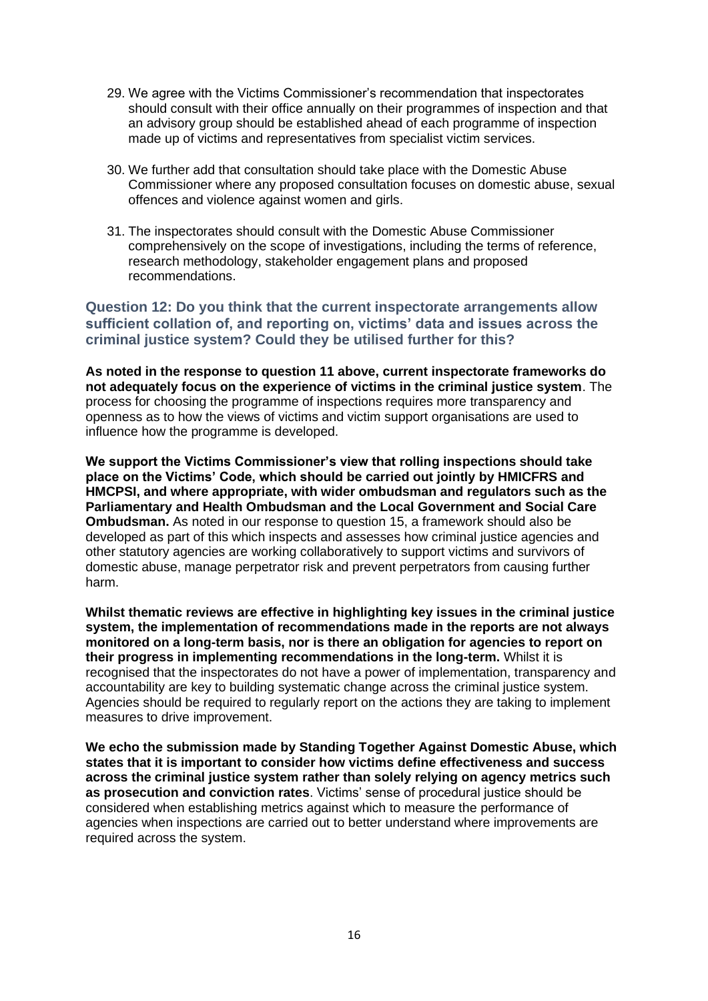- 29. We agree with the Victims Commissioner's recommendation that inspectorates should consult with their office annually on their programmes of inspection and that an advisory group should be established ahead of each programme of inspection made up of victims and representatives from specialist victim services.
- 30. We further add that consultation should take place with the Domestic Abuse Commissioner where any proposed consultation focuses on domestic abuse, sexual offences and violence against women and girls.
- 31. The inspectorates should consult with the Domestic Abuse Commissioner comprehensively on the scope of investigations, including the terms of reference, research methodology, stakeholder engagement plans and proposed recommendations.

**Question 12: Do you think that the current inspectorate arrangements allow sufficient collation of, and reporting on, victims' data and issues across the criminal justice system? Could they be utilised further for this?**

**As noted in the response to question 11 above, current inspectorate frameworks do not adequately focus on the experience of victims in the criminal justice system**. The process for choosing the programme of inspections requires more transparency and openness as to how the views of victims and victim support organisations are used to influence how the programme is developed.

**We support the Victims Commissioner's view that rolling inspections should take place on the Victims' Code, which should be carried out jointly by HMICFRS and HMCPSI, and where appropriate, with wider ombudsman and regulators such as the Parliamentary and Health Ombudsman and the Local Government and Social Care Ombudsman.** As noted in our response to question 15, a framework should also be developed as part of this which inspects and assesses how criminal justice agencies and other statutory agencies are working collaboratively to support victims and survivors of domestic abuse, manage perpetrator risk and prevent perpetrators from causing further harm.

**Whilst thematic reviews are effective in highlighting key issues in the criminal justice system, the implementation of recommendations made in the reports are not always monitored on a long-term basis, nor is there an obligation for agencies to report on their progress in implementing recommendations in the long-term.** Whilst it is recognised that the inspectorates do not have a power of implementation, transparency and accountability are key to building systematic change across the criminal justice system. Agencies should be required to regularly report on the actions they are taking to implement measures to drive improvement.

**We echo the submission made by Standing Together Against Domestic Abuse, which states that it is important to consider how victims define effectiveness and success across the criminal justice system rather than solely relying on agency metrics such as prosecution and conviction rates**. Victims' sense of procedural justice should be considered when establishing metrics against which to measure the performance of agencies when inspections are carried out to better understand where improvements are required across the system.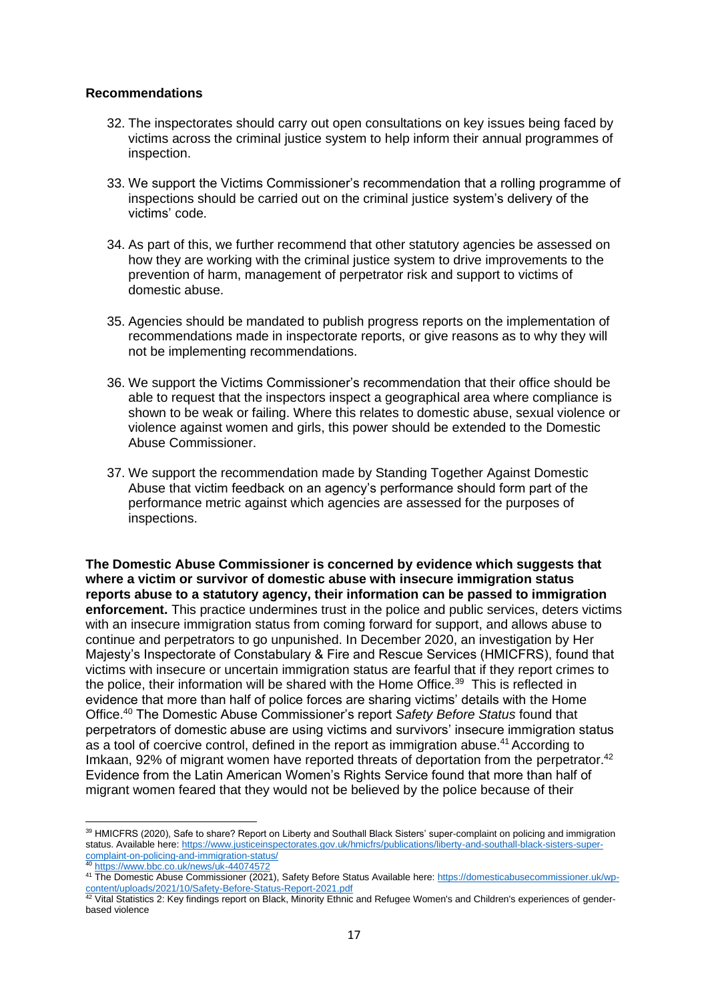#### **Recommendations**

- 32. The inspectorates should carry out open consultations on key issues being faced by victims across the criminal justice system to help inform their annual programmes of inspection.
- 33. We support the Victims Commissioner's recommendation that a rolling programme of inspections should be carried out on the criminal justice system's delivery of the victims' code.
- 34. As part of this, we further recommend that other statutory agencies be assessed on how they are working with the criminal justice system to drive improvements to the prevention of harm, management of perpetrator risk and support to victims of domestic abuse.
- 35. Agencies should be mandated to publish progress reports on the implementation of recommendations made in inspectorate reports, or give reasons as to why they will not be implementing recommendations.
- 36. We support the Victims Commissioner's recommendation that their office should be able to request that the inspectors inspect a geographical area where compliance is shown to be weak or failing. Where this relates to domestic abuse, sexual violence or violence against women and girls, this power should be extended to the Domestic Abuse Commissioner.
- 37. We support the recommendation made by Standing Together Against Domestic Abuse that victim feedback on an agency's performance should form part of the performance metric against which agencies are assessed for the purposes of inspections.

**The Domestic Abuse Commissioner is concerned by evidence which suggests that where a victim or survivor of domestic abuse with insecure immigration status reports abuse to a statutory agency, their information can be passed to immigration enforcement.** This practice undermines trust in the police and public services, deters victims with an insecure immigration status from coming forward for support, and allows abuse to continue and perpetrators to go unpunished. In December 2020, an investigation by Her Majesty's Inspectorate of Constabulary & Fire and Rescue Services (HMICFRS), found that victims with insecure or uncertain immigration status are fearful that if they report crimes to the police, their information will be shared with the Home Office.<sup>39</sup> This is reflected in evidence that more than half of police forces are sharing victims' details with the Home Office.<sup>40</sup> The Domestic Abuse Commissioner's report *Safety Before Status* found that perpetrators of domestic abuse are using victims and survivors' insecure immigration status as a tool of coercive control, defined in the report as immigration abuse.<sup>41</sup> According to Imkaan, 92% of migrant women have reported threats of deportation from the perpetrator.<sup>42</sup> Evidence from the Latin American Women's Rights Service found that more than half of migrant women feared that they would not be believed by the police because of their

<sup>39</sup> HMICFRS (2020), Safe to share? Report on Liberty and Southall Black Sisters' super-complaint on policing and immigration status. Available here: [https://www.justiceinspectorates.gov.uk/hmicfrs/publications/liberty-and-southall-black-sisters-super](https://www.justiceinspectorates.gov.uk/hmicfrs/publications/liberty-and-southall-black-sisters-super-complaint-on-policing-and-immigration-status/)[complaint-on-policing-and-immigration-status/](https://www.justiceinspectorates.gov.uk/hmicfrs/publications/liberty-and-southall-black-sisters-super-complaint-on-policing-and-immigration-status/)<br>40 https://www.justiceinspa

<https://www.bbc.co.uk/news/uk-44074572>

<sup>41</sup> The Domestic Abuse Commissioner (2021), Safety Before Status Available here: [https://domesticabusecommissioner.uk/wp](https://domesticabusecommissioner.uk/wp-content/uploads/2021/10/Safety-Before-Status-Report-2021.pdf)[content/uploads/2021/10/Safety-Before-Status-Report-2021.pdf](https://domesticabusecommissioner.uk/wp-content/uploads/2021/10/Safety-Before-Status-Report-2021.pdf)

 $42$  Vital Statistics 2: Key findings report on Black, Minority Ethnic and Refugee Women's and Children's experiences of genderbased violence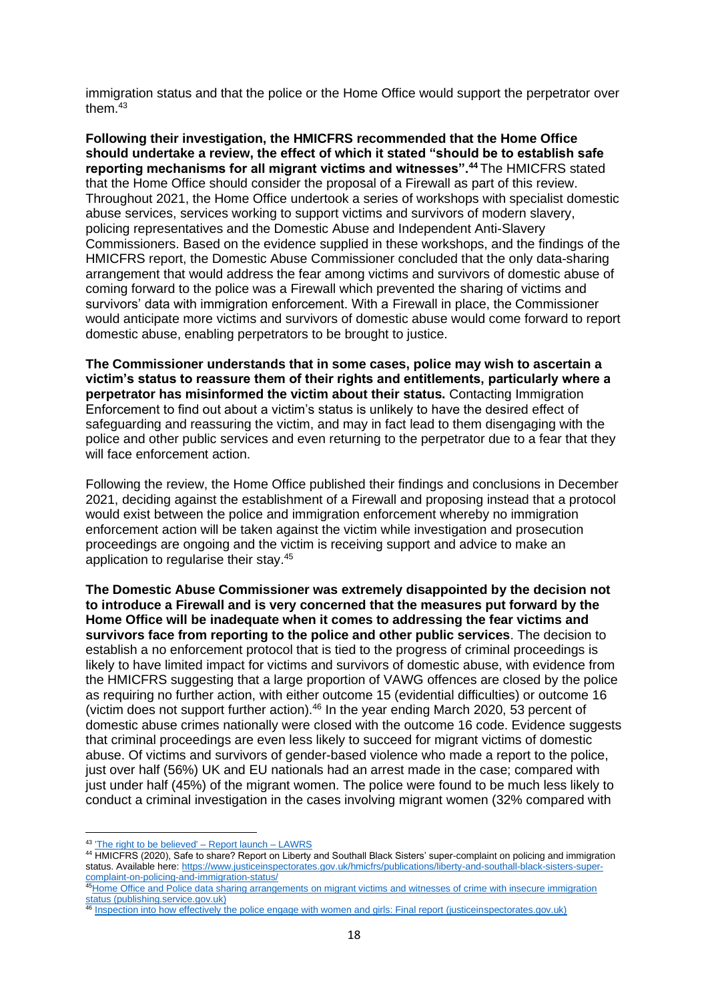immigration status and that the police or the Home Office would support the perpetrator over them.<sup>43</sup>

**Following their investigation, the HMICFRS recommended that the Home Office should undertake a review, the effect of which it stated "should be to establish safe reporting mechanisms for all migrant victims and witnesses".<sup>44</sup>** The HMICFRS stated that the Home Office should consider the proposal of a Firewall as part of this review. Throughout 2021, the Home Office undertook a series of workshops with specialist domestic abuse services, services working to support victims and survivors of modern slavery, policing representatives and the Domestic Abuse and Independent Anti-Slavery Commissioners. Based on the evidence supplied in these workshops, and the findings of the HMICFRS report, the Domestic Abuse Commissioner concluded that the only data-sharing arrangement that would address the fear among victims and survivors of domestic abuse of coming forward to the police was a Firewall which prevented the sharing of victims and survivors' data with immigration enforcement. With a Firewall in place, the Commissioner would anticipate more victims and survivors of domestic abuse would come forward to report domestic abuse, enabling perpetrators to be brought to justice.

**The Commissioner understands that in some cases, police may wish to ascertain a victim's status to reassure them of their rights and entitlements, particularly where a perpetrator has misinformed the victim about their status.** Contacting Immigration Enforcement to find out about a victim's status is unlikely to have the desired effect of safeguarding and reassuring the victim, and may in fact lead to them disengaging with the police and other public services and even returning to the perpetrator due to a fear that they will face enforcement action.

Following the review, the Home Office published their findings and conclusions in December 2021, deciding against the establishment of a Firewall and proposing instead that a protocol would exist between the police and immigration enforcement whereby no immigration enforcement action will be taken against the victim while investigation and prosecution proceedings are ongoing and the victim is receiving support and advice to make an application to regularise their stay.<sup>45</sup>

**The Domestic Abuse Commissioner was extremely disappointed by the decision not to introduce a Firewall and is very concerned that the measures put forward by the Home Office will be inadequate when it comes to addressing the fear victims and survivors face from reporting to the police and other public services**. The decision to establish a no enforcement protocol that is tied to the progress of criminal proceedings is likely to have limited impact for victims and survivors of domestic abuse, with evidence from the HMICFRS suggesting that a large proportion of VAWG offences are closed by the police as requiring no further action, with either outcome 15 (evidential difficulties) or outcome 16 (victim does not support further action).<sup>46</sup> In the year ending March 2020, 53 percent of domestic abuse crimes nationally were closed with the outcome 16 code. Evidence suggests that criminal proceedings are even less likely to succeed for migrant victims of domestic abuse. Of victims and survivors of gender-based violence who made a report to the police, just over half (56%) UK and EU nationals had an arrest made in the case; compared with just under half (45%) of the migrant women. The police were found to be much less likely to conduct a criminal investigation in the cases involving migrant women (32% compared with

<sup>43</sup> ['The right to be believed' –](https://portugues.lawrs.org.uk/event/the-right-to-be-believed-report-launch/) Report launch – LAWRS

<sup>44</sup> HMICFRS (2020), Safe to share? Report on Liberty and Southall Black Sisters' super-complaint on policing and immigration status. Available here: [https://www.justiceinspectorates.gov.uk/hmicfrs/publications/liberty-and-southall-black-sisters-super](https://www.justiceinspectorates.gov.uk/hmicfrs/publications/liberty-and-southall-black-sisters-super-complaint-on-policing-and-immigration-status/)[complaint-on-policing-and-immigration-status/](https://www.justiceinspectorates.gov.uk/hmicfrs/publications/liberty-and-southall-black-sisters-super-complaint-on-policing-and-immigration-status/)

<sup>45</sup>Home Office and Police data sharing arrangements on migrant victims and witnesses of crime with insecure immigration [status \(publishing.service.gov.uk\)](https://assets.publishing.service.gov.uk/government/uploads/system/uploads/attachment_data/file/1041124/HO_Review_Police_and_HO_data_sharing_migrant_victims.pdf)

<sup>46</sup> [Inspection into how effectively the police engage with women and girls: Final report \(justiceinspectorates.gov.uk\)](https://www.justiceinspectorates.gov.uk/hmicfrs/wp-content/uploads/police-response-to-violence-against-women-and-girls-final-inspection-report.pdf)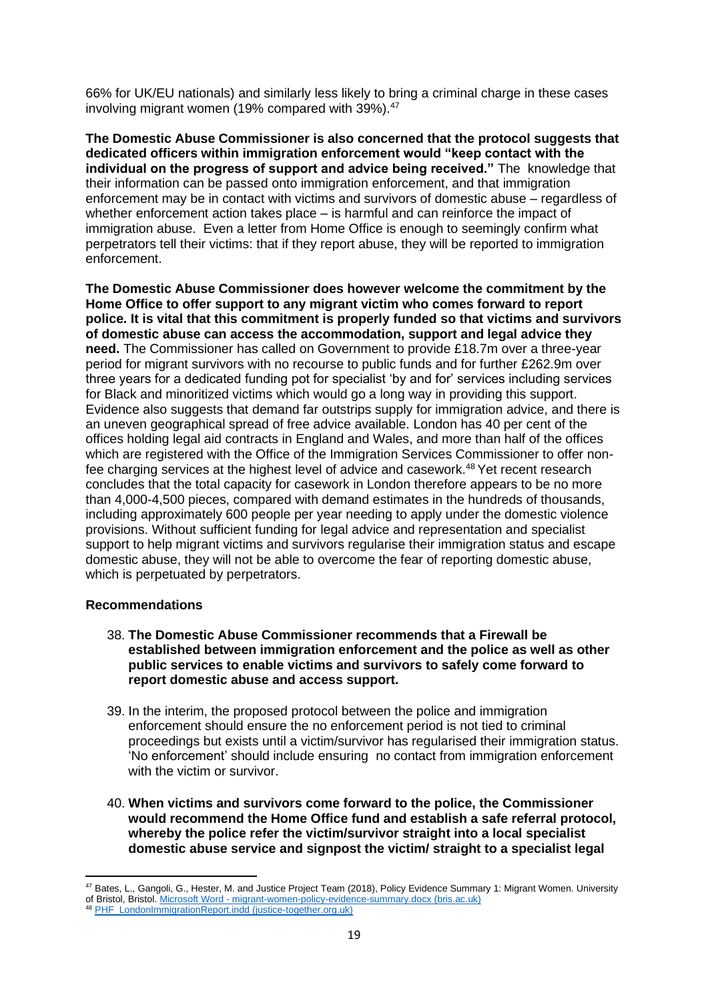66% for UK/EU nationals) and similarly less likely to bring a criminal charge in these cases involving migrant women (19% compared with 39%).<sup>47</sup>

**The Domestic Abuse Commissioner is also concerned that the protocol suggests that dedicated officers within immigration enforcement would "keep contact with the individual on the progress of support and advice being received."** The knowledge that their information can be passed onto immigration enforcement, and that immigration enforcement may be in contact with victims and survivors of domestic abuse – regardless of whether enforcement action takes place – is harmful and can reinforce the impact of immigration abuse. Even a letter from Home Office is enough to seemingly confirm what perpetrators tell their victims: that if they report abuse, they will be reported to immigration enforcement.

**The Domestic Abuse Commissioner does however welcome the commitment by the Home Office to offer support to any migrant victim who comes forward to report police. It is vital that this commitment is properly funded so that victims and survivors of domestic abuse can access the accommodation, support and legal advice they need.** The Commissioner has called on Government to provide £18.7m over a three-year period for migrant survivors with no recourse to public funds and for further £262.9m over three years for a dedicated funding pot for specialist 'by and for' services including services for Black and minoritized victims which would go a long way in providing this support. Evidence also suggests that demand far outstrips supply for immigration advice, and there is an uneven geographical spread of free advice available. London has 40 per cent of the offices holding legal aid contracts in England and Wales, and more than half of the offices which are registered with the Office of the Immigration Services Commissioner to offer nonfee charging services at the highest level of advice and casework.<sup>48</sup> Yet recent research concludes that the total capacity for casework in London therefore appears to be no more than 4,000-4,500 pieces, compared with demand estimates in the hundreds of thousands, including approximately 600 people per year needing to apply under the domestic violence provisions. Without sufficient funding for legal advice and representation and specialist support to help migrant victims and survivors regularise their immigration status and escape domestic abuse, they will not be able to overcome the fear of reporting domestic abuse, which is perpetuated by perpetrators.

## **Recommendations**

- 38. **The Domestic Abuse Commissioner recommends that a Firewall be established between immigration enforcement and the police as well as other public services to enable victims and survivors to safely come forward to report domestic abuse and access support.**
- 39. In the interim, the proposed protocol between the police and immigration enforcement should ensure the no enforcement period is not tied to criminal proceedings but exists until a victim/survivor has regularised their immigration status. 'No enforcement' should include ensuring no contact from immigration enforcement with the victim or survivor.
- 40. **When victims and survivors come forward to the police, the Commissioner would recommend the Home Office fund and establish a safe referral protocol, whereby the police refer the victim/survivor straight into a local specialist domestic abuse service and signpost the victim/ straight to a specialist legal**

<sup>&</sup>lt;sup>47</sup> Bates, L., Gangoli, G., Hester, M. and Justice Project Team (2018), Policy Evidence Summary 1: Migrant Women, University

of Bristol, Bristol. Microsoft Word - [migrant-women-policy-evidence-summary.docx \(bris.ac.uk\)](https://research-information.bris.ac.uk/ws/portalfiles/portal/188884552/Policy_evidence_summary_1_Migrant_women.pdf)

<sup>48</sup> [PHF\\_LondonImmigrationReport.indd \(justice-together.org.uk\)](https://justice-together.org.uk/wp-content/uploads/2021/06/A-Huge-Gulf-FINAL-report.pdf)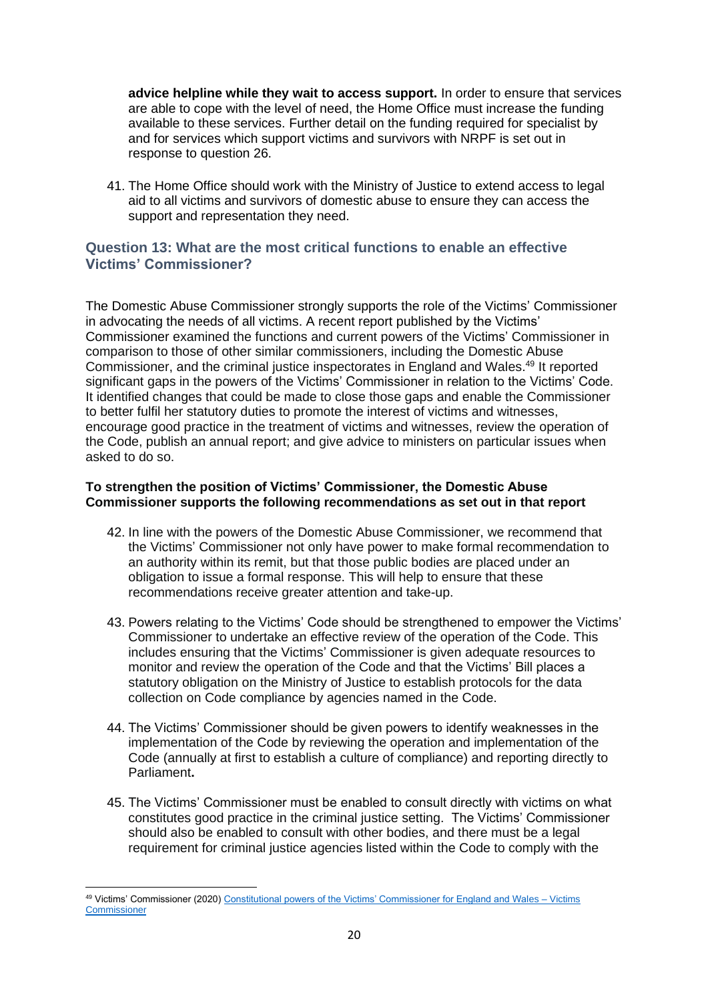**advice helpline while they wait to access support.** In order to ensure that services are able to cope with the level of need, the Home Office must increase the funding available to these services. Further detail on the funding required for specialist by and for services which support victims and survivors with NRPF is set out in response to question 26.

41. The Home Office should work with the Ministry of Justice to extend access to legal aid to all victims and survivors of domestic abuse to ensure they can access the support and representation they need.

# **Question 13: What are the most critical functions to enable an effective Victims' Commissioner?**

The Domestic Abuse Commissioner strongly supports the role of the Victims' Commissioner in advocating the needs of all victims. A recent report published by the Victims' Commissioner examined the functions and current powers of the Victims' Commissioner in comparison to those of other similar commissioners, including the Domestic Abuse Commissioner, and the criminal justice inspectorates in England and Wales.<sup>49</sup> It reported significant gaps in the powers of the Victims' Commissioner in relation to the Victims' Code. It identified changes that could be made to close those gaps and enable the Commissioner to better fulfil her statutory duties to promote the interest of victims and witnesses, encourage good practice in the treatment of victims and witnesses, review the operation of the Code, publish an annual report; and give advice to ministers on particular issues when asked to do so.

## **To strengthen the position of Victims' Commissioner, the Domestic Abuse Commissioner supports the following recommendations as set out in that report**

- 42. In line with the powers of the Domestic Abuse Commissioner, we recommend that the Victims' Commissioner not only have power to make formal recommendation to an authority within its remit, but that those public bodies are placed under an obligation to issue a formal response. This will help to ensure that these recommendations receive greater attention and take-up.
- 43. Powers relating to the Victims' Code should be strengthened to empower the Victims' Commissioner to undertake an effective review of the operation of the Code. This includes ensuring that the Victims' Commissioner is given adequate resources to monitor and review the operation of the Code and that the Victims' Bill places a statutory obligation on the Ministry of Justice to establish protocols for the data collection on Code compliance by agencies named in the Code.
- 44. The Victims' Commissioner should be given powers to identify weaknesses in the implementation of the Code by reviewing the operation and implementation of the Code (annually at first to establish a culture of compliance) and reporting directly to Parliament**.**
- 45. The Victims' Commissioner must be enabled to consult directly with victims on what constitutes good practice in the criminal justice setting. The Victims' Commissioner should also be enabled to consult with other bodies, and there must be a legal requirement for criminal justice agencies listed within the Code to comply with the

<sup>49</sup> Victims' Commissioner (2020) [Constitutional powers of the Victims' Commissioner for England and Wales –](https://victimscommissioner.org.uk/document/constitutional-powers-of-the-victims-commissioner-for-england-and-wales/) Victims **[Commissioner](https://victimscommissioner.org.uk/document/constitutional-powers-of-the-victims-commissioner-for-england-and-wales/)**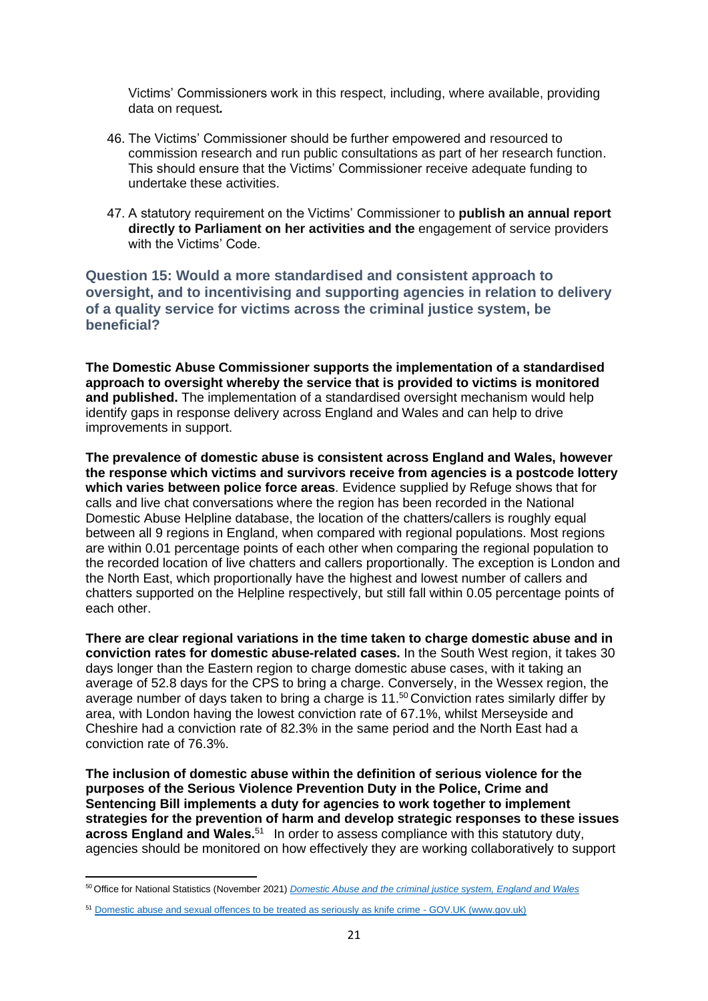Victims' Commissioners work in this respect, including, where available, providing data on request*.* 

- 46. The Victims' Commissioner should be further empowered and resourced to commission research and run public consultations as part of her research function. This should ensure that the Victims' Commissioner receive adequate funding to undertake these activities.
- 47. A statutory requirement on the Victims' Commissioner to **publish an annual report directly to Parliament on her activities and the** engagement of service providers with the Victims' Code.

**Question 15: Would a more standardised and consistent approach to oversight, and to incentivising and supporting agencies in relation to delivery of a quality service for victims across the criminal justice system, be beneficial?** 

**The Domestic Abuse Commissioner supports the implementation of a standardised approach to oversight whereby the service that is provided to victims is monitored and published.** The implementation of a standardised oversight mechanism would help identify gaps in response delivery across England and Wales and can help to drive improvements in support.

**The prevalence of domestic abuse is consistent across England and Wales, however the response which victims and survivors receive from agencies is a postcode lottery which varies between police force areas**. Evidence supplied by Refuge shows that for calls and live chat conversations where the region has been recorded in the National Domestic Abuse Helpline database, the location of the chatters/callers is roughly equal between all 9 regions in England, when compared with regional populations. Most regions are within 0.01 percentage points of each other when comparing the regional population to the recorded location of live chatters and callers proportionally. The exception is London and the North East, which proportionally have the highest and lowest number of callers and chatters supported on the Helpline respectively, but still fall within 0.05 percentage points of each other.

**There are clear regional variations in the time taken to charge domestic abuse and in conviction rates for domestic abuse-related cases.** In the South West region, it takes 30 days longer than the Eastern region to charge domestic abuse cases, with it taking an average of 52.8 days for the CPS to bring a charge. Conversely, in the Wessex region, the average number of days taken to bring a charge is 11.<sup>50</sup> Conviction rates similarly differ by area, with London having the lowest conviction rate of 67.1%, whilst Merseyside and Cheshire had a conviction rate of 82.3% in the same period and the North East had a conviction rate of 76.3%.

**The inclusion of domestic abuse within the definition of serious violence for the purposes of the Serious Violence Prevention Duty in the Police, Crime and Sentencing Bill implements a duty for agencies to work together to implement strategies for the prevention of harm and develop strategic responses to these issues across England and Wales.**<sup>51</sup> In order to assess compliance with this statutory duty, agencies should be monitored on how effectively they are working collaboratively to support

<sup>50</sup> Office for National Statistics (November 2021) *[Domestic Abuse and the criminal justice system, England and Wales](https://www.ons.gov.uk/peoplepopulationandcommunity/crimeandjustice/articles/domesticabuseandthecriminaljusticesystemenglandandwales/november2021)*

<sup>&</sup>lt;sup>51</sup> [Domestic abuse and sexual offences to be treated as seriously as knife crime -](https://www.gov.uk/government/news/domestic-abuse-and-sexual-offences-to-be-treated-as-seriously-as-knife-crime) GOV.UK (www.gov.uk)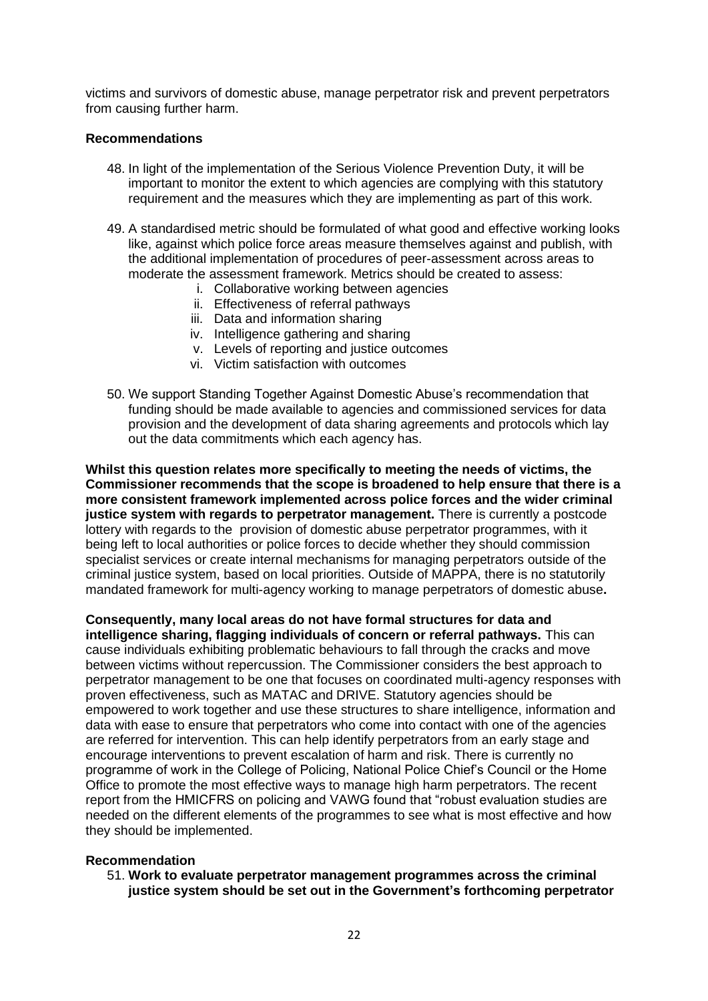victims and survivors of domestic abuse, manage perpetrator risk and prevent perpetrators from causing further harm.

## **Recommendations**

- 48. In light of the implementation of the Serious Violence Prevention Duty, it will be important to monitor the extent to which agencies are complying with this statutory requirement and the measures which they are implementing as part of this work.
- 49. A standardised metric should be formulated of what good and effective working looks like, against which police force areas measure themselves against and publish, with the additional implementation of procedures of peer-assessment across areas to moderate the assessment framework. Metrics should be created to assess:
	- i. Collaborative working between agencies
	- ii. Effectiveness of referral pathways
	- iii. Data and information sharing
	- iv. Intelligence gathering and sharing
	- v. Levels of reporting and justice outcomes
	- vi. Victim satisfaction with outcomes
- 50. We support Standing Together Against Domestic Abuse's recommendation that funding should be made available to agencies and commissioned services for data provision and the development of data sharing agreements and protocols which lay out the data commitments which each agency has.

**Whilst this question relates more specifically to meeting the needs of victims, the Commissioner recommends that the scope is broadened to help ensure that there is a more consistent framework implemented across police forces and the wider criminal justice system with regards to perpetrator management.** There is currently a postcode lottery with regards to the provision of domestic abuse perpetrator programmes, with it being left to local authorities or police forces to decide whether they should commission specialist services or create internal mechanisms for managing perpetrators outside of the criminal justice system, based on local priorities. Outside of MAPPA, there is no statutorily mandated framework for multi-agency working to manage perpetrators of domestic abuse**.**

**Consequently, many local areas do not have formal structures for data and intelligence sharing, flagging individuals of concern or referral pathways.** This can cause individuals exhibiting problematic behaviours to fall through the cracks and move between victims without repercussion. The Commissioner considers the best approach to perpetrator management to be one that focuses on coordinated multi-agency responses with proven effectiveness, such as MATAC and DRIVE. Statutory agencies should be empowered to work together and use these structures to share intelligence, information and data with ease to ensure that perpetrators who come into contact with one of the agencies are referred for intervention. This can help identify perpetrators from an early stage and encourage interventions to prevent escalation of harm and risk. There is currently no programme of work in the College of Policing, National Police Chief's Council or the Home Office to promote the most effective ways to manage high harm perpetrators. The recent report from the HMICFRS on policing and VAWG found that "robust evaluation studies are needed on the different elements of the programmes to see what is most effective and how they should be implemented.

#### **Recommendation**

51. **Work to evaluate perpetrator management programmes across the criminal justice system should be set out in the Government's forthcoming perpetrator**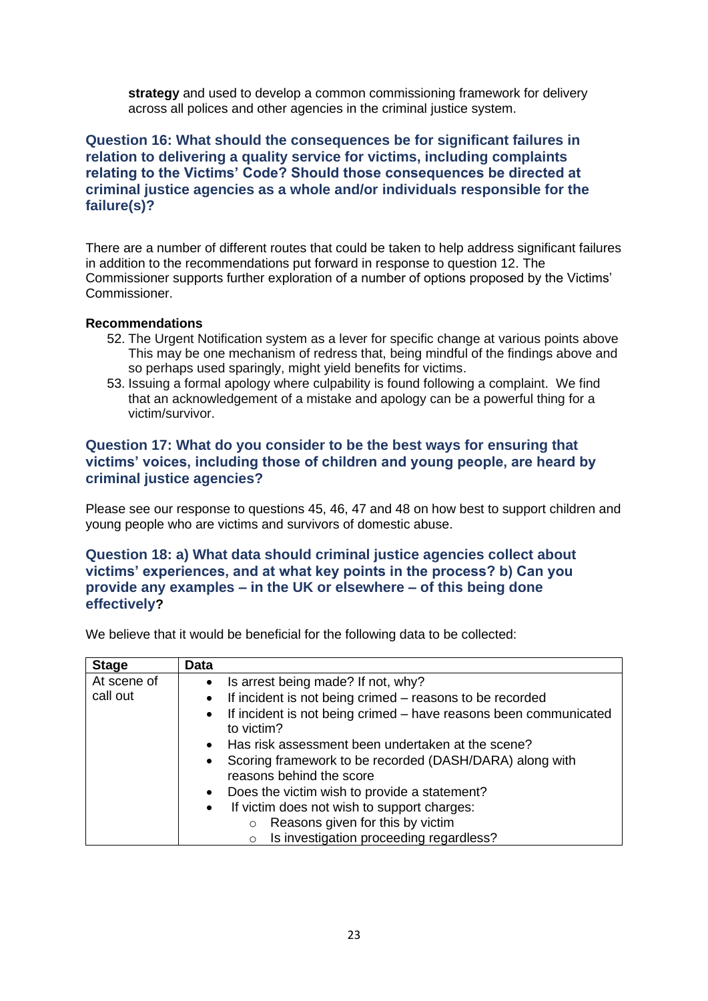**strategy** and used to develop a common commissioning framework for delivery across all polices and other agencies in the criminal justice system.

# **Question 16: What should the consequences be for significant failures in relation to delivering a quality service for victims, including complaints relating to the Victims' Code? Should those consequences be directed at criminal justice agencies as a whole and/or individuals responsible for the failure(s)?**

There are a number of different routes that could be taken to help address significant failures in addition to the recommendations put forward in response to question 12. The Commissioner supports further exploration of a number of options proposed by the Victims' Commissioner.

## **Recommendations**

- 52. The Urgent Notification system as a lever for specific change at various points above This may be one mechanism of redress that, being mindful of the findings above and so perhaps used sparingly, might yield benefits for victims.
- 53. Issuing a formal apology where culpability is found following a complaint. We find that an acknowledgement of a mistake and apology can be a powerful thing for a victim/survivor.

# **Question 17: What do you consider to be the best ways for ensuring that victims' voices, including those of children and young people, are heard by criminal justice agencies?**

Please see our response to questions 45, 46, 47 and 48 on how best to support children and young people who are victims and survivors of domestic abuse.

# **Question 18: a) What data should criminal justice agencies collect about victims' experiences, and at what key points in the process? b) Can you provide any examples – in the UK or elsewhere – of this being done effectively?**

We believe that it would be beneficial for the following data to be collected:

| <b>Stage</b> | Data                                                                                  |
|--------------|---------------------------------------------------------------------------------------|
| At scene of  | • Is arrest being made? If not, why?                                                  |
| call out     | If incident is not being crimed – reasons to be recorded<br>$\bullet$                 |
|              | • If incident is not being crimed - have reasons been communicated<br>to victim?      |
|              | • Has risk assessment been undertaken at the scene?                                   |
|              | • Scoring framework to be recorded (DASH/DARA) along with<br>reasons behind the score |
|              | Does the victim wish to provide a statement?<br>$\bullet$                             |
|              | If victim does not wish to support charges:<br>$\bullet$                              |
|              | Reasons given for this by victim<br>$\circ$                                           |
|              | Is investigation proceeding regardless?<br>$\circ$                                    |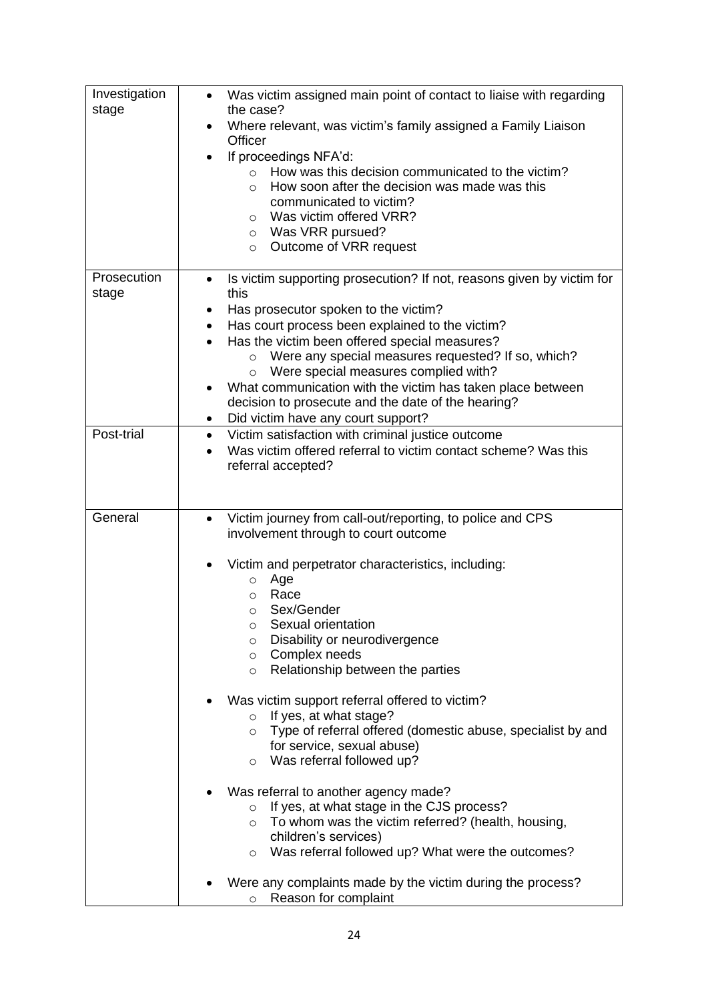| Investigation | Was victim assigned main point of contact to liaise with regarding                  |
|---------------|-------------------------------------------------------------------------------------|
| stage         | the case?                                                                           |
|               | Where relevant, was victim's family assigned a Family Liaison                       |
|               | Officer                                                                             |
|               | If proceedings NFA'd:<br>$\bullet$                                                  |
|               | How was this decision communicated to the victim?<br>$\circ$                        |
|               | How soon after the decision was made was this<br>$\circ$<br>communicated to victim? |
|               | Was victim offered VRR?                                                             |
|               | $\circ$<br>Was VRR pursued?<br>$\circ$                                              |
|               | Outcome of VRR request<br>$\circ$                                                   |
|               |                                                                                     |
| Prosecution   | Is victim supporting prosecution? If not, reasons given by victim for<br>٠          |
| stage         | this                                                                                |
|               | Has prosecutor spoken to the victim?<br>٠                                           |
|               | Has court process been explained to the victim?<br>$\bullet$                        |
|               | Has the victim been offered special measures?<br>$\bullet$                          |
|               | Were any special measures requested? If so, which?<br>$\circ$                       |
|               | Were special measures complied with?<br>$\circ$                                     |
|               | What communication with the victim has taken place between                          |
|               | decision to prosecute and the date of the hearing?                                  |
|               | Did victim have any court support?<br>٠                                             |
| Post-trial    | Victim satisfaction with criminal justice outcome<br>$\bullet$                      |
|               | Was victim offered referral to victim contact scheme? Was this                      |
|               | referral accepted?                                                                  |
|               |                                                                                     |
|               |                                                                                     |
| General       | Victim journey from call-out/reporting, to police and CPS                           |
|               | involvement through to court outcome                                                |
|               |                                                                                     |
|               | Victim and perpetrator characteristics, including:                                  |
|               | Age<br>$\circ$                                                                      |
|               | Race<br>O<br>Sex/Gender                                                             |
|               | O<br>Sexual orientation<br>O                                                        |
|               | Disability or neurodivergence<br>O                                                  |
|               | Complex needs<br>$\circ$                                                            |
|               | Relationship between the parties<br>$\circ$                                         |
|               |                                                                                     |
|               | Was victim support referral offered to victim?                                      |
|               | If yes, at what stage?<br>$\circ$                                                   |
|               | Type of referral offered (domestic abuse, specialist by and<br>$\circ$              |
|               | for service, sexual abuse)                                                          |
|               | Was referral followed up?<br>$\circ$                                                |
|               |                                                                                     |
|               | Was referral to another agency made?                                                |
|               | If yes, at what stage in the CJS process?<br>$\circ$                                |
|               | To whom was the victim referred? (health, housing,<br>$\circ$                       |
|               | children's services)                                                                |
|               | Was referral followed up? What were the outcomes?<br>O                              |
|               | Were any complaints made by the victim during the process?                          |
|               | Reason for complaint<br>$\circ$                                                     |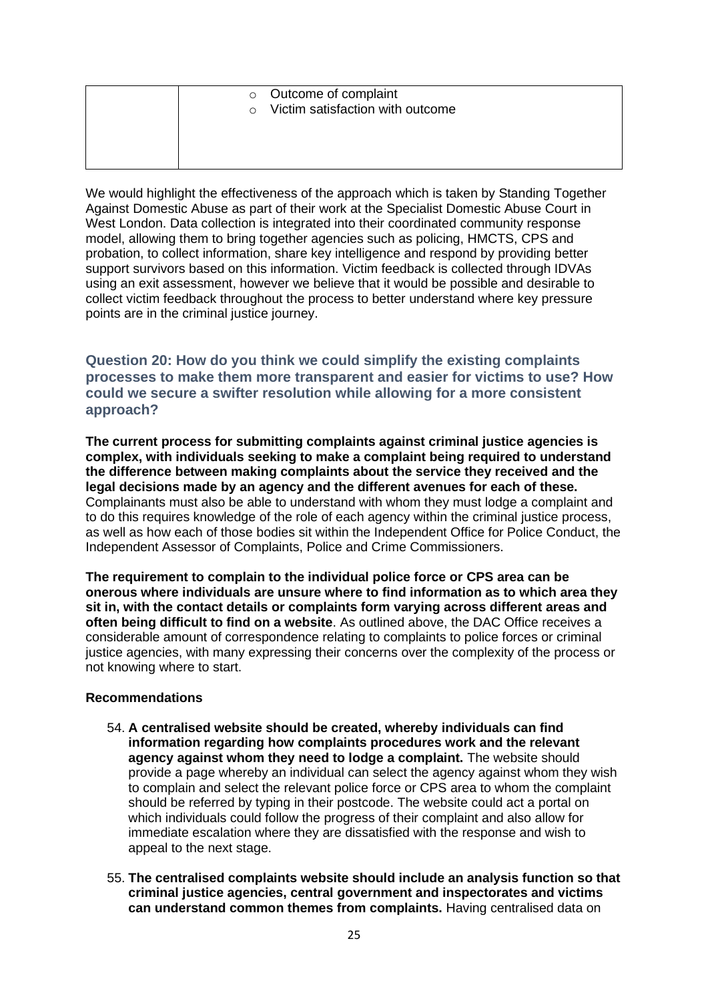| $\circ$ | o Outcome of complaint<br>Victim satisfaction with outcome |
|---------|------------------------------------------------------------|
|         |                                                            |

We would highlight the effectiveness of the approach which is taken by Standing Together Against Domestic Abuse as part of their work at the Specialist Domestic Abuse Court in West London. Data collection is integrated into their coordinated community response model, allowing them to bring together agencies such as policing, HMCTS, CPS and probation, to collect information, share key intelligence and respond by providing better support survivors based on this information. Victim feedback is collected through IDVAs using an exit assessment, however we believe that it would be possible and desirable to collect victim feedback throughout the process to better understand where key pressure points are in the criminal justice journey.

**Question 20: How do you think we could simplify the existing complaints processes to make them more transparent and easier for victims to use? How could we secure a swifter resolution while allowing for a more consistent approach?** 

**The current process for submitting complaints against criminal justice agencies is complex, with individuals seeking to make a complaint being required to understand the difference between making complaints about the service they received and the legal decisions made by an agency and the different avenues for each of these.** Complainants must also be able to understand with whom they must lodge a complaint and to do this requires knowledge of the role of each agency within the criminal justice process, as well as how each of those bodies sit within the Independent Office for Police Conduct, the Independent Assessor of Complaints, Police and Crime Commissioners.

**The requirement to complain to the individual police force or CPS area can be onerous where individuals are unsure where to find information as to which area they sit in, with the contact details or complaints form varying across different areas and often being difficult to find on a website**. As outlined above, the DAC Office receives a considerable amount of correspondence relating to complaints to police forces or criminal justice agencies, with many expressing their concerns over the complexity of the process or not knowing where to start.

#### **Recommendations**

- 54. **A centralised website should be created, whereby individuals can find information regarding how complaints procedures work and the relevant agency against whom they need to lodge a complaint.** The website should provide a page whereby an individual can select the agency against whom they wish to complain and select the relevant police force or CPS area to whom the complaint should be referred by typing in their postcode. The website could act a portal on which individuals could follow the progress of their complaint and also allow for immediate escalation where they are dissatisfied with the response and wish to appeal to the next stage.
- 55. **The centralised complaints website should include an analysis function so that criminal justice agencies, central government and inspectorates and victims can understand common themes from complaints.** Having centralised data on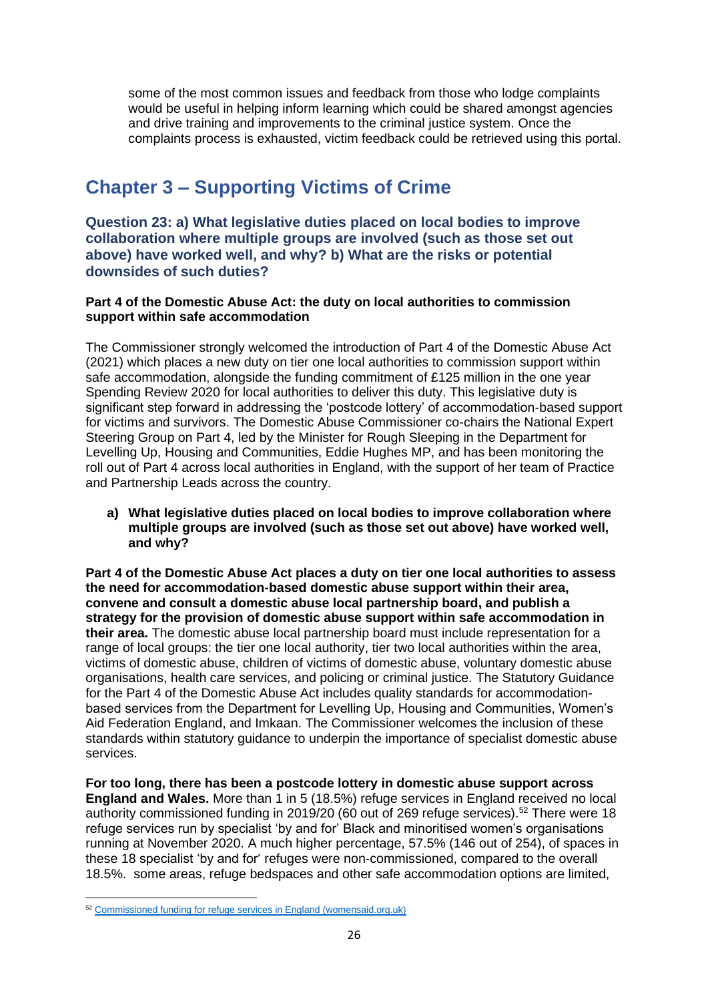some of the most common issues and feedback from those who lodge complaints would be useful in helping inform learning which could be shared amongst agencies and drive training and improvements to the criminal justice system. Once the complaints process is exhausted, victim feedback could be retrieved using this portal.

# **Chapter 3 – Supporting Victims of Crime**

**Question 23: a) What legislative duties placed on local bodies to improve collaboration where multiple groups are involved (such as those set out above) have worked well, and why? b) What are the risks or potential downsides of such duties?** 

**Part 4 of the Domestic Abuse Act: the duty on local authorities to commission support within safe accommodation**

The Commissioner strongly welcomed the introduction of Part 4 of the Domestic Abuse Act (2021) which places a new duty on tier one local authorities to commission support within safe accommodation, alongside the funding commitment of £125 million in the one year Spending Review 2020 for local authorities to deliver this duty. This legislative duty is significant step forward in addressing the 'postcode lottery' of accommodation-based support for victims and survivors. The Domestic Abuse Commissioner co-chairs the National Expert Steering Group on Part 4, led by the Minister for Rough Sleeping in the Department for Levelling Up, Housing and Communities, Eddie Hughes MP, and has been monitoring the roll out of Part 4 across local authorities in England, with the support of her team of Practice and Partnership Leads across the country.

**a) What legislative duties placed on local bodies to improve collaboration where multiple groups are involved (such as those set out above) have worked well, and why?**

**Part 4 of the Domestic Abuse Act places a duty on tier one local authorities to assess the need for accommodation-based domestic abuse support within their area, convene and consult a domestic abuse local partnership board, and publish a strategy for the provision of domestic abuse support within safe accommodation in their area.** The domestic abuse local partnership board must include representation for a range of local groups: the tier one local authority, tier two local authorities within the area, victims of domestic abuse, children of victims of domestic abuse, voluntary domestic abuse organisations, health care services, and policing or criminal justice. The Statutory Guidance for the Part 4 of the Domestic Abuse Act includes quality standards for accommodationbased services from the Department for Levelling Up, Housing and Communities, Women's Aid Federation England, and Imkaan. The Commissioner welcomes the inclusion of these standards within statutory guidance to underpin the importance of specialist domestic abuse services.

**For too long, there has been a postcode lottery in domestic abuse support across England and Wales.** More than 1 in 5 (18.5%) refuge services in England received no local authority commissioned funding in 2019/20 (60 out of 269 refuge services).<sup>52</sup> There were 18 refuge services run by specialist 'by and for' Black and minoritised women's organisations running at November 2020. A much higher percentage, 57.5% (146 out of 254), of spaces in these 18 specialist 'by and for' refuges were non-commissioned, compared to the overall 18.5%. some areas, refuge bedspaces and other safe accommodation options are limited,

<sup>52</sup> [Commissioned funding for refuge services in England \(womensaid.org.uk\)](https://www.womensaid.org.uk/wp-content/uploads/2021/02/Fragile-funding-landscape-the-extent-of-local-authority-commissioning-in-the-domestic-abuse-refuge-sector-in-England-2020.pdf)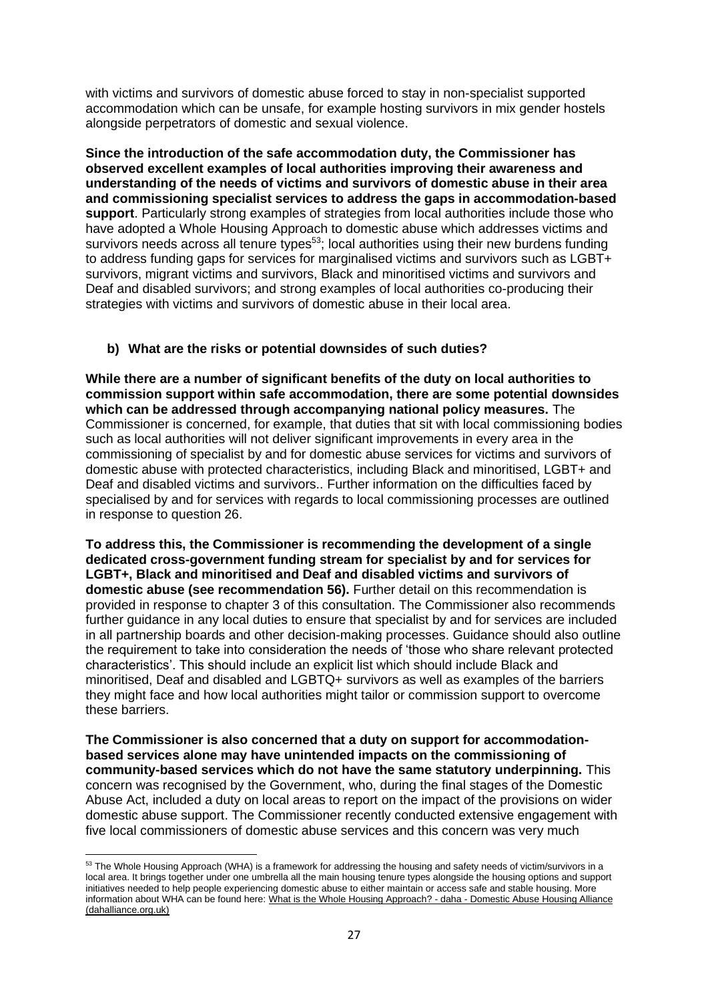with victims and survivors of domestic abuse forced to stay in non-specialist supported accommodation which can be unsafe, for example hosting survivors in mix gender hostels alongside perpetrators of domestic and sexual violence.

**Since the introduction of the safe accommodation duty, the Commissioner has observed excellent examples of local authorities improving their awareness and understanding of the needs of victims and survivors of domestic abuse in their area and commissioning specialist services to address the gaps in accommodation-based support**. Particularly strong examples of strategies from local authorities include those who have adopted a Whole Housing Approach to domestic abuse which addresses victims and survivors needs across all tenure types<sup>53</sup>; local authorities using their new burdens funding to address funding gaps for services for marginalised victims and survivors such as LGBT+ survivors, migrant victims and survivors, Black and minoritised victims and survivors and Deaf and disabled survivors; and strong examples of local authorities co-producing their strategies with victims and survivors of domestic abuse in their local area.

# **b) What are the risks or potential downsides of such duties?**

**While there are a number of significant benefits of the duty on local authorities to commission support within safe accommodation, there are some potential downsides which can be addressed through accompanying national policy measures.** The Commissioner is concerned, for example, that duties that sit with local commissioning bodies such as local authorities will not deliver significant improvements in every area in the commissioning of specialist by and for domestic abuse services for victims and survivors of domestic abuse with protected characteristics, including Black and minoritised, LGBT+ and Deaf and disabled victims and survivors.. Further information on the difficulties faced by specialised by and for services with regards to local commissioning processes are outlined in response to question 26.

**To address this, the Commissioner is recommending the development of a single dedicated cross-government funding stream for specialist by and for services for LGBT+, Black and minoritised and Deaf and disabled victims and survivors of domestic abuse (see recommendation 56).** Further detail on this recommendation is provided in response to chapter 3 of this consultation. The Commissioner also recommends further guidance in any local duties to ensure that specialist by and for services are included in all partnership boards and other decision-making processes. Guidance should also outline the requirement to take into consideration the needs of 'those who share relevant protected characteristics'. This should include an explicit list which should include Black and minoritised, Deaf and disabled and LGBTQ+ survivors as well as examples of the barriers they might face and how local authorities might tailor or commission support to overcome these barriers.

**The Commissioner is also concerned that a duty on support for accommodationbased services alone may have unintended impacts on the commissioning of community-based services which do not have the same statutory underpinning.** This concern was recognised by the Government, who, during the final stages of the Domestic Abuse Act, included a duty on local areas to report on the impact of the provisions on wider domestic abuse support. The Commissioner recently conducted extensive engagement with five local commissioners of domestic abuse services and this concern was very much

<sup>&</sup>lt;sup>53</sup> The Whole Housing Approach (WHA) is a framework for addressing the housing and safety needs of victim/survivors in a local area. It brings together under one umbrella all the main housing tenure types alongside the housing options and support initiatives needed to help people experiencing domestic abuse to either maintain or access safe and stable housing. More information about WHA can be found here: [What is the Whole Housing Approach? -](https://www.dahalliance.org.uk/what-we-do/whole-housing-approach/what-is-the-whole-housing-approach/) daha - Domestic Abuse Housing Alliance [\(dahalliance.org.uk\)](https://www.dahalliance.org.uk/what-we-do/whole-housing-approach/what-is-the-whole-housing-approach/)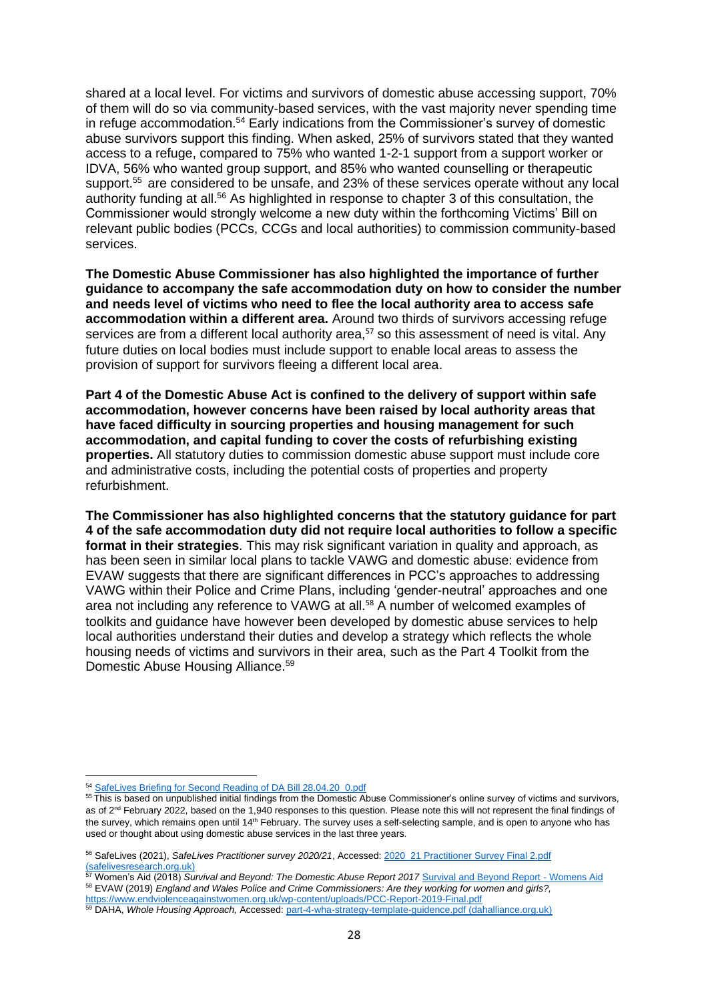shared at a local level. For victims and survivors of domestic abuse accessing support, 70% of them will do so via community-based services, with the vast majority never spending time in refuge accommodation.<sup>54</sup> Early indications from the Commissioner's survey of domestic abuse survivors support this finding. When asked, 25% of survivors stated that they wanted access to a refuge, compared to 75% who wanted 1-2-1 support from a support worker or IDVA, 56% who wanted group support, and 85% who wanted counselling or therapeutic support.<sup>55</sup> are considered to be unsafe, and 23% of these services operate without any local authority funding at all.<sup>56</sup> As highlighted in response to chapter 3 of this consultation, the Commissioner would strongly welcome a new duty within the forthcoming Victims' Bill on relevant public bodies (PCCs, CCGs and local authorities) to commission community-based services.

**The Domestic Abuse Commissioner has also highlighted the importance of further guidance to accompany the safe accommodation duty on how to consider the number and needs level of victims who need to flee the local authority area to access safe accommodation within a different area.** Around two thirds of survivors accessing refuge services are from a different local authority area,<sup>57</sup> so this assessment of need is vital. Any future duties on local bodies must include support to enable local areas to assess the provision of support for survivors fleeing a different local area.

**Part 4 of the Domestic Abuse Act is confined to the delivery of support within safe accommodation, however concerns have been raised by local authority areas that have faced difficulty in sourcing properties and housing management for such accommodation, and capital funding to cover the costs of refurbishing existing properties.** All statutory duties to commission domestic abuse support must include core and administrative costs, including the potential costs of properties and property refurbishment.

**The Commissioner has also highlighted concerns that the statutory guidance for part 4 of the safe accommodation duty did not require local authorities to follow a specific format in their strategies**. This may risk significant variation in quality and approach, as has been seen in similar local plans to tackle VAWG and domestic abuse: evidence from EVAW suggests that there are significant differences in PCC's approaches to addressing VAWG within their Police and Crime Plans, including 'gender-neutral' approaches and one area not including any reference to VAWG at all.<sup>58</sup> A number of welcomed examples of toolkits and guidance have however been developed by domestic abuse services to help local authorities understand their duties and develop a strategy which reflects the whole housing needs of victims and survivors in their area, such as the Part 4 Toolkit from the Domestic Abuse Housing Alliance.<sup>59</sup>

<sup>54</sup> [SafeLives Briefing for Second Reading of DA Bill 28.04.20\\_0.pdf](https://safelives.org.uk/sites/default/files/resources/SafeLives%20Briefing%20for%20Second%20Reading%20of%20DA%20Bill%2028.04.20_0.pdf)

<sup>&</sup>lt;sup>55</sup> This is based on unpublished initial findings from the Domestic Abuse Commissioner's online survey of victims and survivors, as of 2<sup>nd</sup> February 2022, based on the 1,940 responses to this question. Please note this will not represent the final findings of the survey, which remains open until 14<sup>th</sup> February. The survey uses a self-selecting sample, and is open to anyone who has used or thought about using domestic abuse services in the last three years.

<sup>56</sup> SafeLives (2021), *SafeLives Practitioner survey 2020/21*, Accessed: [2020\\_21 Practitioner Survey Final 2.pdf](https://www.safelivesresearch.org.uk/Comms/2020_21%20Practitioner%20Survey%20Final%202.pdf)  [\(safelivesresearch.org.uk\)](https://www.safelivesresearch.org.uk/Comms/2020_21%20Practitioner%20Survey%20Final%202.pdf)

<sup>57</sup> Women's Aid (2018) *Survival and Beyond: The Domestic Abuse Report 2017* [Survival and Beyond Report -](https://www.womensaid.org.uk/survival-beyond-report/) Womens Aid <sup>58</sup> EVAW (2019) *England and Wales Police and Crime Commissioners: Are they working for women and girls?,* 

<https://www.endviolenceagainstwomen.org.uk/wp-content/uploads/PCC-Report-2019-Final.pdf>

<sup>59</sup> DAHA, *Whole Housing Approach,* Accessed[: part-4-wha-strategy-template-guidence.pdf \(dahalliance.org.uk\)](https://www.dahalliance.org.uk/media/11072/part-4-wha-strategy-template-guidence.pdf)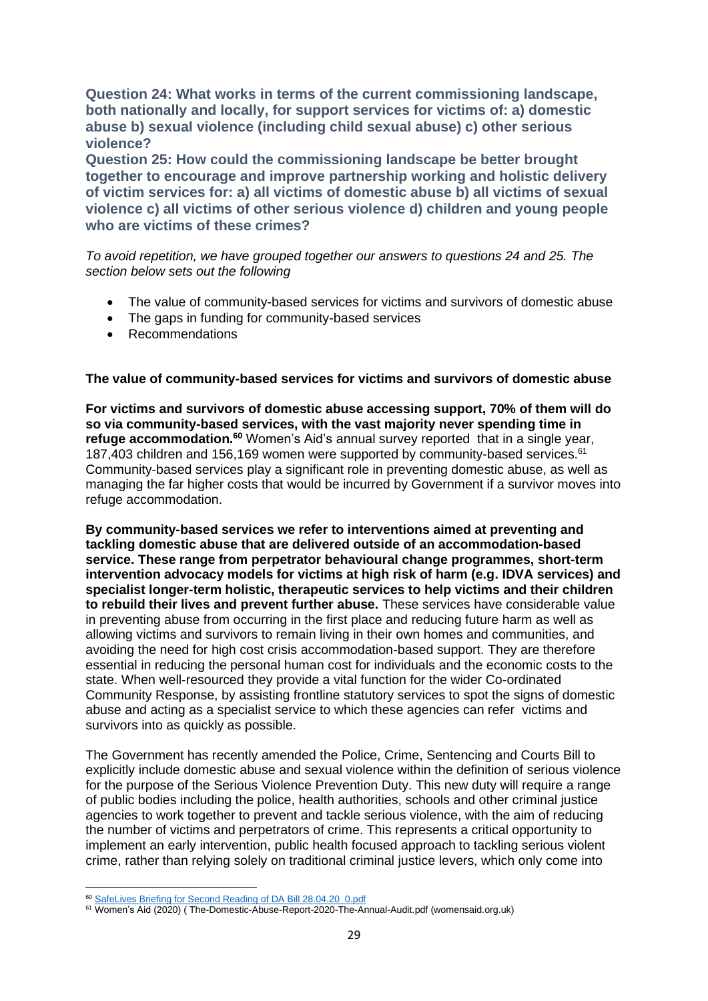**Question 24: What works in terms of the current commissioning landscape, both nationally and locally, for support services for victims of: a) domestic abuse b) sexual violence (including child sexual abuse) c) other serious violence?**

**Question 25: How could the commissioning landscape be better brought together to encourage and improve partnership working and holistic delivery of victim services for: a) all victims of domestic abuse b) all victims of sexual violence c) all victims of other serious violence d) children and young people who are victims of these crimes?**

*To avoid repetition, we have grouped together our answers to questions 24 and 25. The section below sets out the following* 

- The value of community-based services for victims and survivors of domestic abuse
- The gaps in funding for community-based services
- Recommendations

## **The value of community-based services for victims and survivors of domestic abuse**

**For victims and survivors of domestic abuse accessing support, 70% of them will do so via community-based services, with the vast majority never spending time in refuge accommodation.<sup>60</sup>** Women's Aid's annual survey reported that in a single year, 187,403 children and 156,169 women were supported by community-based services.<sup>61</sup> Community-based services play a significant role in preventing domestic abuse, as well as managing the far higher costs that would be incurred by Government if a survivor moves into refuge accommodation.

**By community-based services we refer to interventions aimed at preventing and tackling domestic abuse that are delivered outside of an accommodation-based service. These range from perpetrator behavioural change programmes, short-term intervention advocacy models for victims at high risk of harm (e.g. IDVA services) and specialist longer-term holistic, therapeutic services to help victims and their children to rebuild their lives and prevent further abuse.** These services have considerable value in preventing abuse from occurring in the first place and reducing future harm as well as allowing victims and survivors to remain living in their own homes and communities, and avoiding the need for high cost crisis accommodation-based support. They are therefore essential in reducing the personal human cost for individuals and the economic costs to the state. When well-resourced they provide a vital function for the wider Co-ordinated Community Response, by assisting frontline statutory services to spot the signs of domestic abuse and acting as a specialist service to which these agencies can refer victims and survivors into as quickly as possible.

The Government has recently amended the Police, Crime, Sentencing and Courts Bill to explicitly include domestic abuse and sexual violence within the definition of serious violence for the purpose of the Serious Violence Prevention Duty. This new duty will require a range of public bodies including the police, health authorities, schools and other criminal justice agencies to work together to prevent and tackle serious violence, with the aim of reducing the number of victims and perpetrators of crime. This represents a critical opportunity to implement an early intervention, public health focused approach to tackling serious violent crime, rather than relying solely on traditional criminal justice levers, which only come into

<sup>60</sup> [SafeLives Briefing for Second Reading of DA Bill 28.04.20\\_0.pdf](https://safelives.org.uk/sites/default/files/resources/SafeLives%20Briefing%20for%20Second%20Reading%20of%20DA%20Bill%2028.04.20_0.pdf)

<sup>61</sup> Women's Aid (2020) ( The-Domestic-Abuse-Report-2020-The-Annual-Audit.pdf (womensaid.org.uk)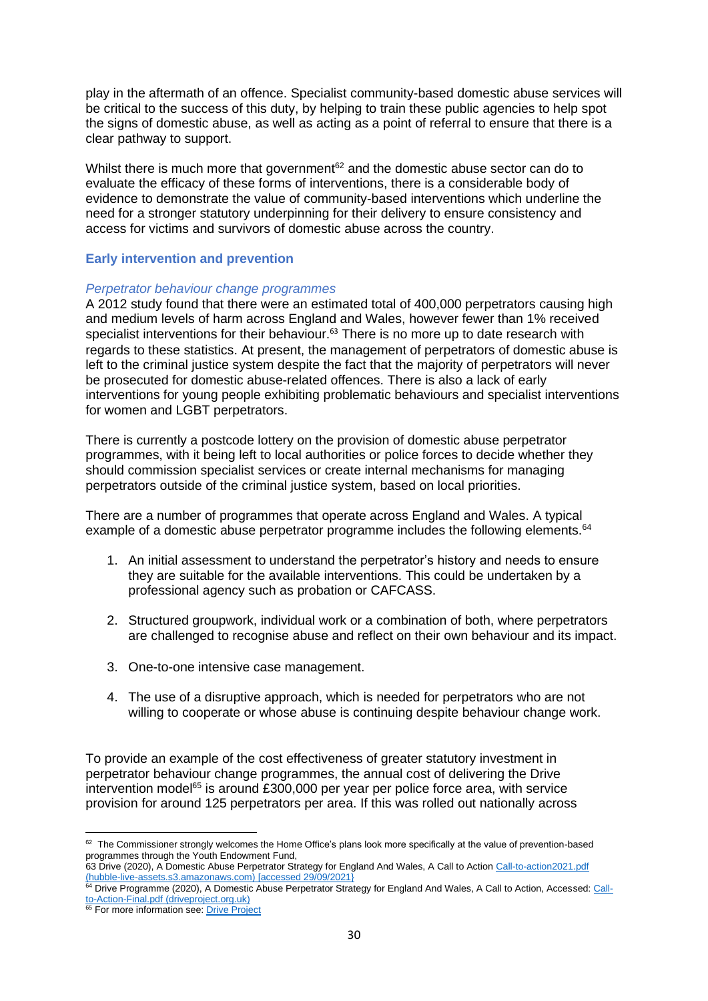play in the aftermath of an offence. Specialist community-based domestic abuse services will be critical to the success of this duty, by helping to train these public agencies to help spot the signs of domestic abuse, as well as acting as a point of referral to ensure that there is a clear pathway to support.

Whilst there is much more that government $62$  and the domestic abuse sector can do to evaluate the efficacy of these forms of interventions, there is a considerable body of evidence to demonstrate the value of community-based interventions which underline the need for a stronger statutory underpinning for their delivery to ensure consistency and access for victims and survivors of domestic abuse across the country.

## **Early intervention and prevention**

#### *Perpetrator behaviour change programmes*

A 2012 study found that there were an estimated total of 400,000 perpetrators causing high and medium levels of harm across England and Wales, however fewer than 1% received specialist interventions for their behaviour.<sup>63</sup> There is no more up to date research with regards to these statistics. At present, the management of perpetrators of domestic abuse is left to the criminal justice system despite the fact that the majority of perpetrators will never be prosecuted for domestic abuse-related offences. There is also a lack of early interventions for young people exhibiting problematic behaviours and specialist interventions for women and LGBT perpetrators.

There is currently a postcode lottery on the provision of domestic abuse perpetrator programmes, with it being left to local authorities or police forces to decide whether they should commission specialist services or create internal mechanisms for managing perpetrators outside of the criminal justice system, based on local priorities.

There are a number of programmes that operate across England and Wales. A typical example of a domestic abuse perpetrator programme includes the following elements.<sup>64</sup>

- 1. An initial assessment to understand the perpetrator's history and needs to ensure they are suitable for the available interventions. This could be undertaken by a professional agency such as probation or CAFCASS.
- 2. Structured groupwork, individual work or a combination of both, where perpetrators are challenged to recognise abuse and reflect on their own behaviour and its impact.
- 3. One-to-one intensive case management.
- 4. The use of a disruptive approach, which is needed for perpetrators who are not willing to cooperate or whose abuse is continuing despite behaviour change work.

To provide an example of the cost effectiveness of greater statutory investment in perpetrator behaviour change programmes, the annual cost of delivering the Drive intervention model<sup>65</sup> is around £300,000 per year per police force area, with service provision for around 125 perpetrators per area. If this was rolled out nationally across

<sup>&</sup>lt;sup>62</sup> The Commissioner strongly welcomes the Home Office's plans look more specifically at the value of prevention-based programmes through the Youth Endowment Fund,

<sup>63</sup> Drive (2020), A Domestic Abuse Perpetrator Strategy for England And Wales, A Call to Action [Call-to-action2021.pdf](https://hubble-live-assets.s3.amazonaws.com/respect/attachment/file/167/Call-to-action2021.pdf)  [\(hubble-live-assets.s3.amazonaws.com\)](https://hubble-live-assets.s3.amazonaws.com/respect/attachment/file/167/Call-to-action2021.pdf) [accessed 29/09/2021]<br><sup>64</sup> Drive Programme (2000) 1 P

<sup>64</sup> Drive Programme (2020), A Domestic Abuse Perpetrator Strategy for England And Wales, A Call to Action, Accessed: [Call](http://driveproject.org.uk/wp-content/uploads/2020/01/Call-to-Action-Final.pdf)[to-Action-Final.pdf \(driveproject.org.uk\)](http://driveproject.org.uk/wp-content/uploads/2020/01/Call-to-Action-Final.pdf)

<sup>&</sup>lt;sup>65</sup> For more information see[: Drive Project](http://driveproject.org.uk/)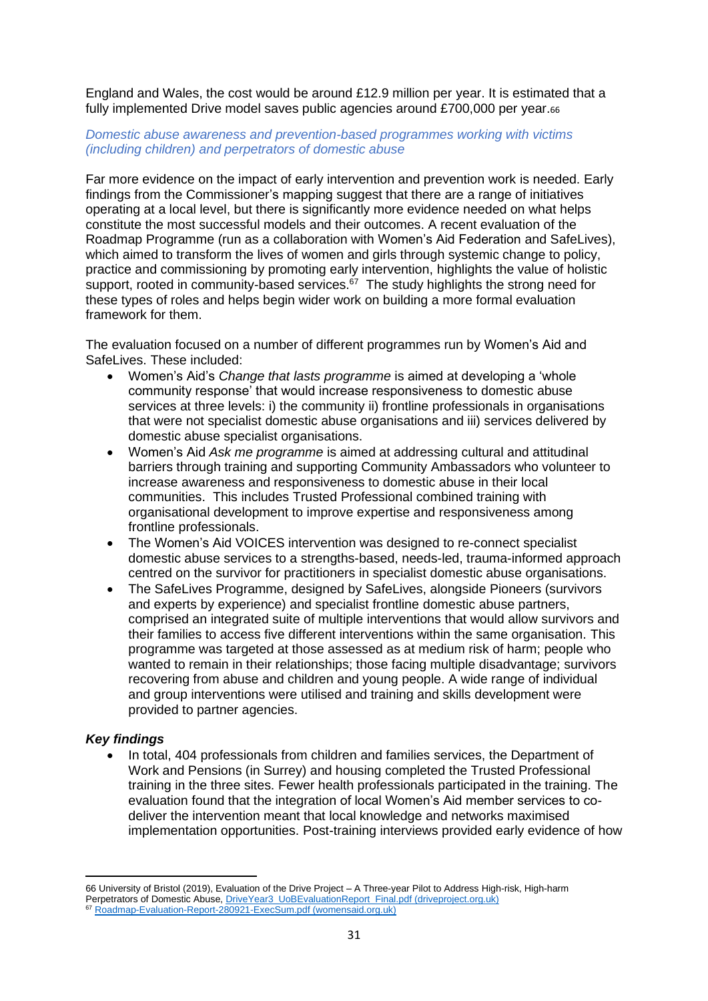England and Wales, the cost would be around £12.9 million per year. It is estimated that a fully implemented Drive model saves public agencies around £700,000 per year.66

## *Domestic abuse awareness and prevention-based programmes working with victims (including children) and perpetrators of domestic abuse*

Far more evidence on the impact of early intervention and prevention work is needed. Early findings from the Commissioner's mapping suggest that there are a range of initiatives operating at a local level, but there is significantly more evidence needed on what helps constitute the most successful models and their outcomes. A recent evaluation of the Roadmap Programme (run as a collaboration with Women's Aid Federation and SafeLives), which aimed to transform the lives of women and girls through systemic change to policy, practice and commissioning by promoting early intervention, highlights the value of holistic support, rooted in community-based services.<sup>67</sup> The study highlights the strong need for these types of roles and helps begin wider work on building a more formal evaluation framework for them.

The evaluation focused on a number of different programmes run by Women's Aid and SafeLives. These included:

- Women's Aid's *Change that lasts programme* is aimed at developing a 'whole community response' that would increase responsiveness to domestic abuse services at three levels: i) the community ii) frontline professionals in organisations that were not specialist domestic abuse organisations and iii) services delivered by domestic abuse specialist organisations.
- Women's Aid *Ask me programme* is aimed at addressing cultural and attitudinal barriers through training and supporting Community Ambassadors who volunteer to increase awareness and responsiveness to domestic abuse in their local communities. This includes Trusted Professional combined training with organisational development to improve expertise and responsiveness among frontline professionals.
- The Women's Aid VOICES intervention was designed to re-connect specialist domestic abuse services to a strengths-based, needs-led, trauma-informed approach centred on the survivor for practitioners in specialist domestic abuse organisations.
- The SafeLives Programme, designed by SafeLives, alongside Pioneers (survivors and experts by experience) and specialist frontline domestic abuse partners, comprised an integrated suite of multiple interventions that would allow survivors and their families to access five different interventions within the same organisation. This programme was targeted at those assessed as at medium risk of harm; people who wanted to remain in their relationships; those facing multiple disadvantage; survivors recovering from abuse and children and young people. A wide range of individual and group interventions were utilised and training and skills development were provided to partner agencies.

## *Key findings*

• In total, 404 professionals from children and families services, the Department of Work and Pensions (in Surrey) and housing completed the Trusted Professional training in the three sites. Fewer health professionals participated in the training. The evaluation found that the integration of local Women's Aid member services to codeliver the intervention meant that local knowledge and networks maximised implementation opportunities. Post-training interviews provided early evidence of how

<sup>66</sup> University of Bristol (2019), Evaluation of the Drive Project – A Three-year Pilot to Address High-risk, High-harm Perpetrators of Domestic Abuse, [DriveYear3\\_UoBEvaluationReport\\_Final.pdf \(driveproject.org.uk\)](http://driveproject.org.uk/wp-content/uploads/2020/03/DriveYear3_UoBEvaluationReport_Final.pdf) <sup>67</sup> [Roadmap-Evaluation-Report-280921-ExecSum.pdf \(womensaid.org.uk\)](https://www.womensaid.org.uk/wp-content/uploads/2021/10/Roadmap-Evaluation-Report-280921-ExecSum.pdf)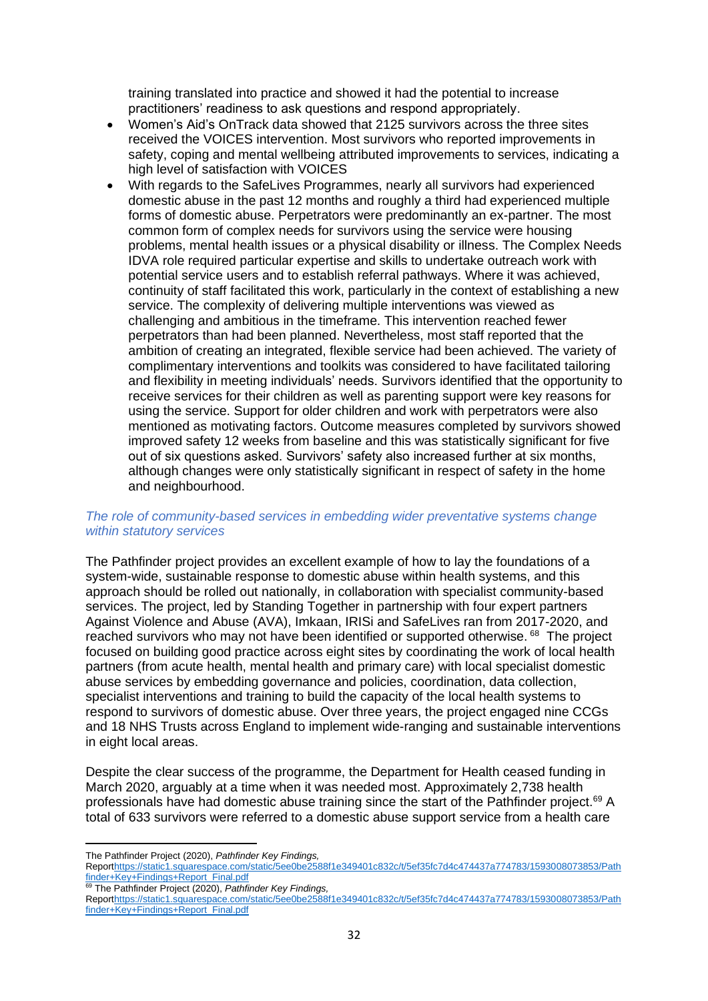training translated into practice and showed it had the potential to increase practitioners' readiness to ask questions and respond appropriately.

- Women's Aid's OnTrack data showed that 2125 survivors across the three sites received the VOICES intervention. Most survivors who reported improvements in safety, coping and mental wellbeing attributed improvements to services, indicating a high level of satisfaction with VOICES
- With regards to the SafeLives Programmes, nearly all survivors had experienced domestic abuse in the past 12 months and roughly a third had experienced multiple forms of domestic abuse. Perpetrators were predominantly an ex-partner. The most common form of complex needs for survivors using the service were housing problems, mental health issues or a physical disability or illness. The Complex Needs IDVA role required particular expertise and skills to undertake outreach work with potential service users and to establish referral pathways. Where it was achieved, continuity of staff facilitated this work, particularly in the context of establishing a new service. The complexity of delivering multiple interventions was viewed as challenging and ambitious in the timeframe. This intervention reached fewer perpetrators than had been planned. Nevertheless, most staff reported that the ambition of creating an integrated, flexible service had been achieved. The variety of complimentary interventions and toolkits was considered to have facilitated tailoring and flexibility in meeting individuals' needs. Survivors identified that the opportunity to receive services for their children as well as parenting support were key reasons for using the service. Support for older children and work with perpetrators were also mentioned as motivating factors. Outcome measures completed by survivors showed improved safety 12 weeks from baseline and this was statistically significant for five out of six questions asked. Survivors' safety also increased further at six months, although changes were only statistically significant in respect of safety in the home and neighbourhood.

## *The role of community-based services in embedding wider preventative systems change within statutory services*

The Pathfinder project provides an excellent example of how to lay the foundations of a system-wide, sustainable response to domestic abuse within health systems, and this approach should be rolled out nationally, in collaboration with specialist community-based services. The project, led by Standing Together in partnership with four expert partners Against Violence and Abuse (AVA), Imkaan, IRISi and SafeLives ran from 2017-2020, and reached survivors who may not have been identified or supported otherwise. <sup>68</sup> The project focused on building good practice across eight sites by coordinating the work of local health partners (from acute health, mental health and primary care) with local specialist domestic abuse services by embedding governance and policies, coordination, data collection, specialist interventions and training to build the capacity of the local health systems to respond to survivors of domestic abuse. Over three years, the project engaged nine CCGs and 18 NHS Trusts across England to implement wide-ranging and sustainable interventions in eight local areas.

Despite the clear success of the programme, the Department for Health ceased funding in March 2020, arguably at a time when it was needed most. Approximately 2,738 health professionals have had domestic abuse training since the start of the Pathfinder project.<sup>69</sup> A total of 633 survivors were referred to a domestic abuse support service from a health care

The Pathfinder Project (2020), *Pathfinder Key Findings,*

Repor[thttps://static1.squarespace.com/static/5ee0be2588f1e349401c832c/t/5ef35fc7d4c474437a774783/1593008073853/Path](https://static1.squarespace.com/static/5ee0be2588f1e349401c832c/t/5ef35fc7d4c474437a774783/1593008073853/Pathfinder+Key+Findings+Report_Final.pdf) [finder+Key+Findings+Report\\_Final.pdf](https://static1.squarespace.com/static/5ee0be2588f1e349401c832c/t/5ef35fc7d4c474437a774783/1593008073853/Pathfinder+Key+Findings+Report_Final.pdf)

<sup>69</sup> The Pathfinder Project (2020), *Pathfinder Key Findings,*

Repor[thttps://static1.squarespace.com/static/5ee0be2588f1e349401c832c/t/5ef35fc7d4c474437a774783/1593008073853/Path](https://static1.squarespace.com/static/5ee0be2588f1e349401c832c/t/5ef35fc7d4c474437a774783/1593008073853/Pathfinder+Key+Findings+Report_Final.pdf) [finder+Key+Findings+Report\\_Final.pdf](https://static1.squarespace.com/static/5ee0be2588f1e349401c832c/t/5ef35fc7d4c474437a774783/1593008073853/Pathfinder+Key+Findings+Report_Final.pdf)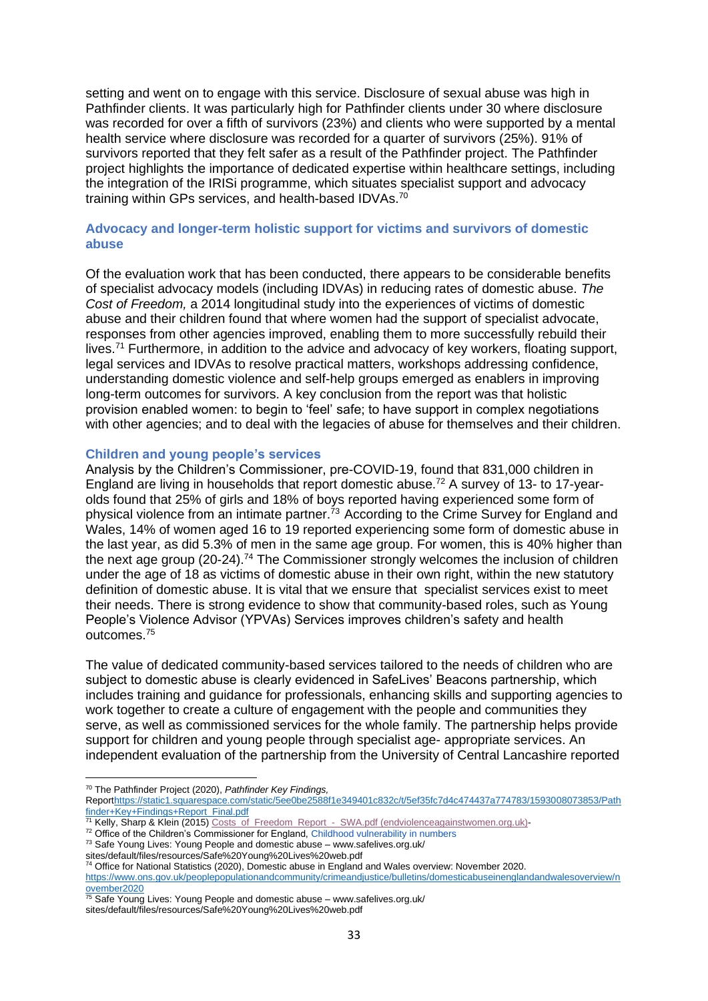setting and went on to engage with this service. Disclosure of sexual abuse was high in Pathfinder clients. It was particularly high for Pathfinder clients under 30 where disclosure was recorded for over a fifth of survivors (23%) and clients who were supported by a mental health service where disclosure was recorded for a quarter of survivors (25%). 91% of survivors reported that they felt safer as a result of the Pathfinder project. The Pathfinder project highlights the importance of dedicated expertise within healthcare settings, including the integration of the IRISi programme, which situates specialist support and advocacy training within GPs services, and health-based IDVAs.<sup>70</sup>

### **Advocacy and longer-term holistic support for victims and survivors of domestic abuse**

Of the evaluation work that has been conducted, there appears to be considerable benefits of specialist advocacy models (including IDVAs) in reducing rates of domestic abuse. *The Cost of Freedom,* a 2014 longitudinal study into the experiences of victims of domestic abuse and their children found that where women had the support of specialist advocate, responses from other agencies improved, enabling them to more successfully rebuild their lives.<sup>71</sup> Furthermore, in addition to the advice and advocacy of key workers, floating support, legal services and IDVAs to resolve practical matters, workshops addressing confidence, understanding domestic violence and self-help groups emerged as enablers in improving long-term outcomes for survivors. A key conclusion from the report was that holistic provision enabled women: to begin to 'feel' safe; to have support in complex negotiations with other agencies; and to deal with the legacies of abuse for themselves and their children.

#### **Children and young people's services**

Analysis by the Children's Commissioner, pre-COVID-19, found that 831,000 children in England are living in households that report domestic abuse.<sup>72</sup> A survey of 13- to 17-yearolds found that 25% of girls and 18% of boys reported having experienced some form of physical violence from an intimate partner.<sup>73</sup> According to the Crime Survey for England and Wales, 14% of women aged 16 to 19 reported experiencing some form of domestic abuse in the last year, as did 5.3% of men in the same age group. For women, this is 40% higher than the next age group  $(20-24)$ .<sup>74</sup> The Commissioner strongly welcomes the inclusion of children under the age of 18 as victims of domestic abuse in their own right, within the new statutory definition of domestic abuse. It is vital that we ensure that specialist services exist to meet their needs. There is strong evidence to show that community-based roles, such as Young People's Violence Advisor (YPVAs) Services improves children's safety and health outcomes.<sup>75</sup>

The value of dedicated community-based services tailored to the needs of children who are subject to domestic abuse is clearly evidenced in SafeLives' Beacons partnership, which includes training and guidance for professionals, enhancing skills and supporting agencies to work together to create a culture of engagement with the people and communities they serve, as well as commissioned services for the whole family. The partnership helps provide support for children and young people through specialist age- appropriate services. An independent evaluation of the partnership from the University of Central Lancashire reported

<sup>70</sup> The Pathfinder Project (2020), *Pathfinder Key Findings,* Repor[thttps://static1.squarespace.com/static/5ee0be2588f1e349401c832c/t/5ef35fc7d4c474437a774783/1593008073853/Path](https://static1.squarespace.com/static/5ee0be2588f1e349401c832c/t/5ef35fc7d4c474437a774783/1593008073853/Pathfinder+Key+Findings+Report_Final.pdf) [finder+Key+Findings+Report\\_Final.pdf](https://static1.squarespace.com/static/5ee0be2588f1e349401c832c/t/5ef35fc7d4c474437a774783/1593008073853/Pathfinder+Key+Findings+Report_Final.pdf)

<sup>71</sup> Kelly, Sharp & Klein (2015) [Costs\\_of\\_Freedom\\_Report\\_-\\_SWA.pdf \(endviolenceagainstwomen.org.uk\)-](https://www.endviolenceagainstwomen.org.uk/wp-content/uploads/Costs_of_Freedom_Report_-_SWA.pdf)

sites/default/files/resources/Safe%20Young%20Lives%20web.pdf

<sup>74</sup> Office for National Statistics (2020), Domestic abuse in England and Wales overview: November 2020.

sites/default/files/resources/Safe%20Young%20Lives%20web.pdf

<sup>&</sup>lt;sup>72</sup> Office of the Children's Commissioner for England, Childhood vulnerability in numbers

<sup>73</sup> Safe Young Lives: Young People and domestic abuse – www.safelives.org.uk/

[https://www.ons.gov.uk/peoplepopulationandcommunity/crimeandjustice/bulletins/domesticabuseinenglandandwalesoverview/n](https://www.ons.gov.uk/peoplepopulationandcommunity/crimeandjustice/bulletins/domesticabuseinenglandandwalesoverview/november2020) [ovember2020](https://www.ons.gov.uk/peoplepopulationandcommunity/crimeandjustice/bulletins/domesticabuseinenglandandwalesoverview/november2020)

<sup>&</sup>lt;sup>75</sup> Safe Young Lives: Young People and domestic abuse – www.safelives.org.uk/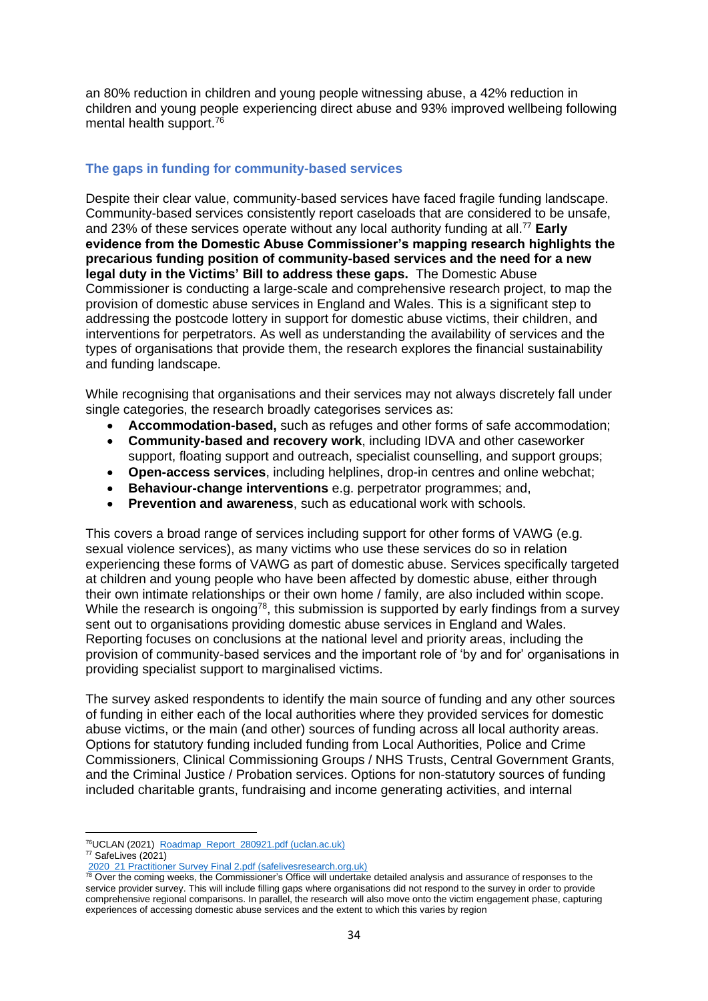an 80% reduction in children and young people witnessing abuse, a 42% reduction in children and young people experiencing direct abuse and 93% improved wellbeing following mental health support.<sup>76</sup>

# **The gaps in funding for community-based services**

Despite their clear value, community-based services have faced fragile funding landscape. Community-based services consistently report caseloads that are considered to be unsafe, and 23% of these services operate without any local authority funding at all.<sup>77</sup> **Early evidence from the Domestic Abuse Commissioner's mapping research highlights the precarious funding position of community-based services and the need for a new legal duty in the Victims' Bill to address these gaps.** The Domestic Abuse Commissioner is conducting a large-scale and comprehensive research project, to map the provision of domestic abuse services in England and Wales. This is a significant step to addressing the postcode lottery in support for domestic abuse victims, their children, and interventions for perpetrators. As well as understanding the availability of services and the types of organisations that provide them, the research explores the financial sustainability and funding landscape.

While recognising that organisations and their services may not always discretely fall under single categories, the research broadly categorises services as:

- **Accommodation-based,** such as refuges and other forms of safe accommodation;
- **Community-based and recovery work**, including IDVA and other caseworker support, floating support and outreach, specialist counselling, and support groups;
- **Open-access services**, including helplines, drop-in centres and online webchat;
- **Behaviour-change interventions** e.g. perpetrator programmes; and,
- **Prevention and awareness**, such as educational work with schools.

This covers a broad range of services including support for other forms of VAWG (e.g. sexual violence services), as many victims who use these services do so in relation experiencing these forms of VAWG as part of domestic abuse. Services specifically targeted at children and young people who have been affected by domestic abuse, either through their own intimate relationships or their own home / family, are also included within scope. While the research is ongoing<sup>78</sup>, this submission is supported by early findings from a survey sent out to organisations providing domestic abuse services in England and Wales. Reporting focuses on conclusions at the national level and priority areas, including the provision of community-based services and the important role of 'by and for' organisations in providing specialist support to marginalised victims.

The survey asked respondents to identify the main source of funding and any other sources of funding in either each of the local authorities where they provided services for domestic abuse victims, or the main (and other) sources of funding across all local authority areas. Options for statutory funding included funding from Local Authorities, Police and Crime Commissioners, Clinical Commissioning Groups / NHS Trusts, Central Government Grants, and the Criminal Justice / Probation services. Options for non-statutory sources of funding included charitable grants, fundraising and income generating activities, and internal

<sup>76</sup>UCLAN (2021) [Roadmap\\_Report\\_280921.pdf \(uclan.ac.uk\)](http://clok.uclan.ac.uk/39447/2/Roadmap_Report_280921.pdf)  $77$  SafeLives (2021)

[<sup>2020</sup>\\_21 Practitioner Survey Final 2.pdf \(safelivesresearch.org.uk\)](https://www.safelivesresearch.org.uk/Comms/2020_21%20Practitioner%20Survey%20Final%202.pdf)

**FOLD EXTERNATIONS COLLS, THE PERFORMATION CONTROLLY AND THE COMMUNIST CONTROLLY TO OVER THE COMMUNISTION** THE COMMUNISTION OF THE COMMUNISTION COLLS TO UNDER THE COMMUNISTION OF THE COMMUNISTION OF THE COMMUNISTION OF THE service provider survey. This will include filling gaps where organisations did not respond to the survey in order to provide comprehensive regional comparisons. In parallel, the research will also move onto the victim engagement phase, capturing experiences of accessing domestic abuse services and the extent to which this varies by region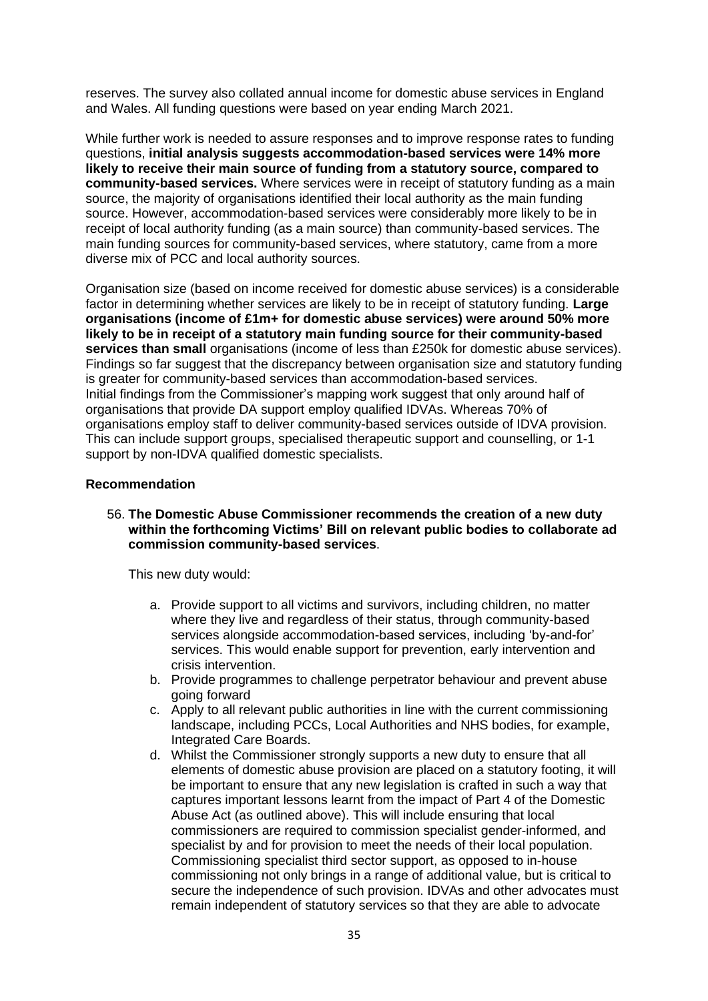reserves. The survey also collated annual income for domestic abuse services in England and Wales. All funding questions were based on year ending March 2021.

While further work is needed to assure responses and to improve response rates to funding questions, **initial analysis suggests accommodation-based services were 14% more likely to receive their main source of funding from a statutory source, compared to community-based services.** Where services were in receipt of statutory funding as a main source, the majority of organisations identified their local authority as the main funding source. However, accommodation-based services were considerably more likely to be in receipt of local authority funding (as a main source) than community-based services. The main funding sources for community-based services, where statutory, came from a more diverse mix of PCC and local authority sources.

Organisation size (based on income received for domestic abuse services) is a considerable factor in determining whether services are likely to be in receipt of statutory funding. **Large organisations (income of £1m+ for domestic abuse services) were around 50% more likely to be in receipt of a statutory main funding source for their community-based services than small** organisations (income of less than £250k for domestic abuse services). Findings so far suggest that the discrepancy between organisation size and statutory funding is greater for community-based services than accommodation-based services. Initial findings from the Commissioner's mapping work suggest that only around half of organisations that provide DA support employ qualified IDVAs. Whereas 70% of organisations employ staff to deliver community-based services outside of IDVA provision. This can include support groups, specialised therapeutic support and counselling, or 1-1 support by non-IDVA qualified domestic specialists.

#### **Recommendation**

### 56. **The Domestic Abuse Commissioner recommends the creation of a new duty within the forthcoming Victims' Bill on relevant public bodies to collaborate ad commission community-based services**.

This new duty would:

- a. Provide support to all victims and survivors, including children, no matter where they live and regardless of their status, through community-based services alongside accommodation-based services, including 'by-and-for' services. This would enable support for prevention, early intervention and crisis intervention.
- b. Provide programmes to challenge perpetrator behaviour and prevent abuse going forward
- c. Apply to all relevant public authorities in line with the current commissioning landscape, including PCCs, Local Authorities and NHS bodies, for example, Integrated Care Boards.
- d. Whilst the Commissioner strongly supports a new duty to ensure that all elements of domestic abuse provision are placed on a statutory footing, it will be important to ensure that any new legislation is crafted in such a way that captures important lessons learnt from the impact of Part 4 of the Domestic Abuse Act (as outlined above). This will include ensuring that local commissioners are required to commission specialist gender-informed, and specialist by and for provision to meet the needs of their local population. Commissioning specialist third sector support, as opposed to in-house commissioning not only brings in a range of additional value, but is critical to secure the independence of such provision. IDVAs and other advocates must remain independent of statutory services so that they are able to advocate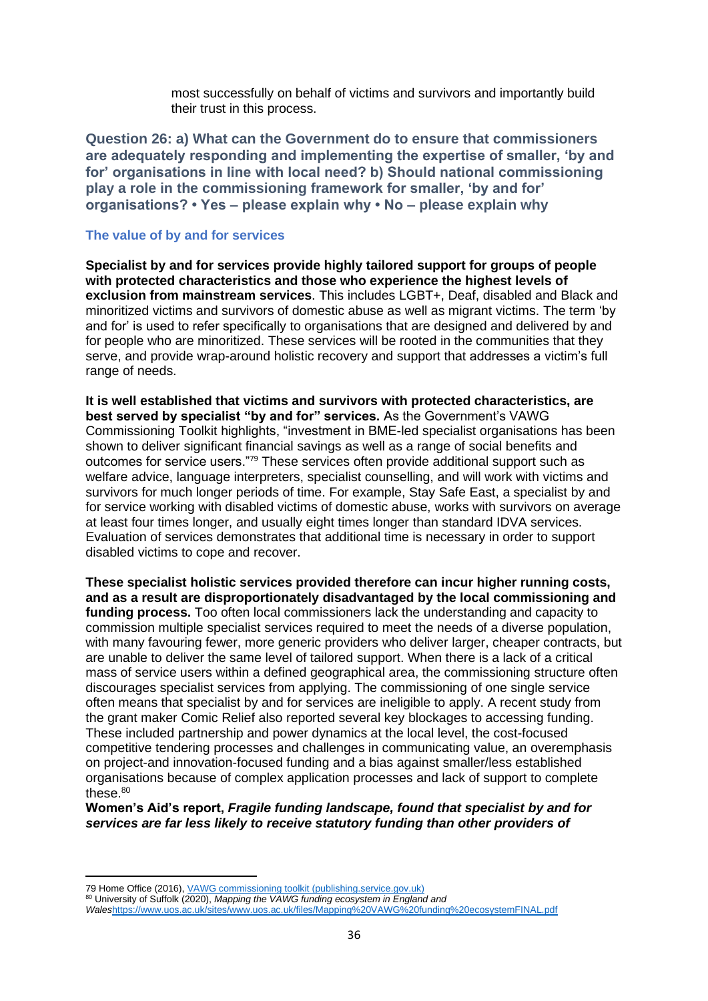most successfully on behalf of victims and survivors and importantly build their trust in this process.

**Question 26: a) What can the Government do to ensure that commissioners are adequately responding and implementing the expertise of smaller, 'by and for' organisations in line with local need? b) Should national commissioning play a role in the commissioning framework for smaller, 'by and for' organisations? • Yes – please explain why • No – please explain why**

#### **The value of by and for services**

**Specialist by and for services provide highly tailored support for groups of people with protected characteristics and those who experience the highest levels of exclusion from mainstream services**. This includes LGBT+, Deaf, disabled and Black and minoritized victims and survivors of domestic abuse as well as migrant victims. The term 'by and for' is used to refer specifically to organisations that are designed and delivered by and for people who are minoritized. These services will be rooted in the communities that they serve, and provide wrap-around holistic recovery and support that addresses a victim's full range of needs.

**It is well established that victims and survivors with protected characteristics, are best served by specialist "by and for" services.** As the Government's VAWG Commissioning Toolkit highlights, "investment in BME-led specialist organisations has been shown to deliver significant financial savings as well as a range of social benefits and outcomes for service users."<sup>79</sup> These services often provide additional support such as welfare advice, language interpreters, specialist counselling, and will work with victims and survivors for much longer periods of time. For example, Stay Safe East, a specialist by and for service working with disabled victims of domestic abuse, works with survivors on average at least four times longer, and usually eight times longer than standard IDVA services. Evaluation of services demonstrates that additional time is necessary in order to support disabled victims to cope and recover.

**These specialist holistic services provided therefore can incur higher running costs, and as a result are disproportionately disadvantaged by the local commissioning and funding process.** Too often local commissioners lack the understanding and capacity to commission multiple specialist services required to meet the needs of a diverse population, with many favouring fewer, more generic providers who deliver larger, cheaper contracts, but are unable to deliver the same level of tailored support. When there is a lack of a critical mass of service users within a defined geographical area, the commissioning structure often discourages specialist services from applying. The commissioning of one single service often means that specialist by and for services are ineligible to apply. A recent study from the grant maker Comic Relief also reported several key blockages to accessing funding. These included partnership and power dynamics at the local level, the cost-focused competitive tendering processes and challenges in communicating value, an overemphasis on project-and innovation-focused funding and a bias against smaller/less established organisations because of complex application processes and lack of support to complete these. $80$ 

**Women's Aid's report,** *Fragile funding landscape, found that specialist by and for services are far less likely to receive statutory funding than other providers of* 

<sup>80</sup> University of Suffolk (2020), *Mapping the VAWG funding ecosystem in England and* 

*Wales*<https://www.uos.ac.uk/sites/www.uos.ac.uk/files/Mapping%20VAWG%20funding%20ecosystemFINAL.pdf>

<sup>79</sup> Home Office (2016)[, VAWG commissioning toolkit \(publishing.service.gov.uk\)](https://assets.publishing.service.gov.uk/government/uploads/system/uploads/attachment_data/file/576238/VAWG_Commissioning_Toolkit.pdf)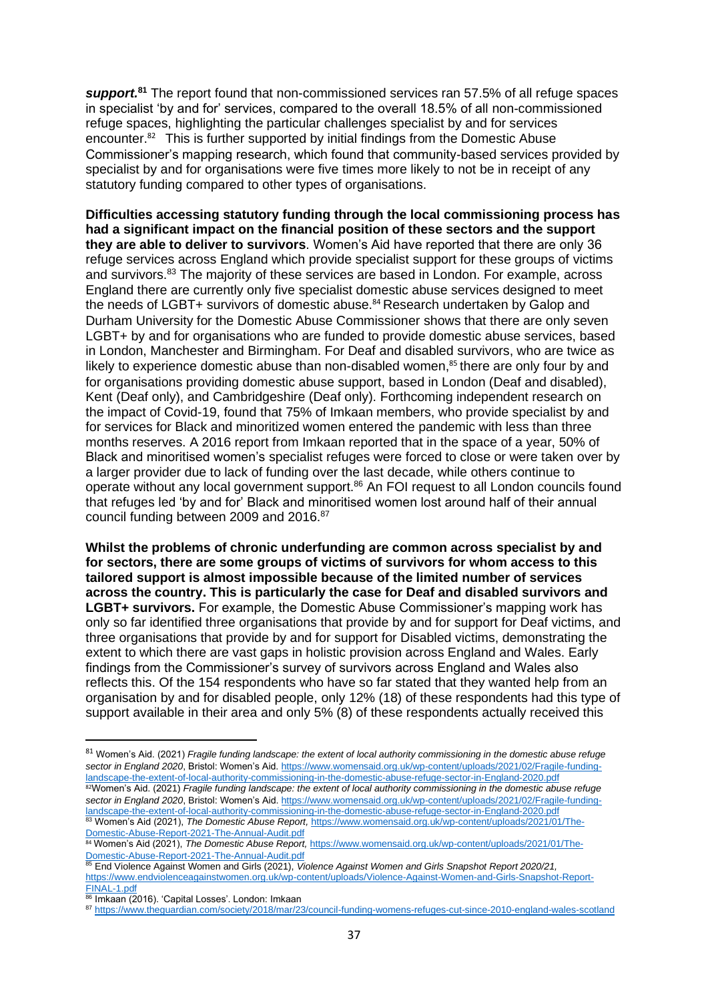*support.***<sup>81</sup>** The report found that non-commissioned services ran 57.5% of all refuge spaces in specialist 'by and for' services, compared to the overall 18.5% of all non-commissioned refuge spaces, highlighting the particular challenges specialist by and for services encounter.<sup>82</sup> This is further supported by initial findings from the Domestic Abuse Commissioner's mapping research, which found that community-based services provided by specialist by and for organisations were five times more likely to not be in receipt of any statutory funding compared to other types of organisations.

**Difficulties accessing statutory funding through the local commissioning process has had a significant impact on the financial position of these sectors and the support they are able to deliver to survivors**. Women's Aid have reported that there are only 36 refuge services across England which provide specialist support for these groups of victims and survivors.<sup>83</sup> The majority of these services are based in London. For example, across England there are currently only five specialist domestic abuse services designed to meet the needs of LGBT+ survivors of domestic abuse.<sup>84</sup> Research undertaken by Galop and Durham University for the Domestic Abuse Commissioner shows that there are only seven LGBT+ by and for organisations who are funded to provide domestic abuse services, based in London, Manchester and Birmingham. For Deaf and disabled survivors, who are twice as likely to experience domestic abuse than non-disabled women,<sup>85</sup> there are only four by and for organisations providing domestic abuse support, based in London (Deaf and disabled), Kent (Deaf only), and Cambridgeshire (Deaf only). Forthcoming independent research on the impact of Covid-19, found that 75% of Imkaan members, who provide specialist by and for services for Black and minoritized women entered the pandemic with less than three months reserves. A 2016 report from Imkaan reported that in the space of a year, 50% of Black and minoritised women's specialist refuges were forced to close or were taken over by a larger provider due to lack of funding over the last decade, while others continue to operate without any local government support.<sup>86</sup> An FOI request to all London councils found that refuges led 'by and for' Black and minoritised women lost around half of their annual council funding between 2009 and 2016.<sup>87</sup>

**Whilst the problems of chronic underfunding are common across specialist by and for sectors, there are some groups of victims of survivors for whom access to this tailored support is almost impossible because of the limited number of services across the country. This is particularly the case for Deaf and disabled survivors and LGBT+ survivors.** For example, the Domestic Abuse Commissioner's mapping work has only so far identified three organisations that provide by and for support for Deaf victims, and three organisations that provide by and for support for Disabled victims, demonstrating the extent to which there are vast gaps in holistic provision across England and Wales. Early findings from the Commissioner's survey of survivors across England and Wales also reflects this. Of the 154 respondents who have so far stated that they wanted help from an organisation by and for disabled people, only 12% (18) of these respondents had this type of support available in their area and only 5% (8) of these respondents actually received this

<sup>81</sup> Women's Aid. (2021) *Fragile funding landscape: the extent of local authority commissioning in the domestic abuse refuge sector in England 2020*, Bristol: Women's Aid[. https://www.womensaid.org.uk/wp-content/uploads/2021/02/Fragile-funding](https://www.womensaid.org.uk/wp-content/uploads/2021/02/Fragile-funding-landscape-the-extent-of-local-authority-commissioning-in-the-domestic-abuse-refuge-sector-in-England-2020.pdf)[landscape-the-extent-of-local-authority-commissioning-in-the-domestic-abuse-refuge-sector-in-England-2020.pdf](https://www.womensaid.org.uk/wp-content/uploads/2021/02/Fragile-funding-landscape-the-extent-of-local-authority-commissioning-in-the-domestic-abuse-refuge-sector-in-England-2020.pdf) <sup>82</sup>Women's Aid. (2021) *Fragile funding landscape: the extent of local authority commissioning in the domestic abuse refuge sector in England 2020*, Bristol: Women's Aid[. https://www.womensaid.org.uk/wp-content/uploads/2021/02/Fragile-funding](https://www.womensaid.org.uk/wp-content/uploads/2021/02/Fragile-funding-landscape-the-extent-of-local-authority-commissioning-in-the-domestic-abuse-refuge-sector-in-England-2020.pdf)[landscape-the-extent-of-local-authority-commissioning-in-the-domestic-abuse-refuge-sector-in-England-2020.pdf](https://www.womensaid.org.uk/wp-content/uploads/2021/02/Fragile-funding-landscape-the-extent-of-local-authority-commissioning-in-the-domestic-abuse-refuge-sector-in-England-2020.pdf)

<sup>83</sup> Women's Aid (2021), *The Domestic Abuse Report,* [https://www.womensaid.org.uk/wp-content/uploads/2021/01/The-](https://www.womensaid.org.uk/wp-content/uploads/2021/01/The-Domestic-Abuse-Report-2021-The-Annual-Audit.pdf)[Domestic-Abuse-Report-2021-The-Annual-Audit.pdf](https://www.womensaid.org.uk/wp-content/uploads/2021/01/The-Domestic-Abuse-Report-2021-The-Annual-Audit.pdf)

<sup>84</sup> Women's Aid (2021), The Domestic Abuse Report, [https://www.womensaid.org.uk/wp-content/uploads/2021/01/The-](https://www.womensaid.org.uk/wp-content/uploads/2021/01/The-Domestic-Abuse-Report-2021-The-Annual-Audit.pdf)[Domestic-Abuse-Report-2021-The-Annual-Audit.pdf](https://www.womensaid.org.uk/wp-content/uploads/2021/01/The-Domestic-Abuse-Report-2021-The-Annual-Audit.pdf)

<sup>85</sup> End Violence Against Women and Girls (2021), *Violence Against Women and Girls Snapshot Report 2020/21,*  [https://www.endviolenceagainstwomen.org.uk/wp-content/uploads/Violence-Against-Women-and-Girls-Snapshot-Report-](https://www.endviolenceagainstwomen.org.uk/wp-content/uploads/Violence-Against-Women-and-Girls-Snapshot-Report-FINAL-1.pdf)[FINAL-1.pdf](https://www.endviolenceagainstwomen.org.uk/wp-content/uploads/Violence-Against-Women-and-Girls-Snapshot-Report-FINAL-1.pdf)

<sup>86</sup> Imkaan (2016). 'Capital Losses'. London: Imkaan

<sup>87</sup> <https://www.theguardian.com/society/2018/mar/23/council-funding-womens-refuges-cut-since-2010-england-wales-scotland>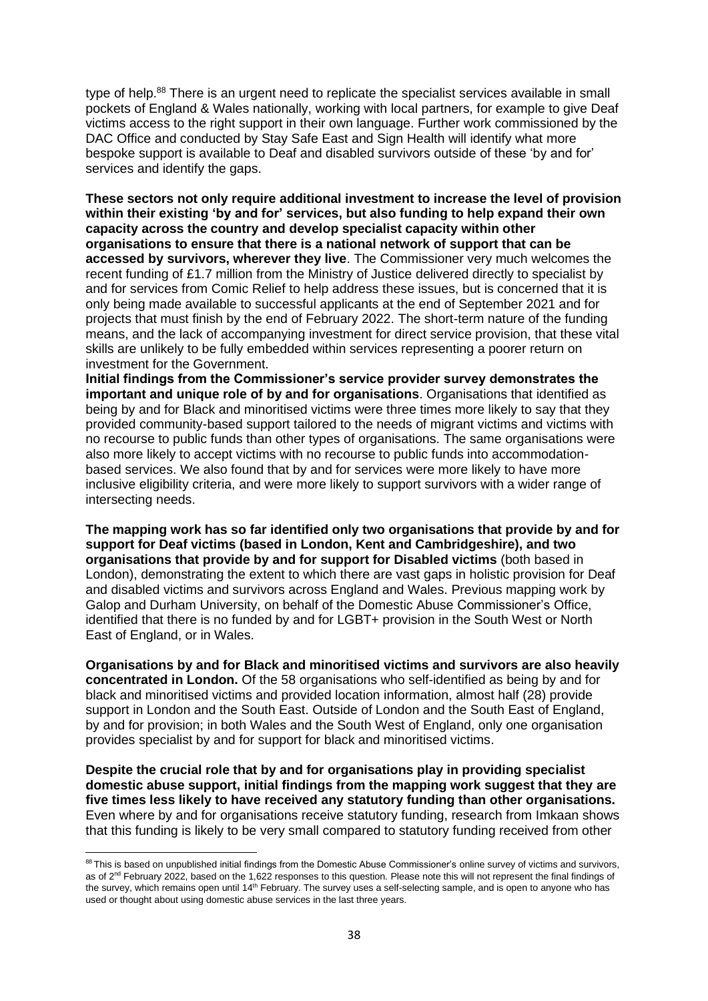type of help.<sup>88</sup> There is an urgent need to replicate the specialist services available in small pockets of England & Wales nationally, working with local partners, for example to give Deaf victims access to the right support in their own language. Further work commissioned by the DAC Office and conducted by Stay Safe East and Sign Health will identify what more bespoke support is available to Deaf and disabled survivors outside of these 'by and for' services and identify the gaps.

**These sectors not only require additional investment to increase the level of provision within their existing 'by and for' services, but also funding to help expand their own capacity across the country and develop specialist capacity within other organisations to ensure that there is a national network of support that can be accessed by survivors, wherever they live**. The Commissioner very much welcomes the recent funding of £1.7 million from the Ministry of Justice delivered directly to specialist by and for services from Comic Relief to help address these issues, but is concerned that it is only being made available to successful applicants at the end of September 2021 and for projects that must finish by the end of February 2022. The short-term nature of the funding means, and the lack of accompanying investment for direct service provision, that these vital skills are unlikely to be fully embedded within services representing a poorer return on investment for the Government.

**Initial findings from the Commissioner's service provider survey demonstrates the important and unique role of by and for organisations**. Organisations that identified as being by and for Black and minoritised victims were three times more likely to say that they provided community-based support tailored to the needs of migrant victims and victims with no recourse to public funds than other types of organisations. The same organisations were also more likely to accept victims with no recourse to public funds into accommodationbased services. We also found that by and for services were more likely to have more inclusive eligibility criteria, and were more likely to support survivors with a wider range of intersecting needs.

**The mapping work has so far identified only two organisations that provide by and for support for Deaf victims (based in London, Kent and Cambridgeshire), and two organisations that provide by and for support for Disabled victims** (both based in London), demonstrating the extent to which there are vast gaps in holistic provision for Deaf and disabled victims and survivors across England and Wales. Previous mapping work by Galop and Durham University, on behalf of the Domestic Abuse Commissioner's Office, identified that there is no funded by and for LGBT+ provision in the South West or North East of England, or in Wales.

**Organisations by and for Black and minoritised victims and survivors are also heavily concentrated in London.** Of the 58 organisations who self-identified as being by and for black and minoritised victims and provided location information, almost half (28) provide support in London and the South East. Outside of London and the South East of England, by and for provision; in both Wales and the South West of England, only one organisation provides specialist by and for support for black and minoritised victims.

**Despite the crucial role that by and for organisations play in providing specialist domestic abuse support, initial findings from the mapping work suggest that they are five times less likely to have received any statutory funding than other organisations.**  Even where by and for organisations receive statutory funding, research from Imkaan shows that this funding is likely to be very small compared to statutory funding received from other

<sup>88</sup> This is based on unpublished initial findings from the Domestic Abuse Commissioner's online survey of victims and survivors, as of 2<sup>nd</sup> February 2022, based on the 1,622 responses to this question. Please note this will not represent the final findings of the survey, which remains open until 14<sup>th</sup> February. The survey uses a self-selecting sample, and is open to anyone who has used or thought about using domestic abuse services in the last three years.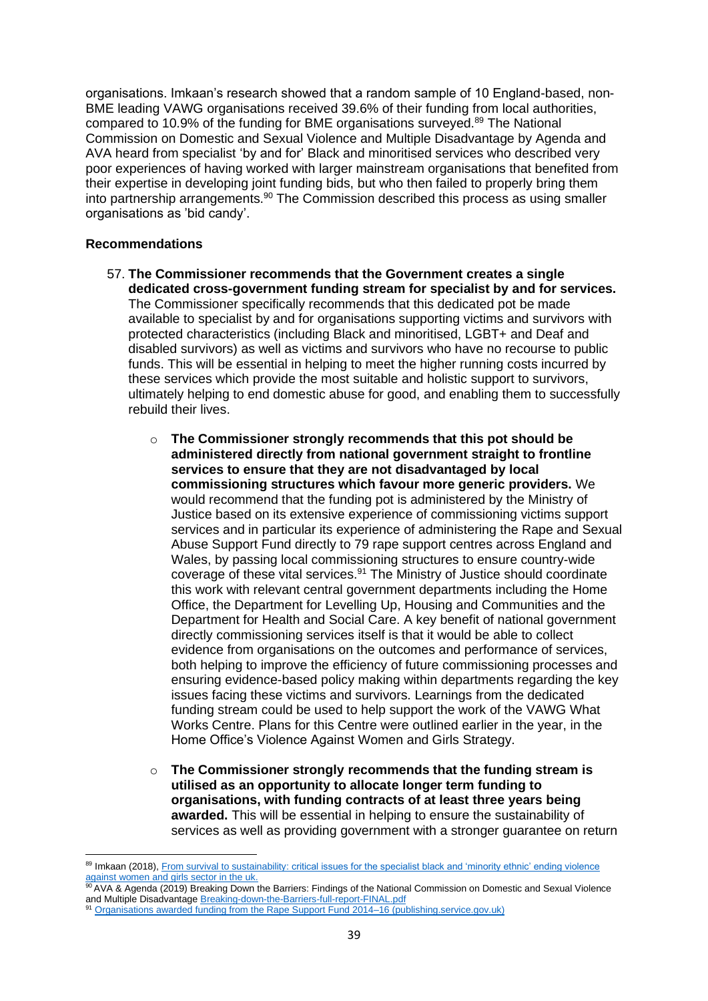organisations. Imkaan's research showed that a random sample of 10 England-based, non-BME leading VAWG organisations received 39.6% of their funding from local authorities, compared to 10.9% of the funding for BME organisations surveyed.<sup>89</sup> The National Commission on Domestic and Sexual Violence and Multiple Disadvantage by Agenda and AVA heard from specialist 'by and for' Black and minoritised services who described very poor experiences of having worked with larger mainstream organisations that benefited from their expertise in developing joint funding bids, but who then failed to properly bring them into partnership arrangements.<sup>90</sup> The Commission described this process as using smaller organisations as 'bid candy'.

## **Recommendations**

- 57. **The Commissioner recommends that the Government creates a single dedicated cross-government funding stream for specialist by and for services.** The Commissioner specifically recommends that this dedicated pot be made available to specialist by and for organisations supporting victims and survivors with protected characteristics (including Black and minoritised, LGBT+ and Deaf and disabled survivors) as well as victims and survivors who have no recourse to public funds. This will be essential in helping to meet the higher running costs incurred by these services which provide the most suitable and holistic support to survivors, ultimately helping to end domestic abuse for good, and enabling them to successfully rebuild their lives.
	- o **The Commissioner strongly recommends that this pot should be administered directly from national government straight to frontline services to ensure that they are not disadvantaged by local commissioning structures which favour more generic providers.** We would recommend that the funding pot is administered by the Ministry of Justice based on its extensive experience of commissioning victims support services and in particular its experience of administering the Rape and Sexual Abuse Support Fund directly to 79 rape support centres across England and Wales, by passing local commissioning structures to ensure country-wide coverage of these vital services.<sup>91</sup> The Ministry of Justice should coordinate this work with relevant central government departments including the Home Office, the Department for Levelling Up, Housing and Communities and the Department for Health and Social Care. A key benefit of national government directly commissioning services itself is that it would be able to collect evidence from organisations on the outcomes and performance of services, both helping to improve the efficiency of future commissioning processes and ensuring evidence-based policy making within departments regarding the key issues facing these victims and survivors. Learnings from the dedicated funding stream could be used to help support the work of the VAWG What Works Centre. Plans for this Centre were outlined earlier in the year, in the Home Office's Violence Against Women and Girls Strategy.
	- o **The Commissioner strongly recommends that the funding stream is utilised as an opportunity to allocate longer term funding to organisations, with funding contracts of at least three years being awarded.** This will be essential in helping to ensure the sustainability of services as well as providing government with a stronger guarantee on return

<sup>89</sup> Imkaan (2018), From survival to sustainability: critical issues for the specialist black and 'minority ethnic' ending violence [against women and girls sector in the uk.](https://docs.wixstatic.com/ugd/2f475d_9cab044d7d25404d85da289b70978237.pdf)

<sup>90</sup> AVA & Agenda (2019) Breaking Down the Barriers: Findings of the National Commission on Domestic and Sexual Violence and Multiple Disadvantag[e Breaking-down-the-Barriers-full-report-FINAL.pdf](file:///C:/Users/MuttocC/AppData/Local/Microsoft/Windows/INetCache/Content.Outlook/5LPA8TF9/Breaking-down-the-Barriers-full-report-FINAL.pdf)

<sup>91</sup> [Organisations awarded funding from the Rape Support Fund 2014–16 \(publishing.service.gov.uk\)](https://assets.publishing.service.gov.uk/government/uploads/system/uploads/attachment_data/file/806808/organisations-awarded-funding-rsasf-2019-22.PDF#:~:text=Between%202019%20and%202022%2C%20a%20total%20of%2079,sexual%20abuse%2C%20including%20victims%20of%20child%20sexual%20abuse.)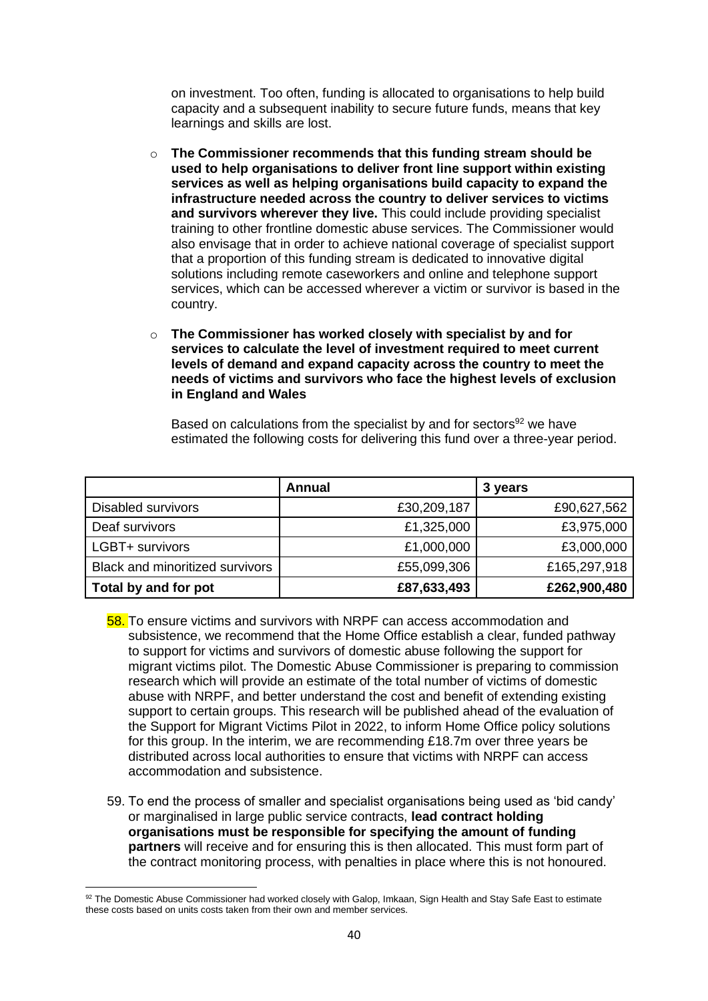on investment. Too often, funding is allocated to organisations to help build capacity and a subsequent inability to secure future funds, means that key learnings and skills are lost.

- o **The Commissioner recommends that this funding stream should be used to help organisations to deliver front line support within existing services as well as helping organisations build capacity to expand the infrastructure needed across the country to deliver services to victims and survivors wherever they live.** This could include providing specialist training to other frontline domestic abuse services. The Commissioner would also envisage that in order to achieve national coverage of specialist support that a proportion of this funding stream is dedicated to innovative digital solutions including remote caseworkers and online and telephone support services, which can be accessed wherever a victim or survivor is based in the country.
- o **The Commissioner has worked closely with specialist by and for services to calculate the level of investment required to meet current levels of demand and expand capacity across the country to meet the needs of victims and survivors who face the highest levels of exclusion in England and Wales**

Based on calculations from the specialist by and for sectors<sup>92</sup> we have estimated the following costs for delivering this fund over a three-year period.

|                                 | Annual      | 3 years      |
|---------------------------------|-------------|--------------|
| <b>Disabled survivors</b>       | £30,209,187 | £90,627,562  |
| Deaf survivors                  | £1,325,000  | £3,975,000   |
| LGBT+ survivors                 | £1,000,000  | £3,000,000   |
| Black and minoritized survivors | £55,099,306 | £165,297,918 |
| Total by and for pot            | £87,633,493 | £262,900,480 |

- 58. To ensure victims and survivors with NRPF can access accommodation and subsistence, we recommend that the Home Office establish a clear, funded pathway to support for victims and survivors of domestic abuse following the support for migrant victims pilot. The Domestic Abuse Commissioner is preparing to commission research which will provide an estimate of the total number of victims of domestic abuse with NRPF, and better understand the cost and benefit of extending existing support to certain groups. This research will be published ahead of the evaluation of the Support for Migrant Victims Pilot in 2022, to inform Home Office policy solutions for this group. In the interim, we are recommending £18.7m over three years be distributed across local authorities to ensure that victims with NRPF can access accommodation and subsistence.
- 59. To end the process of smaller and specialist organisations being used as 'bid candy' or marginalised in large public service contracts, **lead contract holding organisations must be responsible for specifying the amount of funding partners** will receive and for ensuring this is then allocated. This must form part of the contract monitoring process, with penalties in place where this is not honoured.

<sup>92</sup> The Domestic Abuse Commissioner had worked closely with Galop, Imkaan, Sign Health and Stay Safe East to estimate these costs based on units costs taken from their own and member services.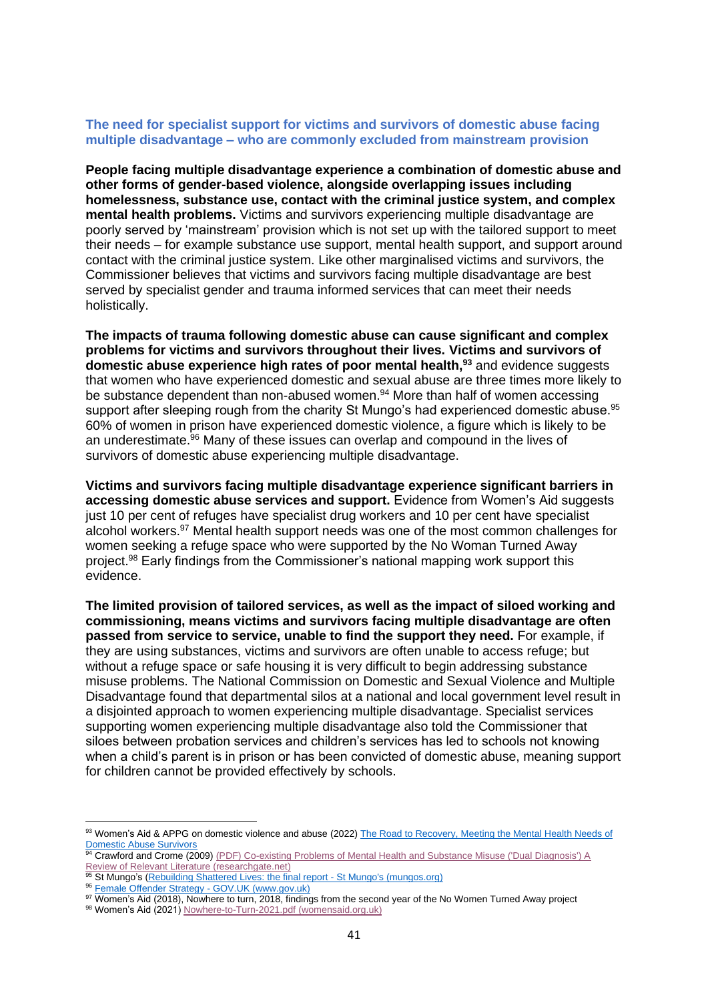## **The need for specialist support for victims and survivors of domestic abuse facing multiple disadvantage – who are commonly excluded from mainstream provision**

**People facing multiple disadvantage experience a combination of domestic abuse and other forms of gender-based violence, alongside overlapping issues including homelessness, substance use, contact with the criminal justice system, and complex mental health problems.** Victims and survivors experiencing multiple disadvantage are poorly served by 'mainstream' provision which is not set up with the tailored support to meet their needs – for example substance use support, mental health support, and support around contact with the criminal justice system. Like other marginalised victims and survivors, the Commissioner believes that victims and survivors facing multiple disadvantage are best served by specialist gender and trauma informed services that can meet their needs holistically.

**The impacts of trauma following domestic abuse can cause significant and complex problems for victims and survivors throughout their lives. Victims and survivors of domestic abuse experience high rates of poor mental health,<sup>93</sup>** and evidence suggests that women who have experienced domestic and sexual abuse are three times more likely to be substance dependent than non-abused women.<sup>94</sup> More than half of women accessing support after sleeping rough from the charity St Mungo's had experienced domestic abuse.<sup>95</sup> 60% of women in prison have experienced domestic violence, a figure which is likely to be an underestimate.<sup>96</sup> Many of these issues can overlap and compound in the lives of survivors of domestic abuse experiencing multiple disadvantage.

**Victims and survivors facing multiple disadvantage experience significant barriers in accessing domestic abuse services and support.** Evidence from Women's Aid suggests just 10 per cent of refuges have specialist drug workers and 10 per cent have specialist alcohol workers.<sup>97</sup> Mental health support needs was one of the most common challenges for women seeking a refuge space who were supported by the No Woman Turned Away project.<sup>98</sup> Early findings from the Commissioner's national mapping work support this evidence.

**The limited provision of tailored services, as well as the impact of siloed working and commissioning, means victims and survivors facing multiple disadvantage are often passed from service to service, unable to find the support they need.** For example, if they are using substances, victims and survivors are often unable to access refuge; but without a refuge space or safe housing it is very difficult to begin addressing substance misuse problems. The National Commission on Domestic and Sexual Violence and Multiple Disadvantage found that departmental silos at a national and local government level result in a disjointed approach to women experiencing multiple disadvantage. Specialist services supporting women experiencing multiple disadvantage also told the Commissioner that siloes between probation services and children's services has led to schools not knowing when a child's parent is in prison or has been convicted of domestic abuse, meaning support for children cannot be provided effectively by schools.

<sup>93</sup> Women's Aid & APPG on domestic violence and abuse (2022) The Road to Recovery, Meeting the Mental Health Needs of [Domestic Abuse Survivors](https://www.womensaid.org.uk/wp-content/uploads/2022/01/Womens-Aid-APPG-Report-Final.pdf)

<sup>94</sup> Crawford and Crome (2009) (PDF) Co-existing Problems of Mental Health and Substance Misuse ('Dual Diagnosis') A [Review of Relevant Literature \(researchgate.net\)](https://www.researchgate.net/publication/232055542_Co-existing_Problems_of_Mental_Health_and_Substance_Misuse_%27Dual_Diagnosis%27_A_Review_of_Relevant_Literature)

<sup>95</sup> St Mungo's [\(Rebuilding Shattered Lives: the final report -](https://www.mungos.org/publication/rebuilding-shattered-lives-final-report/) St Mungo's (mungos.org)

<sup>96</sup> [Female Offender Strategy -](https://www.gov.uk/government/publications/female-offender-strategy) GOV.UK (www.gov.uk)

<sup>97</sup> Women's Aid (2018), Nowhere to turn, 2018, findings from the second year of the No Women Turned Away project

<sup>98</sup> Women's Aid (2021[\) Nowhere-to-Turn-2021.pdf \(womensaid.org.uk\)](https://www.womensaid.org.uk/wp-content/uploads/2021/09/Nowhere-to-Turn-2021.pdf)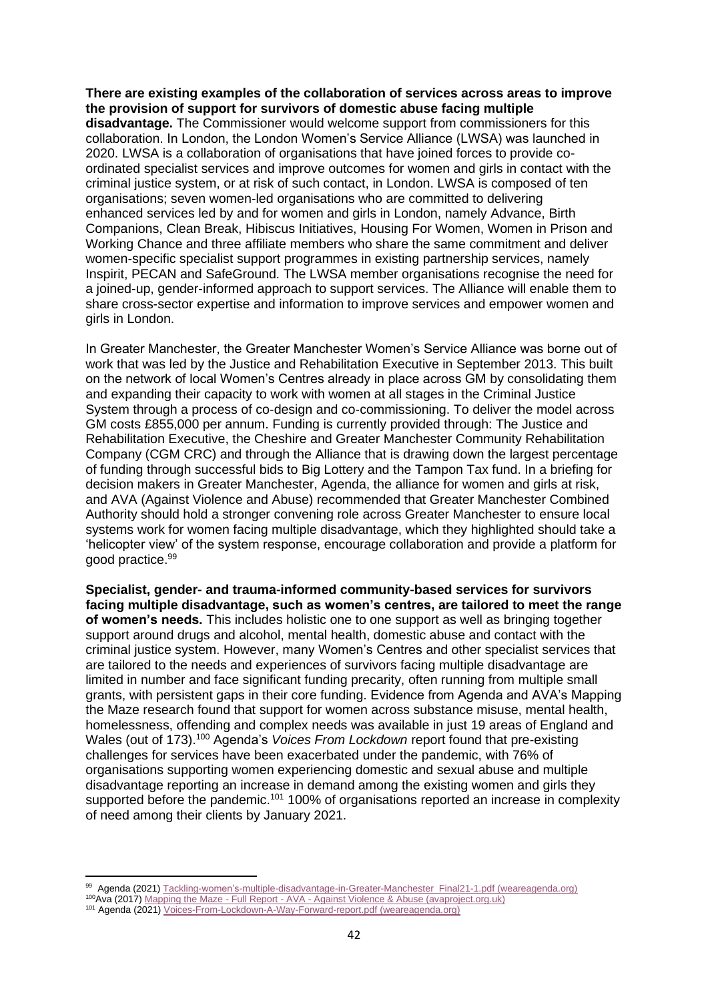#### **There are existing examples of the collaboration of services across areas to improve the provision of support for survivors of domestic abuse facing multiple**

**disadvantage.** The Commissioner would welcome support from commissioners for this collaboration. In London, the London Women's Service Alliance (LWSA) was launched in 2020. LWSA is a collaboration of organisations that have joined forces to provide coordinated specialist services and improve outcomes for women and girls in contact with the criminal justice system, or at risk of such contact, in London. LWSA is composed of ten organisations; seven women-led organisations who are committed to delivering enhanced services led by and for women and girls in London, namely Advance, Birth Companions, Clean Break, Hibiscus Initiatives, Housing For Women, Women in Prison and Working Chance and three affiliate members who share the same commitment and deliver women-specific specialist support programmes in existing partnership services, namely Inspirit, PECAN and SafeGround. The LWSA member organisations recognise the need for a joined-up, gender-informed approach to support services. The Alliance will enable them to share cross-sector expertise and information to improve services and empower women and girls in London.

In Greater Manchester, the Greater Manchester Women's Service Alliance was borne out of work that was led by the Justice and Rehabilitation Executive in September 2013. This built on the network of local Women's Centres already in place across GM by consolidating them and expanding their capacity to work with women at all stages in the Criminal Justice System through a process of co-design and co-commissioning. To deliver the model across GM costs £855,000 per annum. Funding is currently provided through: The Justice and Rehabilitation Executive, the Cheshire and Greater Manchester Community Rehabilitation Company (CGM CRC) and through the Alliance that is drawing down the largest percentage of funding through successful bids to Big Lottery and the Tampon Tax fund. In a briefing for decision makers in Greater Manchester, Agenda, the alliance for women and girls at risk, and AVA (Against Violence and Abuse) recommended that Greater Manchester Combined Authority should hold a stronger convening role across Greater Manchester to ensure local systems work for women facing multiple disadvantage, which they highlighted should take a 'helicopter view' of the system response, encourage collaboration and provide a platform for good practice.<sup>99</sup>

**Specialist, gender- and trauma-informed community-based services for survivors facing multiple disadvantage, such as women's centres, are tailored to meet the range of women's needs.** This includes holistic one to one support as well as bringing together support around drugs and alcohol, mental health, domestic abuse and contact with the criminal justice system. However, many Women's Centres and other specialist services that are tailored to the needs and experiences of survivors facing multiple disadvantage are limited in number and face significant funding precarity, often running from multiple small grants, with persistent gaps in their core funding. Evidence from Agenda and AVA's Mapping the Maze research found that support for women across substance misuse, mental health, homelessness, offending and complex needs was available in just 19 areas of England and Wales (out of 173).<sup>100</sup> Agenda's *Voices From Lockdown* report found that pre-existing challenges for services have been exacerbated under the pandemic, with 76% of organisations supporting women experiencing domestic and sexual abuse and multiple disadvantage reporting an increase in demand among the existing women and girls they supported before the pandemic.<sup>101</sup> 100% of organisations reported an increase in complexity of need among their clients by January 2021.

<sup>99</sup> Agenda (2021) [Tackling-women's-multiple-disadvantage-in-Greater-Manchester\\_Final21-1.pdf \(weareagenda.org\)](https://weareagenda.org/wp-content/uploads/2021/03/Tackling-women%E2%80%99s-multiple-disadvantage-in-Greater-Manchester_Final21-1.pdf)

<sup>100</sup>Ava (2017) Mapping the Maze - Full Report - AVA - [Against Violence & Abuse \(avaproject.org.uk\)](https://avaproject.org.uk/resources/mapping-maze-full-report/)

<sup>101</sup> Agenda (2021[\) Voices-From-Lockdown-A-Way-Forward-report.pdf \(weareagenda.org\)](https://weareagenda.org/wp-content/uploads/2021/03/Voices-From-Lockdown-A-Way-Forward-report.pdf)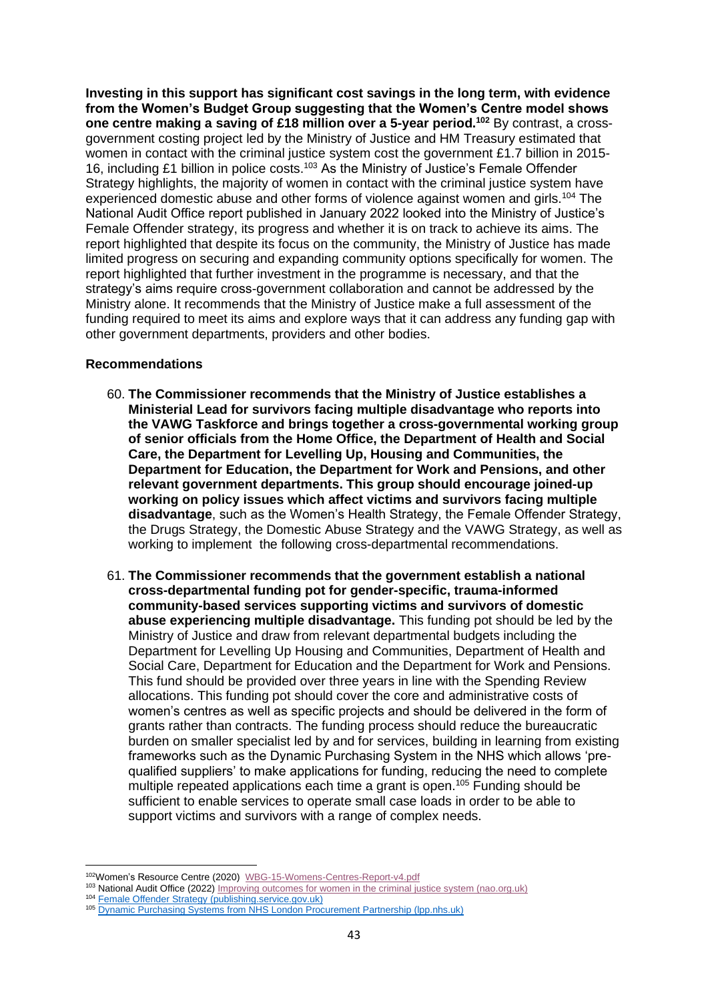**Investing in this support has significant cost savings in the long term, with evidence from the Women's Budget Group suggesting that the Women's Centre model shows one centre making a saving of £18 million over a 5-year period.<sup>102</sup>** By contrast, a crossgovernment costing project led by the Ministry of Justice and HM Treasury estimated that women in contact with the criminal justice system cost the government £1.7 billion in 2015-16, including £1 billion in police costs.<sup>103</sup> As the Ministry of Justice's Female Offender Strategy highlights, the majority of women in contact with the criminal justice system have experienced domestic abuse and other forms of violence against women and girls.<sup>104</sup> The National Audit Office report published in January 2022 looked into the Ministry of Justice's Female Offender strategy, its progress and whether it is on track to achieve its aims. The report highlighted that despite its focus on the community, the Ministry of Justice has made limited progress on securing and expanding community options specifically for women. The report highlighted that further investment in the programme is necessary, and that the strategy's aims require cross-government collaboration and cannot be addressed by the Ministry alone. It recommends that the Ministry of Justice make a full assessment of the funding required to meet its aims and explore ways that it can address any funding gap with other government departments, providers and other bodies.

## **Recommendations**

- 60. **The Commissioner recommends that the Ministry of Justice establishes a Ministerial Lead for survivors facing multiple disadvantage who reports into the VAWG Taskforce and brings together a cross-governmental working group of senior officials from the Home Office, the Department of Health and Social Care, the Department for Levelling Up, Housing and Communities, the Department for Education, the Department for Work and Pensions, and other relevant government departments. This group should encourage joined-up working on policy issues which affect victims and survivors facing multiple disadvantage**, such as the Women's Health Strategy, the Female Offender Strategy, the Drugs Strategy, the Domestic Abuse Strategy and the VAWG Strategy, as well as working to implement the following cross-departmental recommendations.
- 61. **The Commissioner recommends that the government establish a national cross-departmental funding pot for gender-specific, trauma-informed community-based services supporting victims and survivors of domestic abuse experiencing multiple disadvantage.** This funding pot should be led by the Ministry of Justice and draw from relevant departmental budgets including the Department for Levelling Up Housing and Communities, Department of Health and Social Care, Department for Education and the Department for Work and Pensions. This fund should be provided over three years in line with the Spending Review allocations. This funding pot should cover the core and administrative costs of women's centres as well as specific projects and should be delivered in the form of grants rather than contracts. The funding process should reduce the bureaucratic burden on smaller specialist led by and for services, building in learning from existing frameworks such as the Dynamic Purchasing System in the NHS which allows 'prequalified suppliers' to make applications for funding, reducing the need to complete multiple repeated applications each time a grant is open.<sup>105</sup> Funding should be sufficient to enable services to operate small case loads in order to be able to support victims and survivors with a range of complex needs.

<sup>102</sup>Women's Resource Centre (2020) [WBG-15-Womens-Centres-Report-v4.pdf](https://wbg.org.uk/wp-content/uploads/2020/10/WBG-15-Womens-Centres-Report-v4.pdf)

<sup>103</sup> National Audit Office (2022) [Improving outcomes for women in the criminal justice system \(nao.org.uk\)](https://www.nao.org.uk/wp-content/uploads/2022/01/Improving-outcomes-for-women-in-the-criminal-justice-system.pdf)

<sup>104</sup> [Female Offender Strategy \(publishing.service.gov.uk\)](https://assets.publishing.service.gov.uk/government/uploads/system/uploads/attachment_data/file/719819/female-offender-strategy.pdf)

<sup>105</sup> Dynamic Purchasing Systems from NHS London Procurement Partnership (Ipp.nhs.uk)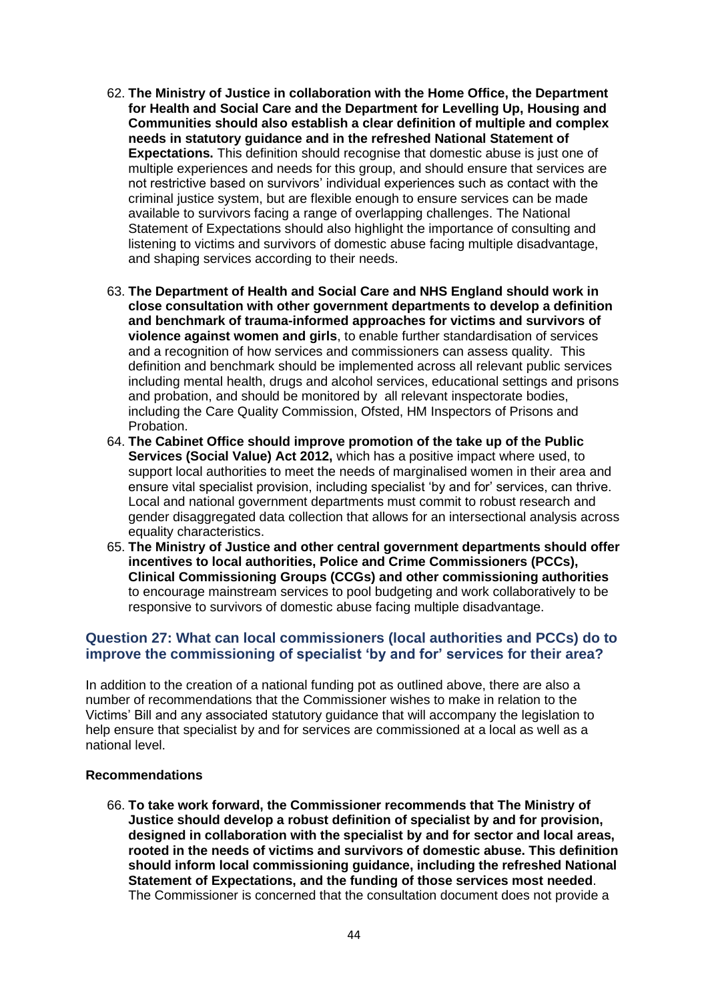- 62. **The Ministry of Justice in collaboration with the Home Office, the Department for Health and Social Care and the Department for Levelling Up, Housing and Communities should also establish a clear definition of multiple and complex needs in statutory guidance and in the refreshed National Statement of Expectations.** This definition should recognise that domestic abuse is just one of multiple experiences and needs for this group, and should ensure that services are not restrictive based on survivors' individual experiences such as contact with the criminal justice system, but are flexible enough to ensure services can be made available to survivors facing a range of overlapping challenges. The National Statement of Expectations should also highlight the importance of consulting and listening to victims and survivors of domestic abuse facing multiple disadvantage, and shaping services according to their needs.
- 63. **The Department of Health and Social Care and NHS England should work in close consultation with other government departments to develop a definition and benchmark of trauma-informed approaches for victims and survivors of violence against women and girls**, to enable further standardisation of services and a recognition of how services and commissioners can assess quality. This definition and benchmark should be implemented across all relevant public services including mental health, drugs and alcohol services, educational settings and prisons and probation, and should be monitored by all relevant inspectorate bodies, including the Care Quality Commission, Ofsted, HM Inspectors of Prisons and **Probation**
- 64. **The Cabinet Office should improve promotion of the take up of the Public Services (Social Value) Act 2012,** which has a positive impact where used, to support local authorities to meet the needs of marginalised women in their area and ensure vital specialist provision, including specialist 'by and for' services, can thrive. Local and national government departments must commit to robust research and gender disaggregated data collection that allows for an intersectional analysis across equality characteristics.
- 65. **The Ministry of Justice and other central government departments should offer incentives to local authorities, Police and Crime Commissioners (PCCs), Clinical Commissioning Groups (CCGs) and other commissioning authorities**  to encourage mainstream services to pool budgeting and work collaboratively to be responsive to survivors of domestic abuse facing multiple disadvantage.

# **Question 27: What can local commissioners (local authorities and PCCs) do to improve the commissioning of specialist 'by and for' services for their area?**

In addition to the creation of a national funding pot as outlined above, there are also a number of recommendations that the Commissioner wishes to make in relation to the Victims' Bill and any associated statutory guidance that will accompany the legislation to help ensure that specialist by and for services are commissioned at a local as well as a national level.

## **Recommendations**

66. **To take work forward, the Commissioner recommends that The Ministry of Justice should develop a robust definition of specialist by and for provision, designed in collaboration with the specialist by and for sector and local areas, rooted in the needs of victims and survivors of domestic abuse. This definition should inform local commissioning guidance, including the refreshed National Statement of Expectations, and the funding of those services most needed**. The Commissioner is concerned that the consultation document does not provide a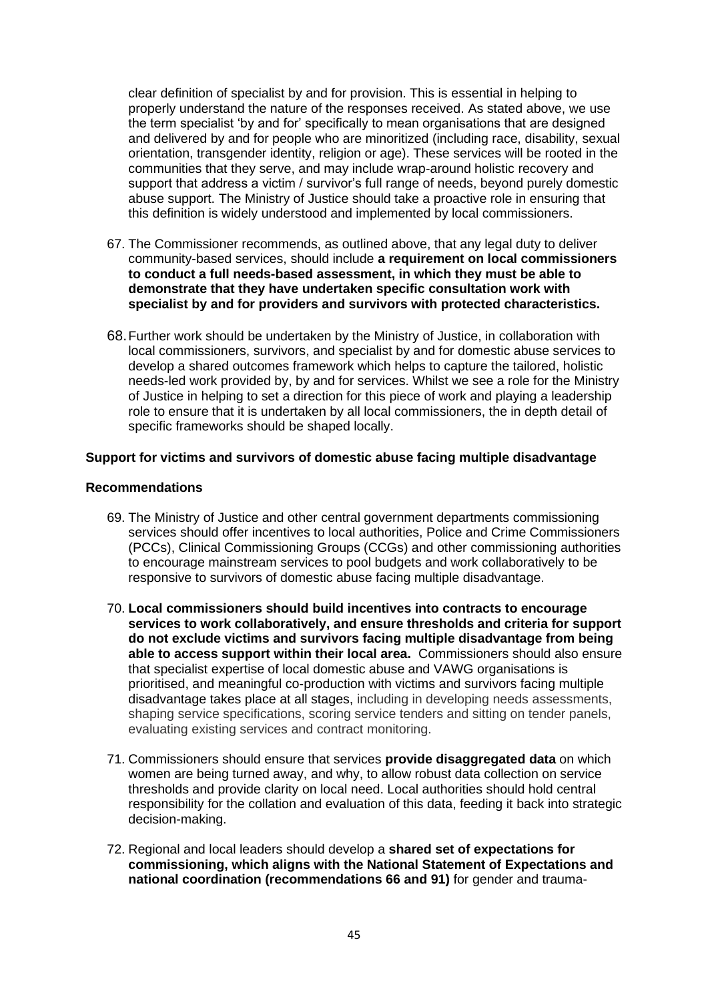clear definition of specialist by and for provision. This is essential in helping to properly understand the nature of the responses received. As stated above, we use the term specialist 'by and for' specifically to mean organisations that are designed and delivered by and for people who are minoritized (including race, disability, sexual orientation, transgender identity, religion or age). These services will be rooted in the communities that they serve, and may include wrap-around holistic recovery and support that address a victim / survivor's full range of needs, beyond purely domestic abuse support. The Ministry of Justice should take a proactive role in ensuring that this definition is widely understood and implemented by local commissioners.

- 67. The Commissioner recommends, as outlined above, that any legal duty to deliver community-based services, should include **a requirement on local commissioners to conduct a full needs-based assessment, in which they must be able to demonstrate that they have undertaken specific consultation work with specialist by and for providers and survivors with protected characteristics.**
- 68.Further work should be undertaken by the Ministry of Justice, in collaboration with local commissioners, survivors, and specialist by and for domestic abuse services to develop a shared outcomes framework which helps to capture the tailored, holistic needs-led work provided by, by and for services. Whilst we see a role for the Ministry of Justice in helping to set a direction for this piece of work and playing a leadership role to ensure that it is undertaken by all local commissioners, the in depth detail of specific frameworks should be shaped locally.

#### **Support for victims and survivors of domestic abuse facing multiple disadvantage**

## **Recommendations**

- 69. The Ministry of Justice and other central government departments commissioning services should offer incentives to local authorities, Police and Crime Commissioners (PCCs), Clinical Commissioning Groups (CCGs) and other commissioning authorities to encourage mainstream services to pool budgets and work collaboratively to be responsive to survivors of domestic abuse facing multiple disadvantage.
- 70. **Local commissioners should build incentives into contracts to encourage services to work collaboratively, and ensure thresholds and criteria for support do not exclude victims and survivors facing multiple disadvantage from being able to access support within their local area.** Commissioners should also ensure that specialist expertise of local domestic abuse and VAWG organisations is prioritised, and meaningful co-production with victims and survivors facing multiple disadvantage takes place at all stages, including in developing needs assessments, shaping service specifications, scoring service tenders and sitting on tender panels, evaluating existing services and contract monitoring.
- 71. Commissioners should ensure that services **provide disaggregated data** on which women are being turned away, and why, to allow robust data collection on service thresholds and provide clarity on local need. Local authorities should hold central responsibility for the collation and evaluation of this data, feeding it back into strategic decision-making.
- 72. Regional and local leaders should develop a **shared set of expectations for commissioning, which aligns with the National Statement of Expectations and national coordination (recommendations 66 and 91)** for gender and trauma-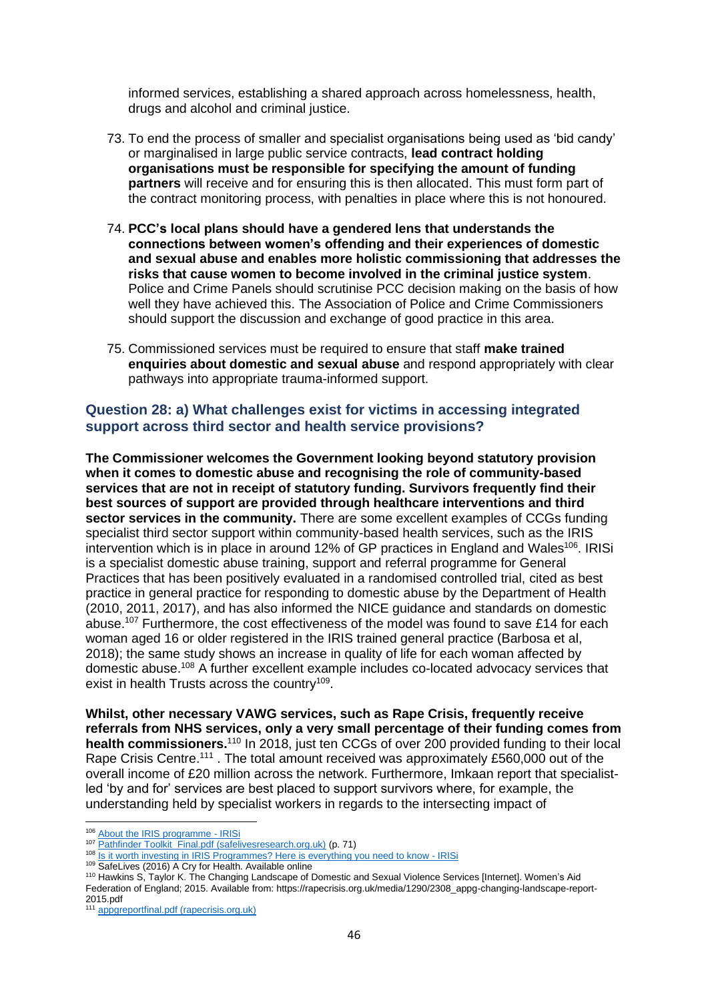informed services, establishing a shared approach across homelessness, health, drugs and alcohol and criminal justice.

- 73. To end the process of smaller and specialist organisations being used as 'bid candy' or marginalised in large public service contracts, **lead contract holding organisations must be responsible for specifying the amount of funding partners** will receive and for ensuring this is then allocated. This must form part of the contract monitoring process, with penalties in place where this is not honoured.
- 74. **PCC's local plans should have a gendered lens that understands the connections between women's offending and their experiences of domestic and sexual abuse and enables more holistic commissioning that addresses the risks that cause women to become involved in the criminal justice system**. Police and Crime Panels should scrutinise PCC decision making on the basis of how well they have achieved this. The Association of Police and Crime Commissioners should support the discussion and exchange of good practice in this area.
- 75. Commissioned services must be required to ensure that staff **make trained enquiries about domestic and sexual abuse** and respond appropriately with clear pathways into appropriate trauma-informed support.

# **Question 28: a) What challenges exist for victims in accessing integrated support across third sector and health service provisions?**

**The Commissioner welcomes the Government looking beyond statutory provision when it comes to domestic abuse and recognising the role of community-based services that are not in receipt of statutory funding. Survivors frequently find their best sources of support are provided through healthcare interventions and third sector services in the community.** There are some excellent examples of CCGs funding specialist third sector support within community-based health services, such as the IRIS intervention which is in place in around 12% of GP practices in England and Wales<sup>106</sup>. IRISi is a specialist domestic abuse training, support and referral programme for General Practices that has been positively evaluated in a randomised controlled trial, cited as best practice in general practice for responding to domestic abuse by the Department of Health (2010, 2011, 2017), and has also informed the NICE guidance and standards on domestic abuse.<sup>107</sup> Furthermore, the cost effectiveness of the model was found to save £14 for each woman aged 16 or older registered in the IRIS trained general practice (Barbosa et al, 2018); the same study shows an increase in quality of life for each woman affected by domestic abuse.<sup>108</sup> A further excellent example includes co-located advocacy services that exist in health Trusts across the country<sup>109</sup>.

**Whilst, other necessary VAWG services, such as Rape Crisis, frequently receive referrals from NHS services, only a very small percentage of their funding comes from**  health commissioners.<sup>110</sup> In 2018, just ten CCGs of over 200 provided funding to their local Rape Crisis Centre.<sup>111</sup>. The total amount received was approximately £560,000 out of the overall income of £20 million across the network. Furthermore, Imkaan report that specialistled 'by and for' services are best placed to support survivors where, for example, the understanding held by specialist workers in regards to the intersecting impact of

<sup>106</sup> [About the IRIS programme -](https://irisi.org/iris/about-the-iris-programme/) IRISi

<sup>107</sup> [Pathfinder Toolkit\\_Final.pdf \(safelivesresearch.org.uk\)](https://communications.safelivesresearch.org.uk/Pathfinder%20Toolkit_Final.pdf) (p. 71)

<sup>&</sup>lt;sup>108</sup> [Is it worth investing in IRIS Programmes? Here is everything you need to know -](https://irisi.org/is-it-worth-investing-in-iris-programmes-here-is-everything-you-need-to-know/) IRISi

<sup>109</sup> SafeLives (2016) A Cry for Health. Availabl[e online](https://safelives.org.uk/sites/default/files/resources/SAFJ4993_Themis_report_WEBcorrect.pdf)

<sup>110</sup> Hawkins S, Taylor K. The Changing Landscape of Domestic and Sexual Violence Services [Internet]. Women's Aid Federation of England; 2015. Available from: https://rapecrisis.org.uk/media/1290/2308\_appg-changing-landscape-report-2015.pdf

<sup>111</sup> [appgreportfinal.pdf \(rapecrisis.org.uk\)](https://rapecrisis.org.uk/media/1914/appgreportfinal.pdf)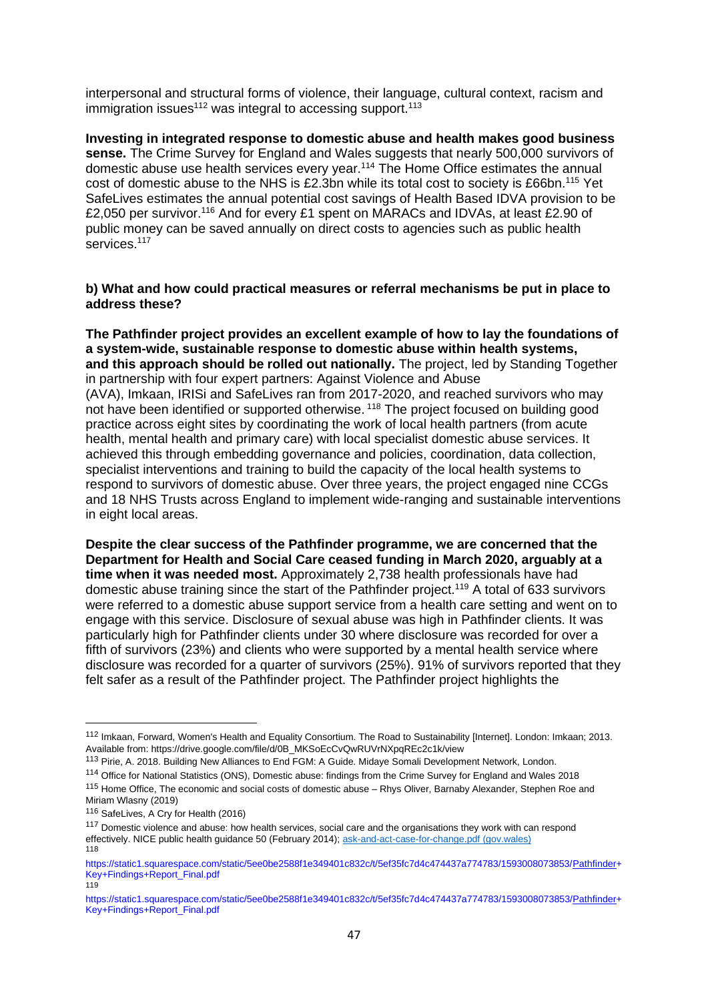interpersonal and structural forms of violence, their language, cultural context, racism and immigration issues<sup>112</sup> was integral to accessing support.<sup>113</sup>

**Investing in integrated response to domestic abuse and health makes good business sense.** The Crime Survey for England and Wales suggests that nearly 500,000 survivors of domestic abuse use health services every year.<sup>114</sup> The Home Office estimates the annual cost of domestic abuse to the NHS is £2.3bn while its total cost to society is £66bn.<sup>115</sup> Yet SafeLives estimates the annual potential cost savings of Health Based IDVA provision to be £2,050 per survivor.<sup>116</sup> And for every £1 spent on MARACs and IDVAs, at least £2.90 of public money can be saved annually on direct costs to agencies such as public health services.<sup>117</sup>

## **b) What and how could practical measures or referral mechanisms be put in place to address these?**

**The Pathfinder project provides an excellent example of how to lay the foundations of a system-wide, sustainable response to domestic abuse within health systems, and this approach should be rolled out nationally.** The project, led by Standing Together in partnership with four expert partners: Against Violence and Abuse (AVA), Imkaan, IRISi and SafeLives ran from 2017-2020, and reached survivors who may not have been identified or supported otherwise.<sup>118</sup> The project focused on building good practice across eight sites by coordinating the work of local health partners (from acute health, mental health and primary care) with local specialist domestic abuse services. It achieved this through embedding governance and policies, coordination, data collection, specialist interventions and training to build the capacity of the local health systems to respond to survivors of domestic abuse. Over three years, the project engaged nine CCGs and 18 NHS Trusts across England to implement wide-ranging and sustainable interventions in eight local areas.

**Despite the clear success of the Pathfinder programme, we are concerned that the Department for Health and Social Care ceased funding in March 2020, arguably at a time when it was needed most.** Approximately 2,738 health professionals have had domestic abuse training since the start of the Pathfinder project.<sup>119</sup> A total of 633 survivors were referred to a domestic abuse support service from a health care setting and went on to engage with this service. Disclosure of sexual abuse was high in Pathfinder clients. It was particularly high for Pathfinder clients under 30 where disclosure was recorded for over a fifth of survivors (23%) and clients who were supported by a mental health service where disclosure was recorded for a quarter of survivors (25%). 91% of survivors reported that they felt safer as a result of the Pathfinder project. The Pathfinder project highlights the

<sup>112</sup> Imkaan, Forward, Women's Health and Equality Consortium. The Road to Sustainability [Internet]. London: Imkaan; 2013. Available from: https://drive.google.com/file/d/0B\_MKSoEcCvQwRUVrNXpqREc2c1k/view

<sup>&</sup>lt;sup>113</sup> Pirie, A. 2018. Building New Alliances to End FGM: A Guide. Midaye Somali Development Network, London.

<sup>114</sup> Office for National Statistics (ONS), Domestic abuse: findings from the Crime Survey for England and Wales 2018

<sup>115</sup> Home Office, The economic and social costs of domestic abuse – Rhys Oliver, Barnaby Alexander, Stephen Roe and Miriam Wlasny (2019)

<sup>116</sup> SafeLives, A Cry for Health (2016)

<sup>&</sup>lt;sup>117</sup> Domestic violence and abuse: how health services, social care and the organisations they work with can respond effectively. NICE public health guidance 50 (February 2014); [ask-and-act-case-for-change.pdf \(gov.wales\)](https://gov.wales/sites/default/files/publications/2019-05/ask-and-act-case-for-change.pdf) 118

[https://static1.squarespace.com/static/5ee0be2588f1e349401c832c/t/5ef35fc7d4c474437a774783/1593008073853/Pathfinder+](https://static1.squarespace.com/static/5ee0be2588f1e349401c832c/t/5ef35fc7d4c474437a774783/1593008073853/Pathfinder+Key+Findings+Report_Final.pdf) [Key+Findings+Report\\_Final.pdf](https://static1.squarespace.com/static/5ee0be2588f1e349401c832c/t/5ef35fc7d4c474437a774783/1593008073853/Pathfinder+Key+Findings+Report_Final.pdf) 119

[https://static1.squarespace.com/static/5ee0be2588f1e349401c832c/t/5ef35fc7d4c474437a774783/1593008073853/Pathfinder+](https://static1.squarespace.com/static/5ee0be2588f1e349401c832c/t/5ef35fc7d4c474437a774783/1593008073853/Pathfinder+Key+Findings+Report_Final.pdf) [Key+Findings+Report\\_Final.pdf](https://static1.squarespace.com/static/5ee0be2588f1e349401c832c/t/5ef35fc7d4c474437a774783/1593008073853/Pathfinder+Key+Findings+Report_Final.pdf)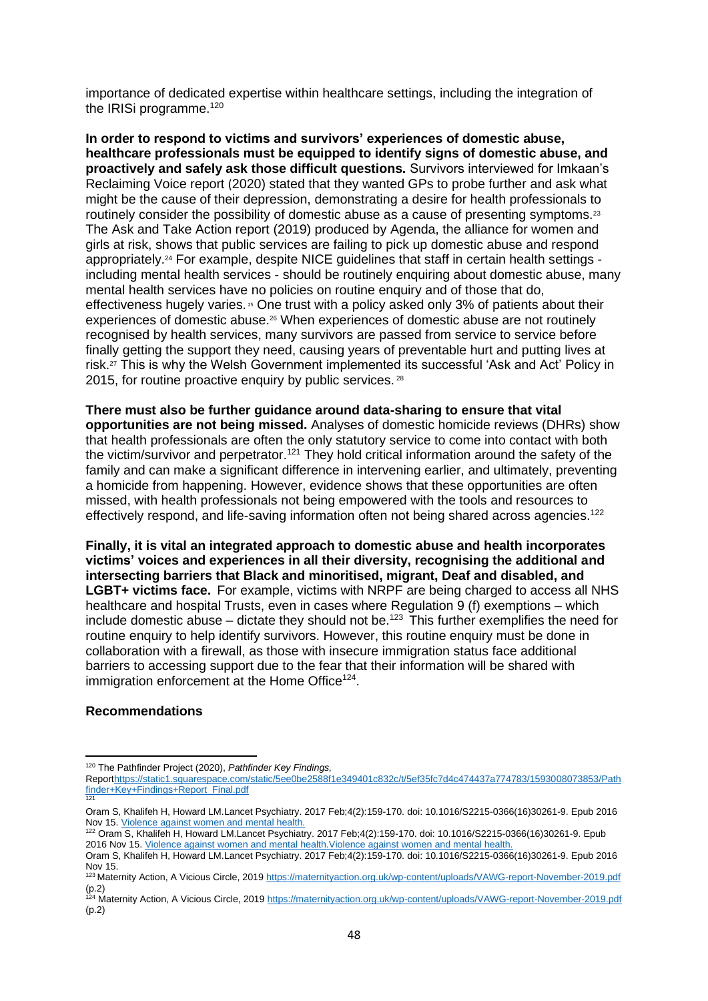importance of dedicated expertise within healthcare settings, including the integration of the IRISi programme.<sup>120</sup>

**In order to respond to victims and survivors' experiences of domestic abuse, healthcare professionals must be equipped to identify signs of domestic abuse, and proactively and safely ask those difficult questions.** Survivors interviewed for Imkaan's [Reclaiming Voice](https://829ef90d-0745-49b2-b404-cbea85f15fda.filesusr.com/ugd/f98049_1a6181417c89482cb8749dbcd562e909.pdf) report (2020) stated that they wanted GPs to probe further and ask what might be the cause of their depression, demonstrating a desire for health professionals to routinely consider the possibility of domestic abuse as a cause of presenting symptoms.<sup>23</sup> The [Ask and Take Action report](https://weareagenda.org/wp-content/uploads/2019/08/Ask-and-Take-Action-executive-summary.pdf) (2019) produced by Agenda, the alliance for women and girls at risk, shows that public services are failing to pick up domestic abuse and respond appropriately.<sup>24</sup> For example, despite NICE quidelines that staff in certain health settings including mental health services - should be routinely enquiring about domestic abuse, many mental health services have no policies on routine enquiry and of those that do, effectiveness hugely varies.<sup>25</sup> One trust with a policy asked only 3% of patients about their experiences of domestic abuse.<sup>26</sup> When experiences of domestic abuse are not routinely recognised by health services, many survivors are passed from service to service before finally getting the support they need, causing years of preventable hurt and putting lives at risk.<sup>27</sup> This is why the Welsh Government implemented its successful 'Ask and Act' Policy in 2015, for routine proactive enquiry by public services. <sup>28</sup>

**There must also be further guidance around data-sharing to ensure that vital opportunities are not being missed.** Analyses of domestic homicide reviews (DHRs) show that health professionals are often the only statutory service to come into contact with both the victim/survivor and perpetrator.<sup>121</sup> They hold critical information around the safety of the family and can make a significant difference in intervening earlier, and ultimately, preventing a homicide from happening. However, evidence shows that these opportunities are often missed, with health professionals not being empowered with the tools and resources to effectively respond, and life-saving information often not being shared across agencies.<sup>122</sup>

**Finally, it is vital an integrated approach to domestic abuse and health incorporates victims' voices and experiences in all their diversity, recognising the additional and intersecting barriers that Black and minoritised, migrant, Deaf and disabled, and LGBT+ victims face.** For example, victims with NRPF are being charged to access all NHS healthcare and hospital Trusts, even in cases where Regulation 9 (f) exemptions – which include domestic abuse – dictate they should not be.<sup>123</sup> This further exemplifies the need for routine enquiry to help identify survivors. However, this routine enquiry must be done in collaboration with a firewall, as those with insecure immigration status face additional barriers to accessing support due to the fear that their information will be shared with immigration enforcement at the Home Office<sup>124</sup>.

#### **Recommendations**

<sup>120</sup> The Pathfinder Project (2020), *Pathfinder Key Findings,*

Repor[thttps://static1.squarespace.com/static/5ee0be2588f1e349401c832c/t/5ef35fc7d4c474437a774783/1593008073853/Path](https://static1.squarespace.com/static/5ee0be2588f1e349401c832c/t/5ef35fc7d4c474437a774783/1593008073853/Pathfinder+Key+Findings+Report_Final.pdf) [finder+Key+Findings+Report\\_Final.pdf](https://static1.squarespace.com/static/5ee0be2588f1e349401c832c/t/5ef35fc7d4c474437a774783/1593008073853/Pathfinder+Key+Findings+Report_Final.pdf) 121

Oram S, Khalifeh H, Howard LM.Lancet Psychiatry. 2017 Feb;4(2):159-170. doi: 10.1016/S2215-0366(16)30261-9. Epub 2016 Nov 15. [Violence against women and mental health.](https://pubmed.ncbi.nlm.nih.gov/27856393/?from_term=khalifeh+howard&from_pos=1)

<sup>122</sup> Oram S, Khalifeh H, Howard LM.Lancet Psychiatry. 2017 Feb;4(2):159-170. doi: 10.1016/S2215-0366(16)30261-9. Epub 2016 Nov 15. [Violence against women and mental health.Violence against women and mental health.](https://pubmed.ncbi.nlm.nih.gov/27856393/?from_term=khalifeh+howard&from_pos=1)

Oram S, Khalifeh H, Howard LM.Lancet Psychiatry. 2017 Feb;4(2):159-170. doi: 10.1016/S2215-0366(16)30261-9. Epub 2016 Nov 15.

<sup>123</sup> Maternity Action, A Vicious Circle, 2019<https://maternityaction.org.uk/wp-content/uploads/VAWG-report-November-2019.pdf> (p.2)

<sup>&</sup>lt;sup>124</sup> Maternity Action, A Vicious Circle, 2019<https://maternityaction.org.uk/wp-content/uploads/VAWG-report-November-2019.pdf> (p.2)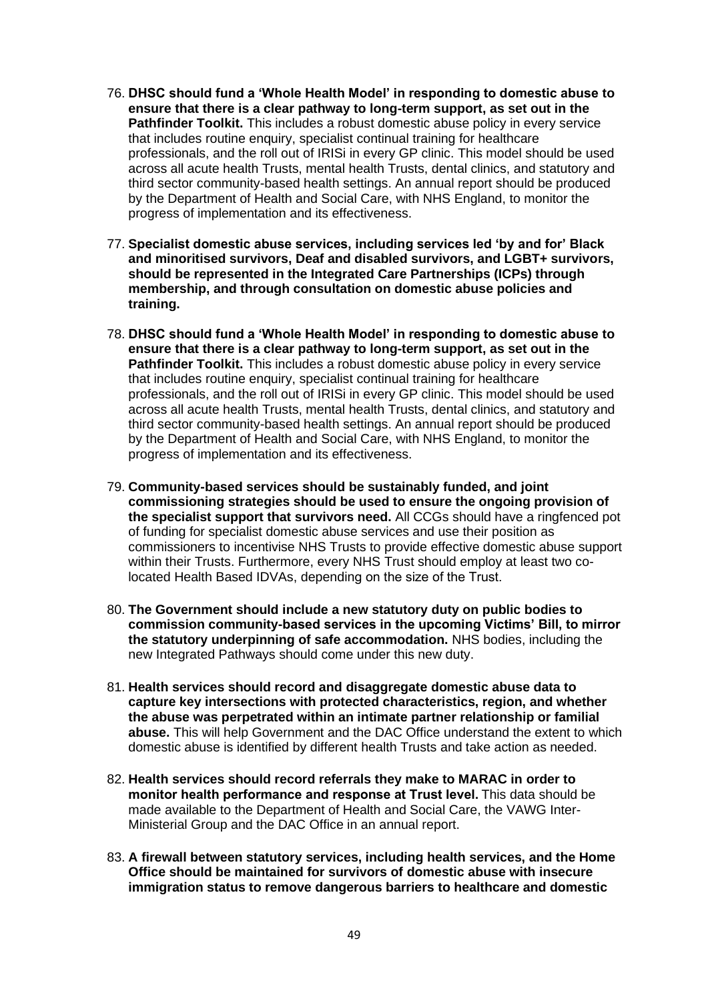- 76. **DHSC should fund a 'Whole Health Model' in responding to domestic abuse to ensure that there is a clear pathway to long-term support, as set out in the Pathfinder Toolkit.** This includes a robust domestic abuse policy in every service that includes routine enquiry, specialist continual training for healthcare professionals, and the roll out of IRISi in every GP clinic. This model should be used across all acute health Trusts, mental health Trusts, dental clinics, and statutory and third sector community-based health settings. An annual report should be produced by the Department of Health and Social Care, with NHS England, to monitor the progress of implementation and its effectiveness.
- 77. **Specialist domestic abuse services, including services led 'by and for' Black and minoritised survivors, Deaf and disabled survivors, and LGBT+ survivors, should be represented in the Integrated Care Partnerships (ICPs) through membership, and through consultation on domestic abuse policies and training.**
- 78. **DHSC should fund a 'Whole Health Model' in responding to domestic abuse to ensure that there is a clear pathway to long-term support, as set out in the Pathfinder Toolkit.** This includes a robust domestic abuse policy in every service that includes routine enquiry, specialist continual training for healthcare professionals, and the roll out of IRISi in every GP clinic. This model should be used across all acute health Trusts, mental health Trusts, dental clinics, and statutory and third sector community-based health settings. An annual report should be produced by the Department of Health and Social Care, with NHS England, to monitor the progress of implementation and its effectiveness.
- 79. **Community-based services should be sustainably funded, and joint commissioning strategies should be used to ensure the ongoing provision of the specialist support that survivors need.** All CCGs should have a ringfenced pot of funding for specialist domestic abuse services and use their position as commissioners to incentivise NHS Trusts to provide effective domestic abuse support within their Trusts. Furthermore, every NHS Trust should employ at least two colocated Health Based IDVAs, depending on the size of the Trust.
- 80. **The Government should include a new statutory duty on public bodies to commission community-based services in the upcoming Victims' Bill, to mirror the statutory underpinning of safe accommodation.** NHS bodies, including the new Integrated Pathways should come under this new duty.
- 81. **Health services should record and disaggregate domestic abuse data to capture key intersections with protected characteristics, region, and whether the abuse was perpetrated within an intimate partner relationship or familial abuse.** This will help Government and the DAC Office understand the extent to which domestic abuse is identified by different health Trusts and take action as needed.
- 82. **Health services should record referrals they make to MARAC in order to monitor health performance and response at Trust level.**This data should be made available to the Department of Health and Social Care, the VAWG Inter-Ministerial Group and the DAC Office in an annual report.
- 83. **A firewall between statutory services, including health services, and the Home Office should be maintained for survivors of domestic abuse with insecure immigration status to remove dangerous barriers to healthcare and domestic**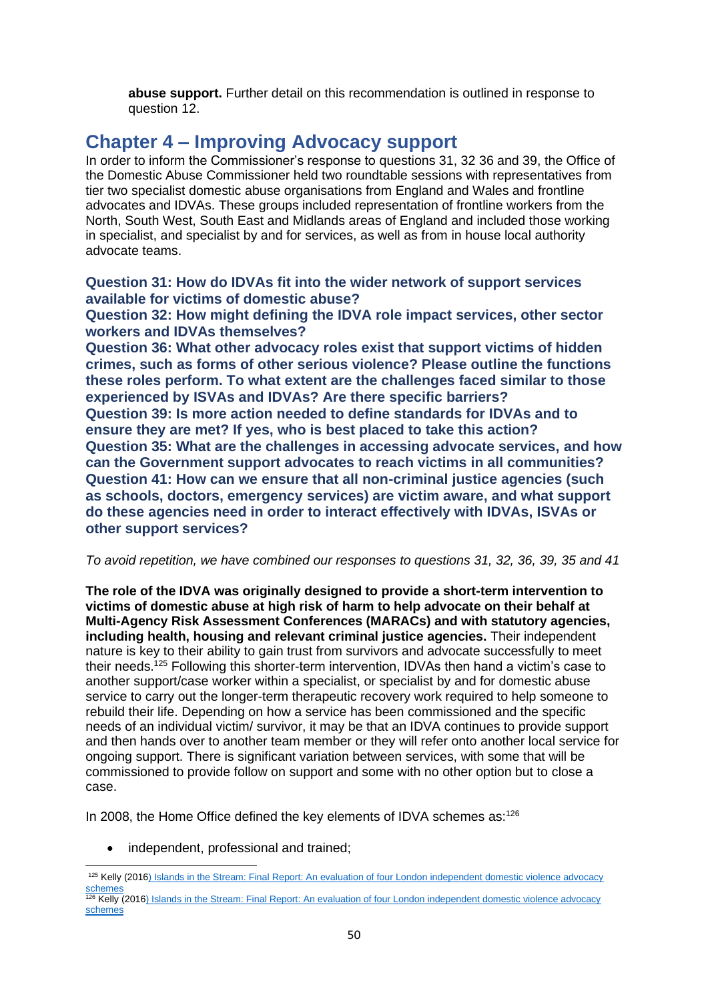**abuse support.** Further detail on this recommendation is outlined in response to question 12.

# **Chapter 4 – Improving Advocacy support**

In order to inform the Commissioner's response to questions 31, 32 36 and 39, the Office of the Domestic Abuse Commissioner held two roundtable sessions with representatives from tier two specialist domestic abuse organisations from England and Wales and frontline advocates and IDVAs. These groups included representation of frontline workers from the North, South West, South East and Midlands areas of England and included those working in specialist, and specialist by and for services, as well as from in house local authority advocate teams.

**Question 31: How do IDVAs fit into the wider network of support services available for victims of domestic abuse?** 

**Question 32: How might defining the IDVA role impact services, other sector workers and IDVAs themselves?**

**Question 36: What other advocacy roles exist that support victims of hidden crimes, such as forms of other serious violence? Please outline the functions these roles perform. To what extent are the challenges faced similar to those experienced by ISVAs and IDVAs? Are there specific barriers? Question 39: Is more action needed to define standards for IDVAs and to ensure they are met? If yes, who is best placed to take this action? Question 35: What are the challenges in accessing advocate services, and how can the Government support advocates to reach victims in all communities? Question 41: How can we ensure that all non-criminal justice agencies (such as schools, doctors, emergency services) are victim aware, and what support do these agencies need in order to interact effectively with IDVAs, ISVAs or other support services?**

*To avoid repetition, we have combined our responses to questions 31, 32, 36, 39, 35 and 41*

**The role of the IDVA was originally designed to provide a short-term intervention to victims of domestic abuse at high risk of harm to help advocate on their behalf at Multi-Agency Risk Assessment Conferences (MARACs) and with statutory agencies, including health, housing and relevant criminal justice agencies.** Their independent nature is key to their ability to gain trust from survivors and advocate successfully to meet their needs.<sup>125</sup> Following this shorter-term intervention, IDVAs then hand a victim's case to another support/case worker within a specialist, or specialist by and for domestic abuse service to carry out the longer-term therapeutic recovery work required to help someone to rebuild their life. Depending on how a service has been commissioned and the specific needs of an individual victim/ survivor, it may be that an IDVA continues to provide support and then hands over to another team member or they will refer onto another local service for ongoing support. There is significant variation between services, with some that will be commissioned to provide follow on support and some with no other option but to close a case.

In 2008, the Home Office defined the key elements of IDVA schemes as:<sup>126</sup>

• independent, professional and trained;

<sup>125</sup> Kelly (2016) Islands in the Stream: Final Report: An evaluation of four London independent domestic violence advocacy [schemes](IDVA-Main-Report1.pdf%20(cwasu.org))

<sup>126</sup> Kelly (2016) Islands in the Stream: Final Report: An evaluation of four London independent domestic violence advocacy [schemes](IDVA-Main-Report1.pdf%20(cwasu.org))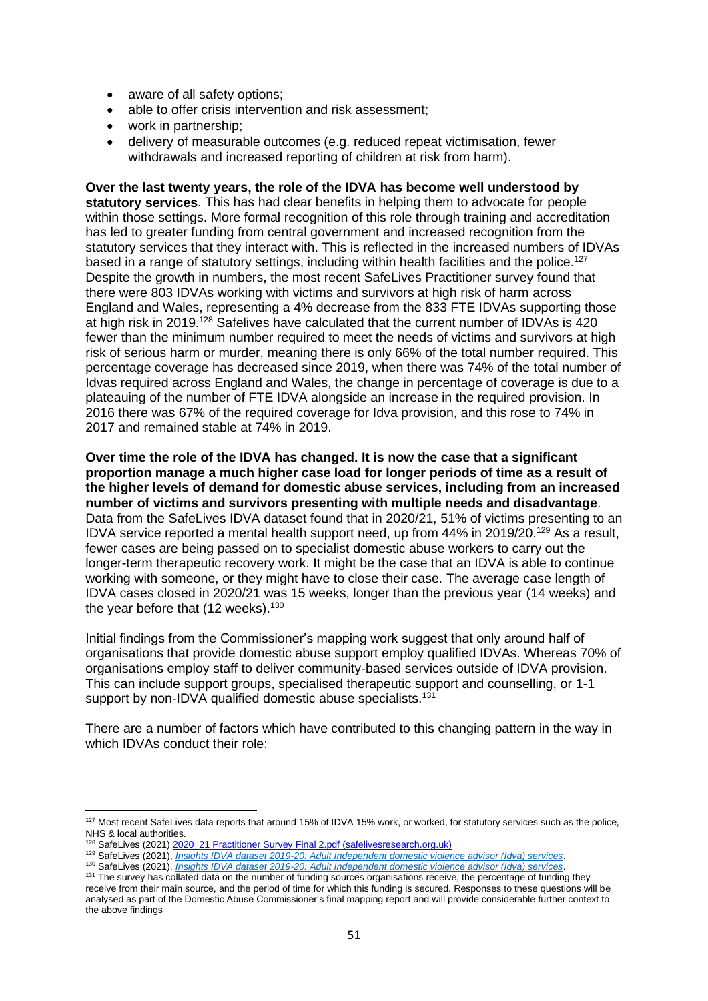- aware of all safety options;
- able to offer crisis intervention and risk assessment;
- work in partnership;
- delivery of measurable outcomes (e.g. reduced repeat victimisation, fewer withdrawals and increased reporting of children at risk from harm).

**Over the last twenty years, the role of the IDVA has become well understood by statutory services**. This has had clear benefits in helping them to advocate for people within those settings. More formal recognition of this role through training and accreditation has led to greater funding from central government and increased recognition from the statutory services that they interact with. This is reflected in the increased numbers of IDVAs based in a range of statutory settings, including within health facilities and the police.<sup>127</sup> Despite the growth in numbers, the most recent SafeLives Practitioner survey found that there were 803 IDVAs working with victims and survivors at high risk of harm across England and Wales, representing a 4% decrease from the 833 FTE IDVAs supporting those at high risk in 2019.<sup>128</sup> Safelives have calculated that the current number of IDVAs is 420 fewer than the minimum number required to meet the needs of victims and survivors at high risk of serious harm or murder, meaning there is only 66% of the total number required. This percentage coverage has decreased since 2019, when there was 74% of the total number of Idvas required across England and Wales, the change in percentage of coverage is due to a plateauing of the number of FTE IDVA alongside an increase in the required provision. In 2016 there was 67% of the required coverage for Idva provision, and this rose to 74% in 2017 and remained stable at 74% in 2019.

**Over time the role of the IDVA has changed. It is now the case that a significant proportion manage a much higher case load for longer periods of time as a result of the higher levels of demand for domestic abuse services, including from an increased number of victims and survivors presenting with multiple needs and disadvantage**. Data from the SafeLives IDVA dataset found that in 2020/21, 51% of victims presenting to an IDVA service reported a mental health support need, up from 44% in 2019/20.<sup>129</sup> As a result, fewer cases are being passed on to specialist domestic abuse workers to carry out the longer-term therapeutic recovery work. It might be the case that an IDVA is able to continue working with someone, or they might have to close their case. The average case length of IDVA cases closed in 2020/21 was 15 weeks, longer than the previous year (14 weeks) and the year before that (12 weeks).<sup>130</sup>

Initial findings from the Commissioner's mapping work suggest that only around half of organisations that provide domestic abuse support employ qualified IDVAs. Whereas 70% of organisations employ staff to deliver community-based services outside of IDVA provision. This can include support groups, specialised therapeutic support and counselling, or 1-1 support by non-IDVA qualified domestic abuse specialists.<sup>131</sup>

There are a number of factors which have contributed to this changing pattern in the way in which IDVAs conduct their role:

<sup>127</sup> Most recent SafeLives data reports that around 15% of IDVA 15% work, or worked, for statutory services such as the police, NHS & local authorities.

<sup>&</sup>lt;sup>128</sup> SafeLives (2021) 2020 21 Practitioner Survey Final 2.pdf (safelivesresearch.org.uk)

<sup>129</sup> SafeLives (2021), *[Insights IDVA dataset 2019-20: Adult Independent domestic violence advisor \(Idva\) services](https://safelives.org.uk/sites/default/files/resources/Idva%20Insights%20Dataset%20201920.pdf)*.

<sup>130</sup> SafeLives (2021), *[Insights IDVA dataset 2019-20: Adult Independent domestic violence advisor \(Idva\) services](https://safelives.org.uk/sites/default/files/resources/Idva%20Insights%20Dataset%20201920.pdf)*.

<sup>&</sup>lt;sup>131</sup> The survey has collated data on the number of funding sources organisations receive, the percentage of funding they receive from their main source, and the period of time for which this funding is secured. Responses to these questions will be analysed as part of the Domestic Abuse Commissioner's final mapping report and will provide considerable further context to the above findings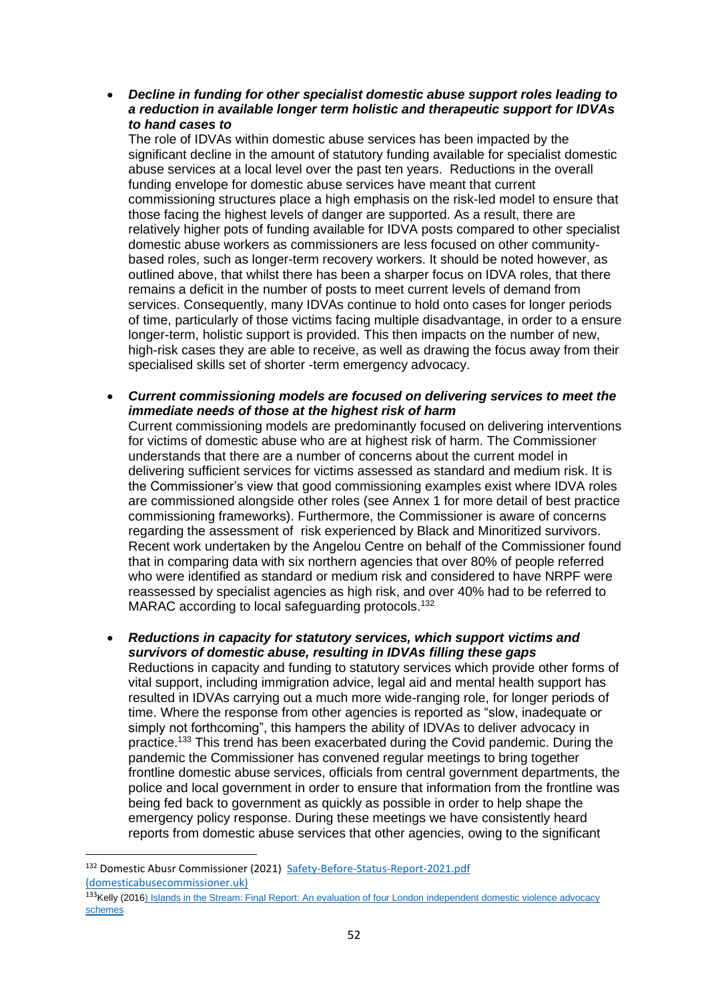• *Decline in funding for other specialist domestic abuse support roles leading to a reduction in available longer term holistic and therapeutic support for IDVAs to hand cases to*

The role of IDVAs within domestic abuse services has been impacted by the significant decline in the amount of statutory funding available for specialist domestic abuse services at a local level over the past ten years. Reductions in the overall funding envelope for domestic abuse services have meant that current commissioning structures place a high emphasis on the risk-led model to ensure that those facing the highest levels of danger are supported. As a result, there are relatively higher pots of funding available for IDVA posts compared to other specialist domestic abuse workers as commissioners are less focused on other communitybased roles, such as longer-term recovery workers. It should be noted however, as outlined above, that whilst there has been a sharper focus on IDVA roles, that there remains a deficit in the number of posts to meet current levels of demand from services. Consequently, many IDVAs continue to hold onto cases for longer periods of time, particularly of those victims facing multiple disadvantage, in order to a ensure longer-term, holistic support is provided. This then impacts on the number of new, high-risk cases they are able to receive, as well as drawing the focus away from their specialised skills set of shorter -term emergency advocacy.

• *Current commissioning models are focused on delivering services to meet the immediate needs of those at the highest risk of harm*

Current commissioning models are predominantly focused on delivering interventions for victims of domestic abuse who are at highest risk of harm. The Commissioner understands that there are a number of concerns about the current model in delivering sufficient services for victims assessed as standard and medium risk. It is the Commissioner's view that good commissioning examples exist where IDVA roles are commissioned alongside other roles (see Annex 1 for more detail of best practice commissioning frameworks). Furthermore, the Commissioner is aware of concerns regarding the assessment of risk experienced by Black and Minoritized survivors. Recent work undertaken by the Angelou Centre on behalf of the Commissioner found that in comparing data with six northern agencies that over 80% of people referred who were identified as standard or medium risk and considered to have NRPF were reassessed by specialist agencies as high risk, and over 40% had to be referred to MARAC according to local safeguarding protocols.<sup>132</sup>

• *Reductions in capacity for statutory services, which support victims and survivors of domestic abuse, resulting in IDVAs filling these gaps* Reductions in capacity and funding to statutory services which provide other forms of vital support, including immigration advice, legal aid and mental health support has resulted in IDVAs carrying out a much more wide-ranging role, for longer periods of time. Where the response from other agencies is reported as "slow, inadequate or simply not forthcoming", this hampers the ability of IDVAs to deliver advocacy in practice.<sup>133</sup> This trend has been exacerbated during the Covid pandemic. During the pandemic the Commissioner has convened regular meetings to bring together frontline domestic abuse services, officials from central government departments, the police and local government in order to ensure that information from the frontline was being fed back to government as quickly as possible in order to help shape the emergency policy response. During these meetings we have consistently heard reports from domestic abuse services that other agencies, owing to the significant

<sup>132</sup> Domestic Abusr Commissioner (2021) [Safety-Before-Status-Report-2021.pdf](https://domesticabusecommissioner.uk/wp-content/uploads/2021/10/Safety-Before-Status-Report-2021.pdf)  [\(domesticabusecommissioner.uk\)](https://domesticabusecommissioner.uk/wp-content/uploads/2021/10/Safety-Before-Status-Report-2021.pdf)

<sup>&</sup>lt;sup>133</sup>Kelly (2016) Islands in the Stream: Final Report: An evaluation of four London independent domestic violence advocacy [schemes](IDVA-Main-Report1.pdf%20(cwasu.org))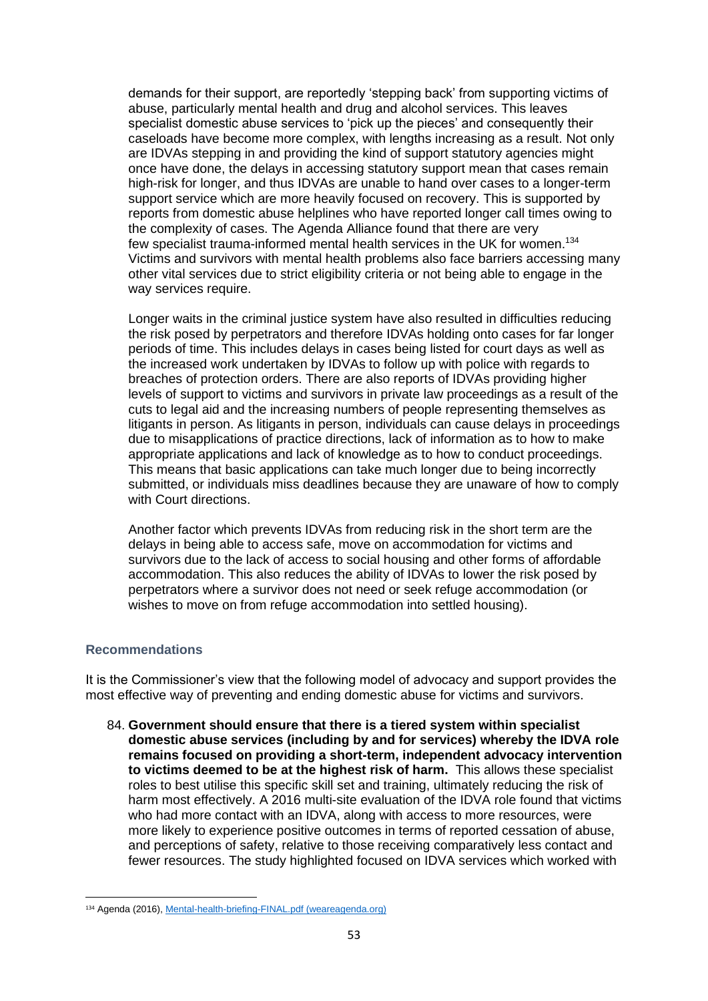demands for their support, are reportedly 'stepping back' from supporting victims of abuse, particularly mental health and drug and alcohol services. This leaves specialist domestic abuse services to 'pick up the pieces' and consequently their caseloads have become more complex, with lengths increasing as a result. Not only are IDVAs stepping in and providing the kind of support statutory agencies might once have done, the delays in accessing statutory support mean that cases remain high-risk for longer, and thus IDVAs are unable to hand over cases to a longer-term support service which are more heavily focused on recovery. This is supported by reports from domestic abuse helplines who have reported longer call times owing to the complexity of cases. The Agenda Alliance found that there are very few specialist trauma-informed mental health services in the UK for women.<sup>134</sup> Victims and survivors with mental health problems also face barriers accessing many other vital services due to strict eligibility criteria or not being able to engage in the way services require.

Longer waits in the criminal justice system have also resulted in difficulties reducing the risk posed by perpetrators and therefore IDVAs holding onto cases for far longer periods of time. This includes delays in cases being listed for court days as well as the increased work undertaken by IDVAs to follow up with police with regards to breaches of protection orders. There are also reports of IDVAs providing higher levels of support to victims and survivors in private law proceedings as a result of the cuts to legal aid and the increasing numbers of people representing themselves as litigants in person. As litigants in person, individuals can cause delays in proceedings due to misapplications of practice directions, lack of information as to how to make appropriate applications and lack of knowledge as to how to conduct proceedings. This means that basic applications can take much longer due to being incorrectly submitted, or individuals miss deadlines because they are unaware of how to comply with Court directions.

Another factor which prevents IDVAs from reducing risk in the short term are the delays in being able to access safe, move on accommodation for victims and survivors due to the lack of access to social housing and other forms of affordable accommodation. This also reduces the ability of IDVAs to lower the risk posed by perpetrators where a survivor does not need or seek refuge accommodation (or wishes to move on from refuge accommodation into settled housing).

## **Recommendations**

It is the Commissioner's view that the following model of advocacy and support provides the most effective way of preventing and ending domestic abuse for victims and survivors.

84. **Government should ensure that there is a tiered system within specialist domestic abuse services (including by and for services) whereby the IDVA role remains focused on providing a short-term, independent advocacy intervention to victims deemed to be at the highest risk of harm.** This allows these specialist roles to best utilise this specific skill set and training, ultimately reducing the risk of harm most effectively. A 2016 multi-site evaluation of the IDVA role found that victims who had more contact with an IDVA, along with access to more resources, were more likely to experience positive outcomes in terms of reported cessation of abuse, and perceptions of safety, relative to those receiving comparatively less contact and fewer resources. The study highlighted focused on IDVA services which worked with

<sup>134</sup> Agenda (2016), [Mental-health-briefing-FINAL.pdf \(weareagenda.org\)](https://weareagenda.org/wp-content/uploads/2016/11/Mental-health-briefing-FINAL.pdf)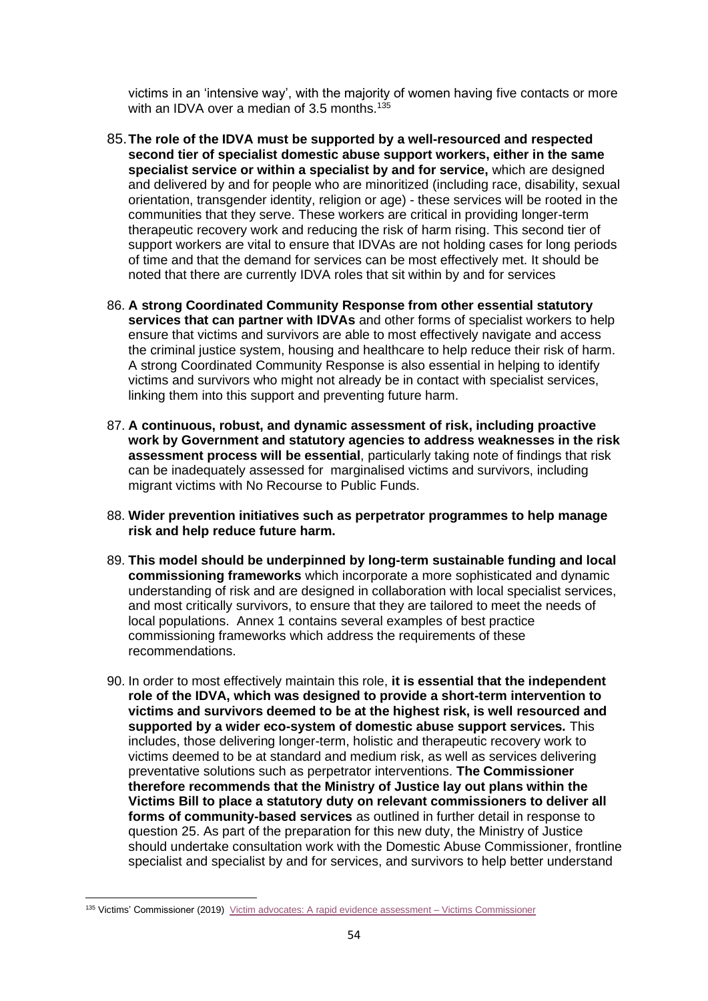victims in an 'intensive way', with the majority of women having five contacts or more with an IDVA over a median of 3.5 months.<sup>135</sup>

- 85.**The role of the IDVA must be supported by a well-resourced and respected second tier of specialist domestic abuse support workers, either in the same specialist service or within a specialist by and for service,** which are designed and delivered by and for people who are minoritized (including race, disability, sexual orientation, transgender identity, religion or age) - these services will be rooted in the communities that they serve. These workers are critical in providing longer-term therapeutic recovery work and reducing the risk of harm rising. This second tier of support workers are vital to ensure that IDVAs are not holding cases for long periods of time and that the demand for services can be most effectively met. It should be noted that there are currently IDVA roles that sit within by and for services
- 86. **A strong Coordinated Community Response from other essential statutory services that can partner with IDVAs** and other forms of specialist workers to help ensure that victims and survivors are able to most effectively navigate and access the criminal justice system, housing and healthcare to help reduce their risk of harm. A strong Coordinated Community Response is also essential in helping to identify victims and survivors who might not already be in contact with specialist services, linking them into this support and preventing future harm.
- 87. **A continuous, robust, and dynamic assessment of risk, including proactive work by Government and statutory agencies to address weaknesses in the risk assessment process will be essential**, particularly taking note of findings that risk can be inadequately assessed for marginalised victims and survivors, including migrant victims with No Recourse to Public Funds.
- 88. **Wider prevention initiatives such as perpetrator programmes to help manage risk and help reduce future harm.**
- 89. **This model should be underpinned by long-term sustainable funding and local commissioning frameworks** which incorporate a more sophisticated and dynamic understanding of risk and are designed in collaboration with local specialist services, and most critically survivors, to ensure that they are tailored to meet the needs of local populations. Annex 1 contains several examples of best practice commissioning frameworks which address the requirements of these recommendations.
- 90. In order to most effectively maintain this role, **it is essential that the independent role of the IDVA, which was designed to provide a short-term intervention to victims and survivors deemed to be at the highest risk, is well resourced and supported by a wider eco-system of domestic abuse support services***.* This includes, those delivering longer-term, holistic and therapeutic recovery work to victims deemed to be at standard and medium risk, as well as services delivering preventative solutions such as perpetrator interventions. **The Commissioner therefore recommends that the Ministry of Justice lay out plans within the Victims Bill to place a statutory duty on relevant commissioners to deliver all forms of community-based services** as outlined in further detail in response to question 25. As part of the preparation for this new duty, the Ministry of Justice should undertake consultation work with the Domestic Abuse Commissioner, frontline specialist and specialist by and for services, and survivors to help better understand

<sup>135</sup> Victims' Commissioner (2019) [Victim advocates: A rapid evidence assessment –](https://victimscommissioner.org.uk/document/victim-advocates-a-rapid-evidence-assessment/) Victims Commissioner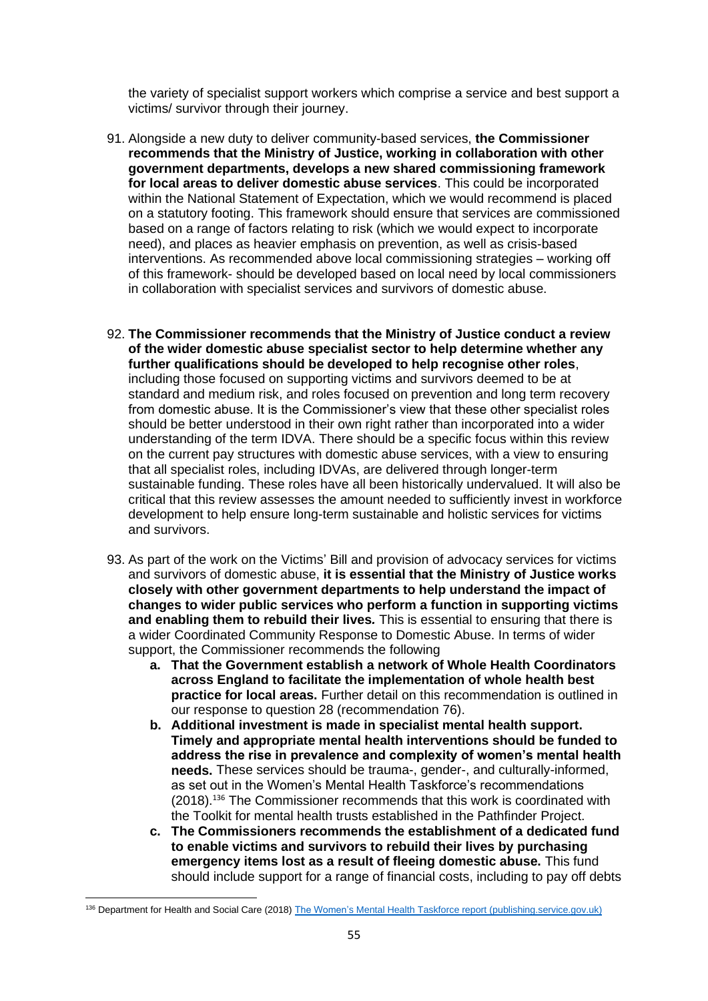the variety of specialist support workers which comprise a service and best support a victims/ survivor through their journey.

- 91. Alongside a new duty to deliver community-based services, **the Commissioner recommends that the Ministry of Justice, working in collaboration with other government departments, develops a new shared commissioning framework for local areas to deliver domestic abuse services**. This could be incorporated within the National Statement of Expectation, which we would recommend is placed on a statutory footing. This framework should ensure that services are commissioned based on a range of factors relating to risk (which we would expect to incorporate need), and places as heavier emphasis on prevention, as well as crisis-based interventions. As recommended above local commissioning strategies – working off of this framework- should be developed based on local need by local commissioners in collaboration with specialist services and survivors of domestic abuse.
- 92. **The Commissioner recommends that the Ministry of Justice conduct a review of the wider domestic abuse specialist sector to help determine whether any further qualifications should be developed to help recognise other roles**, including those focused on supporting victims and survivors deemed to be at standard and medium risk, and roles focused on prevention and long term recovery from domestic abuse. It is the Commissioner's view that these other specialist roles should be better understood in their own right rather than incorporated into a wider understanding of the term IDVA. There should be a specific focus within this review on the current pay structures with domestic abuse services, with a view to ensuring that all specialist roles, including IDVAs, are delivered through longer-term sustainable funding. These roles have all been historically undervalued. It will also be critical that this review assesses the amount needed to sufficiently invest in workforce development to help ensure long-term sustainable and holistic services for victims and survivors.
- 93. As part of the work on the Victims' Bill and provision of advocacy services for victims and survivors of domestic abuse, **it is essential that the Ministry of Justice works closely with other government departments to help understand the impact of changes to wider public services who perform a function in supporting victims and enabling them to rebuild their lives***.* This is essential to ensuring that there is a wider Coordinated Community Response to Domestic Abuse. In terms of wider support, the Commissioner recommends the following
	- **a. That the Government establish a network of Whole Health Coordinators across England to facilitate the implementation of whole health best practice for local areas.** Further detail on this recommendation is outlined in our response to question 28 (recommendation 76).
	- **b. Additional investment is made in specialist mental health support. Timely and appropriate mental health interventions should be funded to address the rise in prevalence and complexity of women's mental health needs.** These services should be trauma-, gender-, and culturally-informed, as set out in the Women's Mental Health Taskforce's recommendations (2018).<sup>136</sup> The Commissioner recommends that this work is coordinated with the Toolkit for mental health trusts established in the Pathfinder Project.
	- **c. The Commissioners recommends the establishment of a dedicated fund to enable victims and survivors to rebuild their lives by purchasing emergency items lost as a result of fleeing domestic abuse.** This fund should include support for a range of financial costs, including to pay off debts

<sup>136</sup> Department for Health and Social Care (2018) [The Women's Mental Health Taskforce report \(publishing.service.gov.uk\)](https://assets.publishing.service.gov.uk/government/uploads/system/uploads/attachment_data/file/765821/The_Womens_Mental_Health_Taskforce_-_final_report1.pdf)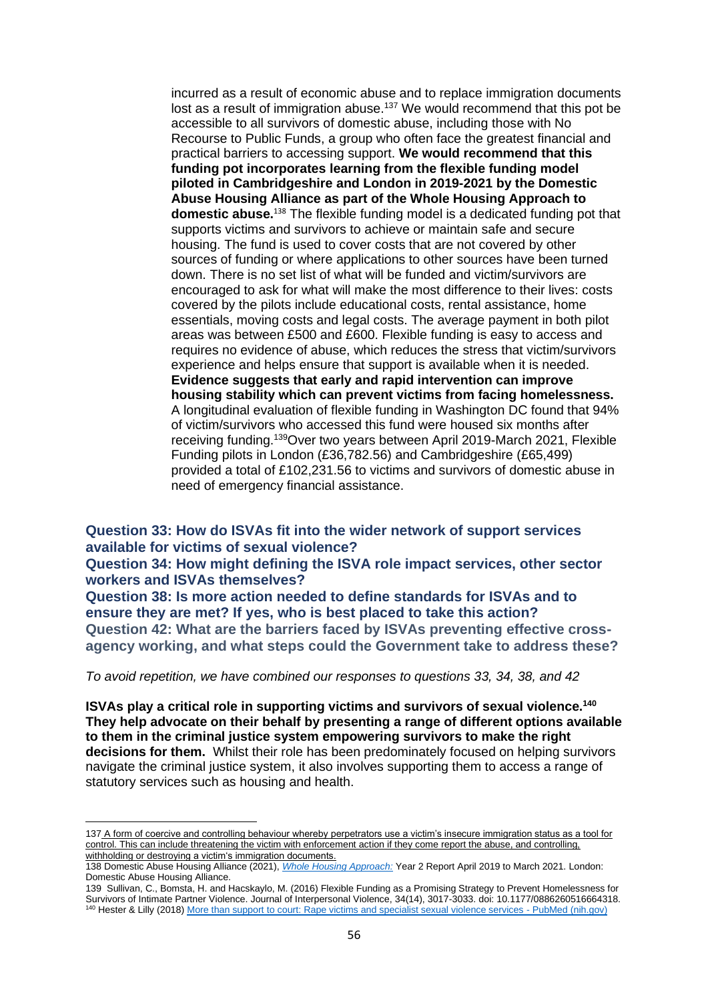incurred as a result of economic abuse and to replace immigration documents lost as a result of immigration abuse.<sup>137</sup> We would recommend that this pot be accessible to all survivors of domestic abuse, including those with No Recourse to Public Funds, a group who often face the greatest financial and practical barriers to accessing support. **We would recommend that this funding pot incorporates learning from the flexible funding model piloted in Cambridgeshire and London in 2019-2021 by the Domestic Abuse Housing Alliance as part of the Whole Housing Approach to domestic abuse.**<sup>138</sup> The flexible funding model is a dedicated funding pot that supports victims and survivors to achieve or maintain safe and secure housing. The fund is used to cover costs that are not covered by other sources of funding or where applications to other sources have been turned down. There is no set list of what will be funded and victim/survivors are encouraged to ask for what will make the most difference to their lives: costs covered by the pilots include educational costs, rental assistance, home essentials, moving costs and legal costs. The average payment in both pilot areas was between £500 and £600. Flexible funding is easy to access and requires no evidence of abuse, which reduces the stress that victim/survivors experience and helps ensure that support is available when it is needed. **Evidence suggests that early and rapid intervention can improve housing stability which can prevent victims from facing homelessness.** A longitudinal evaluation of flexible funding in Washington DC found that 94% of victim/survivors who accessed this fund were housed six months after receiving funding.<sup>139</sup>Over two years between April 2019-March 2021, Flexible Funding pilots in London (£36,782.56) and Cambridgeshire (£65,499) provided a total of £102,231.56 to victims and survivors of domestic abuse in need of emergency financial assistance.

**Question 33: How do ISVAs fit into the wider network of support services available for victims of sexual violence?**

**Question 34: How might defining the ISVA role impact services, other sector workers and ISVAs themselves?** 

**Question 38: Is more action needed to define standards for ISVAs and to ensure they are met? If yes, who is best placed to take this action? Question 42: What are the barriers faced by ISVAs preventing effective crossagency working, and what steps could the Government take to address these?** 

*To avoid repetition, we have combined our responses to questions 33, 34, 38, and 42*

**ISVAs play a critical role in supporting victims and survivors of sexual violence.<sup>140</sup> They help advocate on their behalf by presenting a range of different options available to them in the criminal justice system empowering survivors to make the right decisions for them.** Whilst their role has been predominately focused on helping survivors navigate the criminal justice system, it also involves supporting them to access a range of statutory services such as housing and health.

<sup>137</sup> A form of coercive and controlling behaviour whereby perpetrators use a victim's insecure immigration status as a tool for control. This can include threatening the victim with enforcement action if they come report the abuse, and controlling, withholding or destroying a victim's immigration documents.

<sup>138</sup> Domestic Abuse Housing Alliance (2021), *[Whole Housing Approach:](https://www.dahalliance.org.uk/media/11066/whole-housing-project-report_year-two_final.pdf)* Year 2 Report April 2019 to March 2021. London: Domestic Abuse Housing Alliance.

<sup>139</sup> Sullivan, C., Bomsta, H. and Hacskaylo, M. (2016) Flexible Funding as a Promising Strategy to Prevent Homelessness for Survivors of Intimate Partner Violence. Journal of Interpersonal Violence, 34(14), 3017-3033. doi: 10.1177/0886260516664318. <sup>140</sup> Hester & Lilly (2018[\) More than support to court: Rape victims and specialist sexual violence services -](https://pubmed.ncbi.nlm.nih.gov/30111902/) PubMed (nih.gov)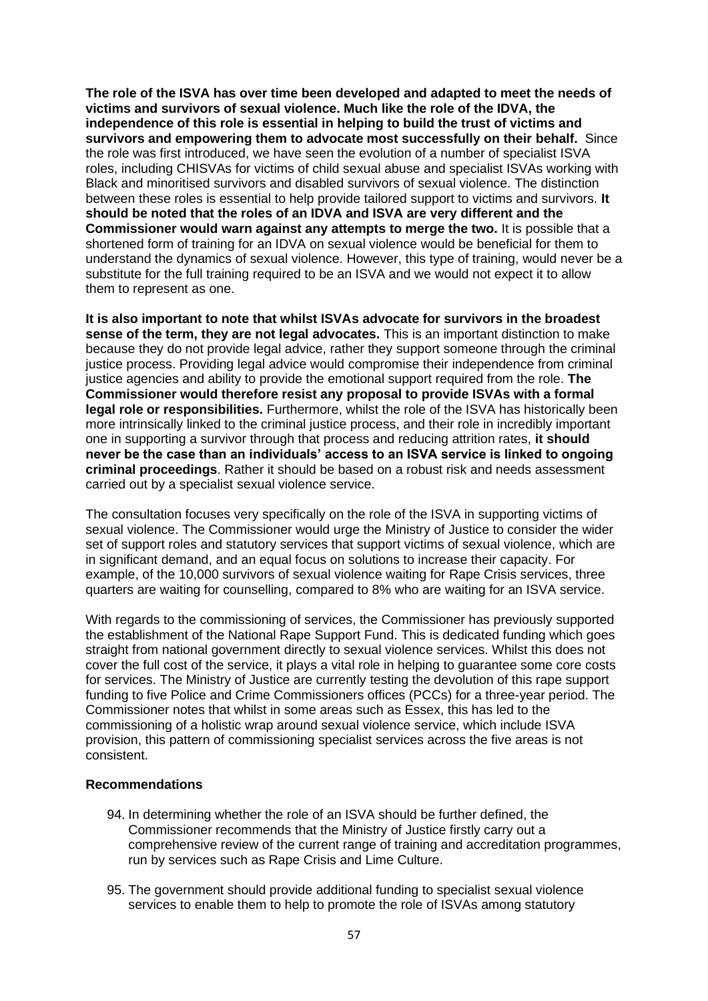**The role of the ISVA has over time been developed and adapted to meet the needs of victims and survivors of sexual violence. Much like the role of the IDVA, the independence of this role is essential in helping to build the trust of victims and survivors and empowering them to advocate most successfully on their behalf.** Since the role was first introduced, we have seen the evolution of a number of specialist ISVA roles, including CHISVAs for victims of child sexual abuse and specialist ISVAs working with Black and minoritised survivors and disabled survivors of sexual violence. The distinction between these roles is essential to help provide tailored support to victims and survivors. **It should be noted that the roles of an IDVA and ISVA are very different and the Commissioner would warn against any attempts to merge the two.** It is possible that a shortened form of training for an IDVA on sexual violence would be beneficial for them to understand the dynamics of sexual violence. However, this type of training, would never be a substitute for the full training required to be an ISVA and we would not expect it to allow them to represent as one.

**It is also important to note that whilst ISVAs advocate for survivors in the broadest sense of the term, they are not legal advocates.** This is an important distinction to make because they do not provide legal advice, rather they support someone through the criminal justice process. Providing legal advice would compromise their independence from criminal justice agencies and ability to provide the emotional support required from the role. **The Commissioner would therefore resist any proposal to provide ISVAs with a formal legal role or responsibilities.** Furthermore, whilst the role of the ISVA has historically been more intrinsically linked to the criminal justice process, and their role in incredibly important one in supporting a survivor through that process and reducing attrition rates, **it should never be the case than an individuals' access to an ISVA service is linked to ongoing criminal proceedings**. Rather it should be based on a robust risk and needs assessment carried out by a specialist sexual violence service.

The consultation focuses very specifically on the role of the ISVA in supporting victims of sexual violence. The Commissioner would urge the Ministry of Justice to consider the wider set of support roles and statutory services that support victims of sexual violence, which are in significant demand, and an equal focus on solutions to increase their capacity. For example, of the 10,000 survivors of sexual violence waiting for Rape Crisis services, three quarters are waiting for counselling, compared to 8% who are waiting for an ISVA service.

With regards to the commissioning of services, the Commissioner has previously supported the establishment of the National Rape Support Fund. This is dedicated funding which goes straight from national government directly to sexual violence services. Whilst this does not cover the full cost of the service, it plays a vital role in helping to guarantee some core costs for services. The Ministry of Justice are currently testing the devolution of this rape support funding to five Police and Crime Commissioners offices (PCCs) for a three-year period. The Commissioner notes that whilst in some areas such as Essex, this has led to the commissioning of a holistic wrap around sexual violence service, which include ISVA provision, this pattern of commissioning specialist services across the five areas is not consistent.

#### **Recommendations**

- 94. In determining whether the role of an ISVA should be further defined, the Commissioner recommends that the Ministry of Justice firstly carry out a comprehensive review of the current range of training and accreditation programmes, run by services such as Rape Crisis and Lime Culture.
- 95. The government should provide additional funding to specialist sexual violence services to enable them to help to promote the role of ISVAs among statutory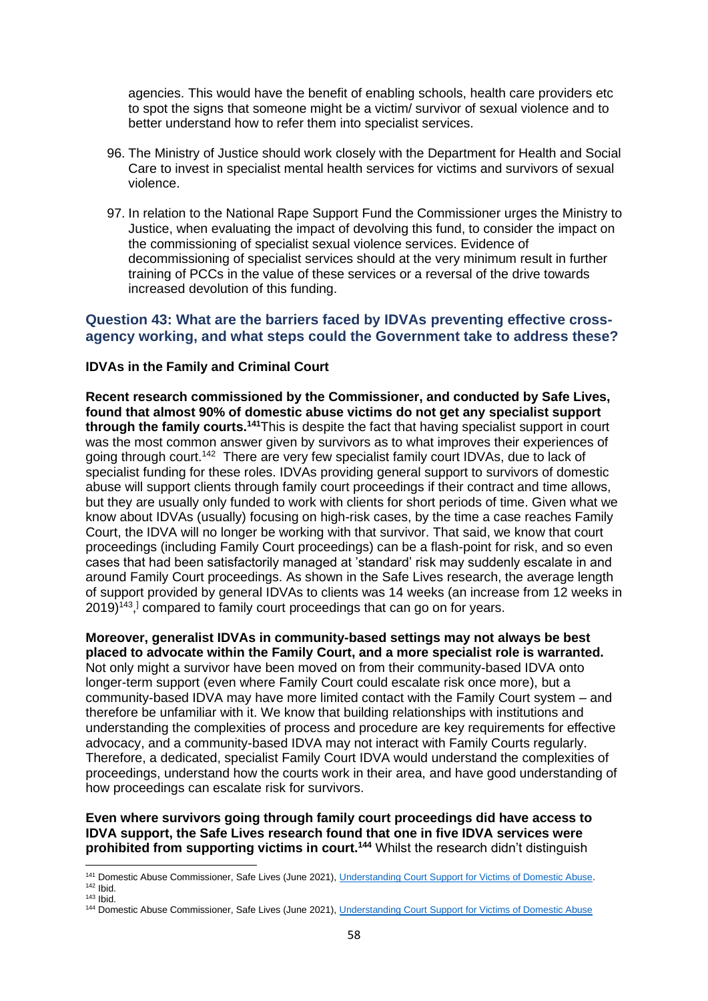agencies. This would have the benefit of enabling schools, health care providers etc to spot the signs that someone might be a victim/ survivor of sexual violence and to better understand how to refer them into specialist services.

- 96. The Ministry of Justice should work closely with the Department for Health and Social Care to invest in specialist mental health services for victims and survivors of sexual violence.
- 97. In relation to the National Rape Support Fund the Commissioner urges the Ministry to Justice, when evaluating the impact of devolving this fund, to consider the impact on the commissioning of specialist sexual violence services. Evidence of decommissioning of specialist services should at the very minimum result in further training of PCCs in the value of these services or a reversal of the drive towards increased devolution of this funding.

# **Question 43: What are the barriers faced by IDVAs preventing effective crossagency working, and what steps could the Government take to address these?**

## **IDVAs in the Family and Criminal Court**

**Recent research commissioned by the Commissioner, and conducted by Safe Lives, found that almost 90% of domestic abuse victims do not get any specialist support through the family courts.<sup>141</sup>**This is despite the fact that having specialist support in court was the most common answer given by survivors as to what improves their experiences of going through court.<sup>142</sup> There are very few specialist family court IDVAs, due to lack of specialist funding for these roles. IDVAs providing general support to survivors of domestic abuse will support clients through family court proceedings if their contract and time allows, but they are usually only funded to work with clients for short periods of time. Given what we know about IDVAs (usually) focusing on high-risk cases, by the time a case reaches Family Court, the IDVA will no longer be working with that survivor. That said, we know that court proceedings (including Family Court proceedings) can be a flash-point for risk, and so even cases that had been satisfactorily managed at 'standard' risk may suddenly escalate in and around Family Court proceedings. As shown in the Safe Lives research, the average length of support provided by general IDVAs to clients was 14 weeks (an increase from 12 weeks in 2019)<sup>143</sup>,<sup>1</sup> compared to family court proceedings that can go on for years.

**Moreover, generalist IDVAs in community-based settings may not always be best placed to advocate within the Family Court, and a more specialist role is warranted.**  Not only might a survivor have been moved on from their community-based IDVA onto

longer-term support (even where Family Court could escalate risk once more), but a community-based IDVA may have more limited contact with the Family Court system – and therefore be unfamiliar with it. We know that building relationships with institutions and understanding the complexities of process and procedure are key requirements for effective advocacy, and a community-based IDVA may not interact with Family Courts regularly. Therefore, a dedicated, specialist Family Court IDVA would understand the complexities of proceedings, understand how the courts work in their area, and have good understanding of how proceedings can escalate risk for survivors.

**Even where survivors going through family court proceedings did have access to IDVA support, the Safe Lives research found that one in five IDVA services were prohibited from supporting victims in court.<sup>144</sup>** Whilst the research didn't distinguish

<sup>&</sup>lt;sup>141</sup> Domestic Abuse Commissioner, Safe Lives (June 2021)[, Understanding Court Support for Victims of Domestic Abuse.](https://gbr01.safelinks.protection.outlook.com/?url=https%3A%2F%2Fdomesticabusecommissioner.uk%2Fwp-content%2Fuploads%2F2021%2F06%2FCourt-Support-Mapping-Report-DAC-Office-and-SafeLives.pdf&data=04%7C01%7CHannah.Gousy%40domesticabusecommissioner.independent.gov.uk%7Cfa71e44ea19245ad67e008d9dfd6d817%7Cf24d93ecb2914192a08af182245945c2%7C0%7C0%7C637786936097989618%7CUnknown%7CTWFpbGZsb3d8eyJWIjoiMC4wLjAwMDAiLCJQIjoiV2luMzIiLCJBTiI6Ik1haWwiLCJXVCI6Mn0%3D%7C3000&sdata=r0bywiyU7edwwLY0u3sHFerQ08HaA4JaxHtjs0O5RRU%3D&reserved=0)  $142$  Ibid.

 $143$  Ibid.

<sup>144</sup> Domestic Abuse Commissioner, Safe Lives (June 2021)[, Understanding Court Support for Victims of Domestic Abuse](https://gbr01.safelinks.protection.outlook.com/?url=https%3A%2F%2Fdomesticabusecommissioner.uk%2Fwp-content%2Fuploads%2F2021%2F06%2FCourt-Support-Mapping-Report-DAC-Office-and-SafeLives.pdf&data=04%7C01%7CHannah.Gousy%40domesticabusecommissioner.independent.gov.uk%7Cfa71e44ea19245ad67e008d9dfd6d817%7Cf24d93ecb2914192a08af182245945c2%7C0%7C0%7C637786936097989618%7CUnknown%7CTWFpbGZsb3d8eyJWIjoiMC4wLjAwMDAiLCJQIjoiV2luMzIiLCJBTiI6Ik1haWwiLCJXVCI6Mn0%3D%7C3000&sdata=r0bywiyU7edwwLY0u3sHFerQ08HaA4JaxHtjs0O5RRU%3D&reserved=0)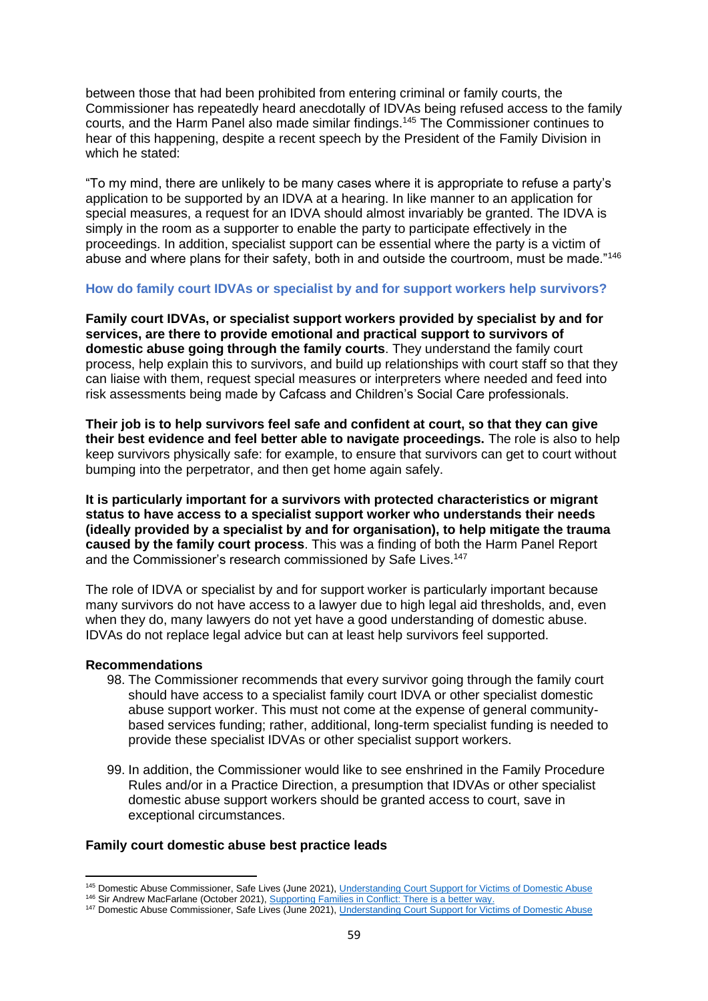between those that had been prohibited from entering criminal or family courts, the Commissioner has repeatedly heard anecdotally of IDVAs being refused access to the family courts, and the Harm Panel also made similar findings.<sup>145</sup> The Commissioner continues to hear of this happening, despite a recent speech by the President of the Family Division in which he stated:

"To my mind, there are unlikely to be many cases where it is appropriate to refuse a party's application to be supported by an IDVA at a hearing. In like manner to an application for special measures, a request for an IDVA should almost invariably be granted. The IDVA is simply in the room as a supporter to enable the party to participate effectively in the proceedings. In addition, specialist support can be essential where the party is a victim of abuse and where plans for their safety, both in and outside the courtroom, must be made."<sup>146</sup>

#### **How do family court IDVAs or specialist by and for support workers help survivors?**

**Family court IDVAs, or specialist support workers provided by specialist by and for services, are there to provide emotional and practical support to survivors of domestic abuse going through the family courts**. They understand the family court process, help explain this to survivors, and build up relationships with court staff so that they can liaise with them, request special measures or interpreters where needed and feed into risk assessments being made by Cafcass and Children's Social Care professionals.

**Their job is to help survivors feel safe and confident at court, so that they can give their best evidence and feel better able to navigate proceedings.** The role is also to help keep survivors physically safe: for example, to ensure that survivors can get to court without bumping into the perpetrator, and then get home again safely.

**It is particularly important for a survivors with protected characteristics or migrant status to have access to a specialist support worker who understands their needs (ideally provided by a specialist by and for organisation), to help mitigate the trauma caused by the family court process**. This was a finding of both the Harm Panel Report and the Commissioner's research commissioned by Safe Lives.<sup>147</sup>

The role of IDVA or specialist by and for support worker is particularly important because many survivors do not have access to a lawyer due to high legal aid thresholds, and, even when they do, many lawyers do not yet have a good understanding of domestic abuse. IDVAs do not replace legal advice but can at least help survivors feel supported.

#### **Recommendations**

- 98. The Commissioner recommends that every survivor going through the family court should have access to a specialist family court IDVA or other specialist domestic abuse support worker. This must not come at the expense of general communitybased services funding; rather, additional, long-term specialist funding is needed to provide these specialist IDVAs or other specialist support workers.
- 99. In addition, the Commissioner would like to see enshrined in the Family Procedure Rules and/or in a Practice Direction, a presumption that IDVAs or other specialist domestic abuse support workers should be granted access to court, save in exceptional circumstances.

#### **Family court domestic abuse best practice leads**

<sup>145</sup> Domestic Abuse Commissioner, Safe Lives (June 2021)[, Understanding Court Support for Victims of Domestic Abuse](https://gbr01.safelinks.protection.outlook.com/?url=https%3A%2F%2Fdomesticabusecommissioner.uk%2Fwp-content%2Fuploads%2F2021%2F06%2FCourt-Support-Mapping-Report-DAC-Office-and-SafeLives.pdf&data=04%7C01%7CHannah.Gousy%40domesticabusecommissioner.independent.gov.uk%7Cfa71e44ea19245ad67e008d9dfd6d817%7Cf24d93ecb2914192a08af182245945c2%7C0%7C0%7C637786936097989618%7CUnknown%7CTWFpbGZsb3d8eyJWIjoiMC4wLjAwMDAiLCJQIjoiV2luMzIiLCJBTiI6Ik1haWwiLCJXVCI6Mn0%3D%7C3000&sdata=r0bywiyU7edwwLY0u3sHFerQ08HaA4JaxHtjs0O5RRU%3D&reserved=0)

<sup>146</sup> Sir Andrew MacFarlane (October 2021)[, Supporting Families in Conflict: There is a better way.](https://gbr01.safelinks.protection.outlook.com/?url=https%3A%2F%2Fwww.judiciary.uk%2Fwp-content%2Fuploads%2F2021%2F10%2FSupporting-Families-in-Conflict-Jersey.pdf&data=04%7C01%7CHannah.Gousy%40domesticabusecommissioner.independent.gov.uk%7Cfa71e44ea19245ad67e008d9dfd6d817%7Cf24d93ecb2914192a08af182245945c2%7C0%7C0%7C637786936097989618%7CUnknown%7CTWFpbGZsb3d8eyJWIjoiMC4wLjAwMDAiLCJQIjoiV2luMzIiLCJBTiI6Ik1haWwiLCJXVCI6Mn0%3D%7C3000&sdata=sqFM%2BspLz%2BfRijKX9jOIHGeeRddxVJLcF8hAT0LL3KY%3D&reserved=0)

<sup>147</sup> Domestic Abuse Commissioner, Safe Lives (June 2021)[, Understanding Court Support for Victims of Domestic Abuse](https://gbr01.safelinks.protection.outlook.com/?url=https%3A%2F%2Fdomesticabusecommissioner.uk%2Fwp-content%2Fuploads%2F2021%2F06%2FCourt-Support-Mapping-Report-DAC-Office-and-SafeLives.pdf&data=04%7C01%7CHannah.Gousy%40domesticabusecommissioner.independent.gov.uk%7Cfa71e44ea19245ad67e008d9dfd6d817%7Cf24d93ecb2914192a08af182245945c2%7C0%7C0%7C637786936097989618%7CUnknown%7CTWFpbGZsb3d8eyJWIjoiMC4wLjAwMDAiLCJQIjoiV2luMzIiLCJBTiI6Ik1haWwiLCJXVCI6Mn0%3D%7C3000&sdata=r0bywiyU7edwwLY0u3sHFerQ08HaA4JaxHtjs0O5RRU%3D&reserved=0)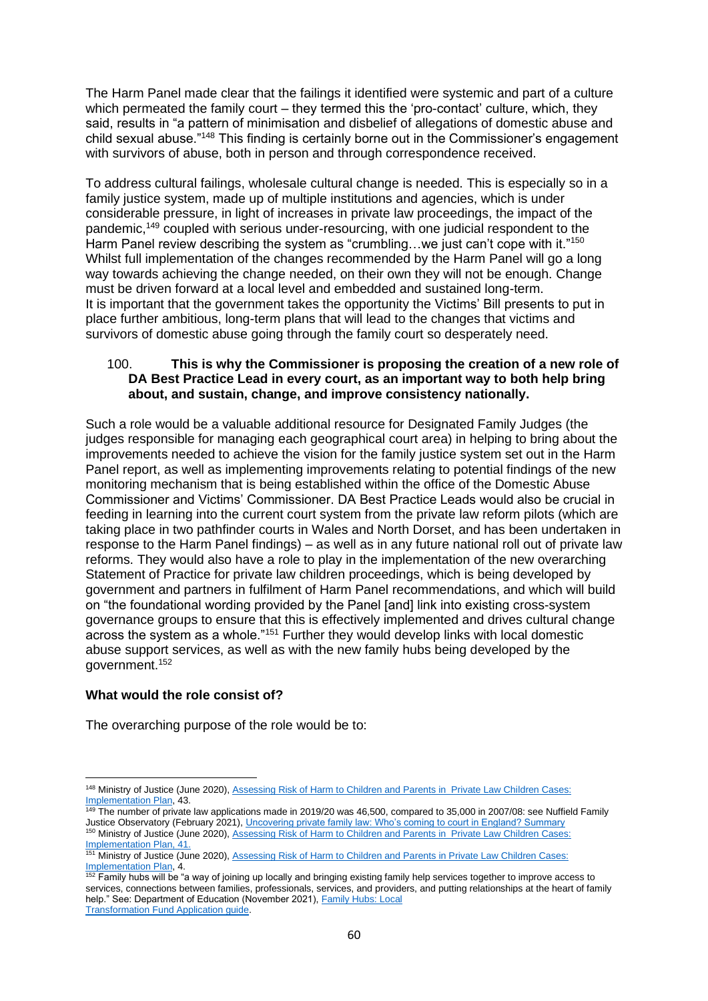The Harm Panel made clear that the failings it identified were systemic and part of a culture which permeated the family court – they termed this the 'pro-contact' culture, which, they said, results in "a pattern of minimisation and disbelief of allegations of domestic abuse and child sexual abuse."<sup>148</sup> This finding is certainly borne out in the Commissioner's engagement with survivors of abuse, both in person and through correspondence received.

To address cultural failings, wholesale cultural change is needed. This is especially so in a family justice system, made up of multiple institutions and agencies, which is under considerable pressure, in light of increases in private law proceedings, the impact of the pandemic,<sup>149</sup> coupled with serious under-resourcing, with one judicial respondent to the Harm Panel review describing the system as "crumbling...we just can't cope with it."<sup>150</sup> Whilst full implementation of the changes recommended by the Harm Panel will go a long way towards achieving the change needed, on their own they will not be enough. Change must be driven forward at a local level and embedded and sustained long-term. It is important that the government takes the opportunity the Victims' Bill presents to put in place further ambitious, long-term plans that will lead to the changes that victims and survivors of domestic abuse going through the family court so desperately need.

## 100. **This is why the Commissioner is proposing the creation of a new role of DA Best Practice Lead in every court, as an important way to both help bring about, and sustain, change, and improve consistency nationally.**

Such a role would be a valuable additional resource for Designated Family Judges (the judges responsible for managing each geographical court area) in helping to bring about the improvements needed to achieve the vision for the family justice system set out in the Harm Panel report, as well as implementing improvements relating to potential findings of the new monitoring mechanism that is being established within the office of the Domestic Abuse Commissioner and Victims' Commissioner. DA Best Practice Leads would also be crucial in feeding in learning into the current court system from the private law reform pilots (which are taking place in two pathfinder courts in Wales and North Dorset, and has been undertaken in response to the Harm Panel findings) – as well as in any future national roll out of private law reforms. They would also have a role to play in the implementation of the new overarching Statement of Practice for private law children proceedings, which is being developed by government and partners in fulfilment of Harm Panel recommendations, and which will build on "the foundational wording provided by the Panel [and] link into existing cross-system governance groups to ensure that this is effectively implemented and drives cultural change across the system as a whole."<sup>151</sup> Further they would develop links with local domestic abuse support services, as well as with the new family hubs being developed by the government.<sup>152</sup>

## **What would the role consist of?**

The overarching purpose of the role would be to:

<sup>148</sup> Ministry of Justice (June 2020), Assessing Risk of Harm to Children and Parents in Private Law Children Cases: [Implementation Plan,](https://assets.publishing.service.gov.uk/government/uploads/system/uploads/attachment_data/file/895174/implementation-plan-assessing-risk-children.pdf) 43.

 $\frac{149}{149}$  The number of private law applications made in 2019/20 was 46,500, compared to 35,000 in 2007/08: see Nuffield Family Justice Observatory (February 2021)[, Uncovering private family law: Who's coming to court in England? Summary](https://www.nuffieldfjo.org.uk/wp-content/uploads/2021/05/nfjo_whos-coming-to-court_england_summary.pdf) <sup>150</sup> Ministry of Justice (June 2020), Assessing Risk of Harm to Children and Parents in Private Law Children Cases:

[Implementation Plan,](https://assets.publishing.service.gov.uk/government/uploads/system/uploads/attachment_data/file/895174/implementation-plan-assessing-risk-children.pdf) 41. 151 Ministry of Justice (June 2020), Assessing Risk of Harm to Children and Parents in Private Law Children Cases: [Implementation Plan,](https://assets.publishing.service.gov.uk/government/uploads/system/uploads/attachment_data/file/895174/implementation-plan-assessing-risk-children.pdf) 4.

<sup>&</sup>lt;sup>152</sup> Family hubs will be "a way of joining up locally and bringing existing family help services together to improve access to services, connections between families, professionals, services, and providers, and putting relationships at the heart of family help." See: Department of Education (November 2021), Family Hubs: Local [Transformation Fund Application guide.](https://assets.publishing.service.gov.uk/government/uploads/system/uploads/attachment_data/file/1030243/FH_Transformation_Fund_-_LA_Application_Guide.pdf)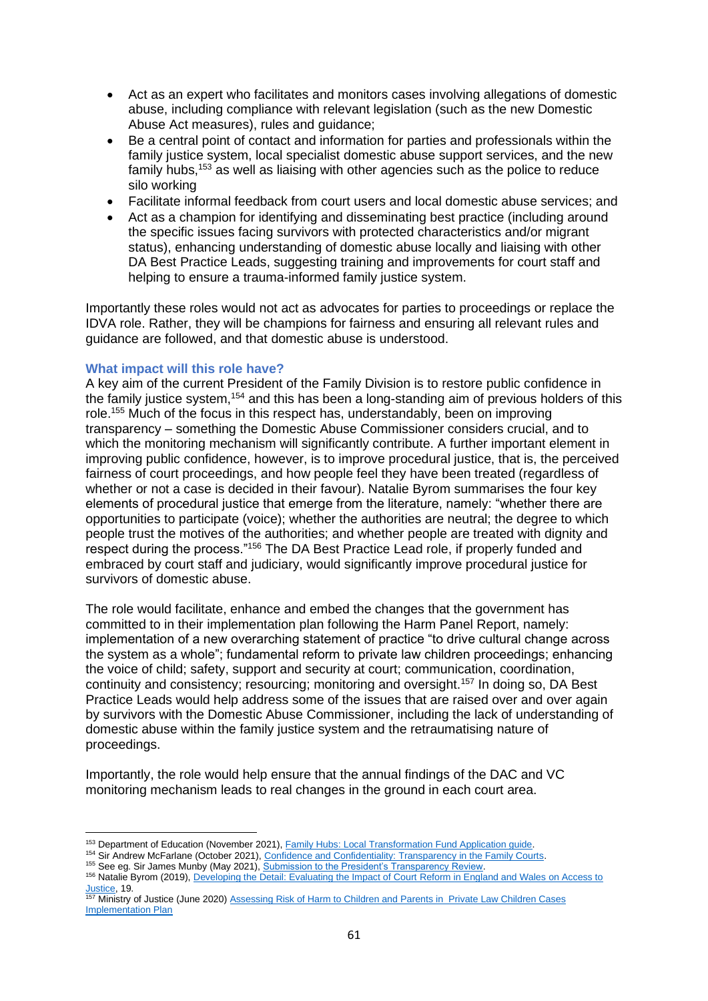- Act as an expert who facilitates and monitors cases involving allegations of domestic abuse, including compliance with relevant legislation (such as the new Domestic Abuse Act measures), rules and guidance;
- Be a central point of contact and information for parties and professionals within the family justice system, local specialist domestic abuse support services, and the new family hubs,<sup>153</sup> as well as liaising with other agencies such as the police to reduce silo working
- Facilitate informal feedback from court users and local domestic abuse services; and
- Act as a champion for identifying and disseminating best practice (including around the specific issues facing survivors with protected characteristics and/or migrant status), enhancing understanding of domestic abuse locally and liaising with other DA Best Practice Leads, suggesting training and improvements for court staff and helping to ensure a trauma-informed family justice system.

Importantly these roles would not act as advocates for parties to proceedings or replace the IDVA role. Rather, they will be champions for fairness and ensuring all relevant rules and guidance are followed, and that domestic abuse is understood.

## **What impact will this role have?**

A key aim of the current President of the Family Division is to restore public confidence in the family justice system,<sup>154</sup> and this has been a long-standing aim of previous holders of this role.<sup>155</sup> Much of the focus in this respect has, understandably, been on improving transparency – something the Domestic Abuse Commissioner considers crucial, and to which the monitoring mechanism will significantly contribute. A further important element in improving public confidence, however, is to improve procedural justice, that is, the perceived fairness of court proceedings, and how people feel they have been treated (regardless of whether or not a case is decided in their favour). Natalie Byrom summarises the four key elements of procedural justice that emerge from the literature, namely: "whether there are opportunities to participate (voice); whether the authorities are neutral; the degree to which people trust the motives of the authorities; and whether people are treated with dignity and respect during the process."<sup>156</sup> The DA Best Practice Lead role, if properly funded and embraced by court staff and judiciary, would significantly improve procedural justice for survivors of domestic abuse.

The role would facilitate, enhance and embed the changes that the government has committed to in their implementation plan following the Harm Panel Report, namely: implementation of a new overarching statement of practice "to drive cultural change across the system as a whole"; fundamental reform to private law children proceedings; enhancing the voice of child; safety, support and security at court; communication, coordination, continuity and consistency; resourcing; monitoring and oversight.<sup>157</sup> In doing so, DA Best Practice Leads would help address some of the issues that are raised over and over again by survivors with the Domestic Abuse Commissioner, including the lack of understanding of domestic abuse within the family justice system and the retraumatising nature of proceedings.

Importantly, the role would help ensure that the annual findings of the DAC and VC monitoring mechanism leads to real changes in the ground in each court area.

<sup>153</sup> Department of Education (November 2021), [Family Hubs: Local Transformation Fund Application guide.](https://assets.publishing.service.gov.uk/government/uploads/system/uploads/attachment_data/file/1030243/FH_Transformation_Fund_-_LA_Application_Guide.pdf)

<sup>154</sup> Sir Andrew McFarlane (October 2021), [Confidence and Confidentiality: Transparency in the Family Courts.](https://www.judiciary.uk/wp-content/uploads/2021/10/Confidence-and-Confidentiality-Transparency-in-the-Family-Courts-final.pdf)

<sup>155</sup> See eg. Sir James Munby (May 2021), [Submission to the President's Transparency Review.](https://www.transparencyproject.org.uk/munby-2-0-revised-version-of-sir-james-submissions-to-the-transparency-review/)

<sup>156</sup> Natalie Byrom (2019)[, Developing the Detail: Evaluating the Impact of Court Reform in England and Wales on Access to](https://research.thelegaleducationfoundation.org/wp-content/uploads/2019/02/Developing-the-Detail-Evaluating-the-Impact-of-Court-Reform-in-England-and-Wales-on-Access-to-Justice-FINAL.pdf)  [Justice,](https://research.thelegaleducationfoundation.org/wp-content/uploads/2019/02/Developing-the-Detail-Evaluating-the-Impact-of-Court-Reform-in-England-and-Wales-on-Access-to-Justice-FINAL.pdf) 19.

<sup>&</sup>lt;sup>157</sup> Ministry of Justice (June 2020) [Assessing Risk of Harm to Children and Parents in Private Law Children Cases](https://assets.publishing.service.gov.uk/government/uploads/system/uploads/attachment_data/file/895174/implementation-plan-assessing-risk-children.pdf) [Implementation Plan](https://assets.publishing.service.gov.uk/government/uploads/system/uploads/attachment_data/file/895174/implementation-plan-assessing-risk-children.pdf)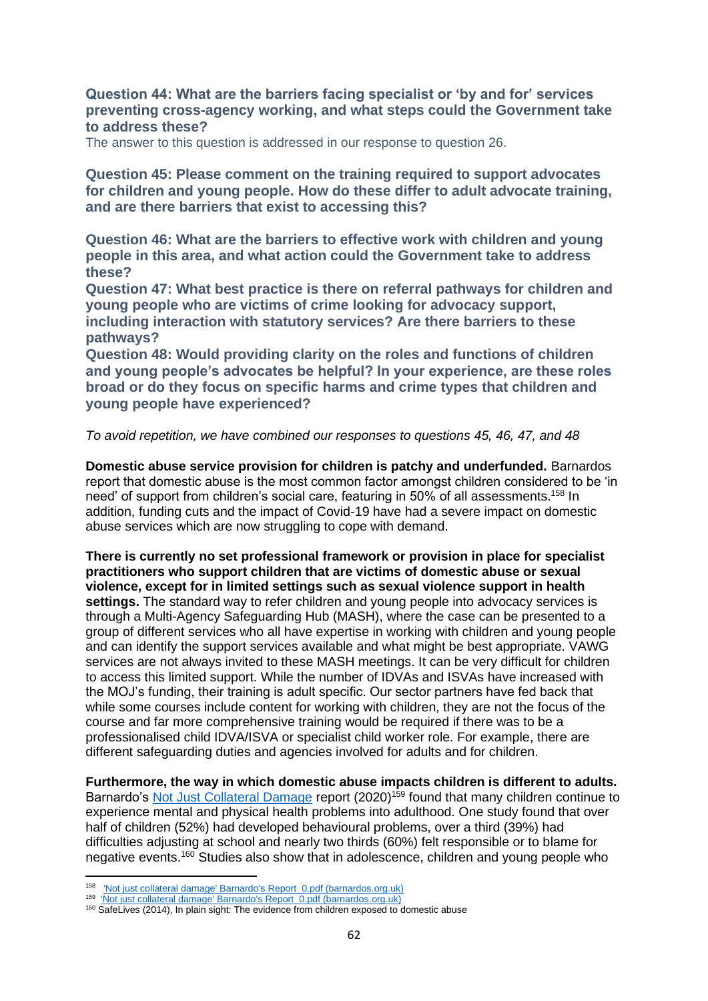# **Question 44: What are the barriers facing specialist or 'by and for' services preventing cross-agency working, and what steps could the Government take to address these?**

The answer to this question is addressed in our response to question 26.

**Question 45: Please comment on the training required to support advocates for children and young people. How do these differ to adult advocate training, and are there barriers that exist to accessing this?** 

**Question 46: What are the barriers to effective work with children and young people in this area, and what action could the Government take to address these?**

**Question 47: What best practice is there on referral pathways for children and young people who are victims of crime looking for advocacy support, including interaction with statutory services? Are there barriers to these pathways?**

**Question 48: Would providing clarity on the roles and functions of children and young people's advocates be helpful? In your experience, are these roles broad or do they focus on specific harms and crime types that children and young people have experienced?**

#### *To avoid repetition, we have combined our responses to questions 45, 46, 47, and 48*

**Domestic abuse service provision for children is patchy and underfunded.** Barnardos report that domestic abuse is the most common factor amongst children considered to be 'in need' of support from children's social care, featuring in 50% of all assessments.<sup>158</sup> In addition, funding cuts and the impact of Covid-19 have had a severe impact on domestic abuse services which are now struggling to cope with demand.

**There is currently no set professional framework or provision in place for specialist practitioners who support children that are victims of domestic abuse or sexual violence, except for in limited settings such as sexual violence support in health settings.** The standard way to refer children and young people into advocacy services is through a Multi-Agency Safeguarding Hub (MASH), where the case can be presented to a group of different services who all have expertise in working with children and young people and can identify the support services available and what might be best appropriate. VAWG services are not always invited to these MASH meetings. It can be very difficult for children to access this limited support. While the number of IDVAs and ISVAs have increased with the MOJ's funding, their training is adult specific. Our sector partners have fed back that while some courses include content for working with children, they are not the focus of the course and far more comprehensive training would be required if there was to be a professionalised child IDVA/ISVA or specialist child worker role. For example, there are different safeguarding duties and agencies involved for adults and for children.

**Furthermore, the way in which domestic abuse impacts children is different to adults.**  Barnardo's [Not Just Collateral Damage](https://www.barnardos.org.uk/sites/default/files/uploads/) report (2020)<sup>159</sup> found that many children continue to experience mental and physical health problems into adulthood. One study found that over half of children (52%) had developed behavioural problems, over a third (39%) had difficulties adjusting at school and nearly two thirds (60%) felt responsible or to blame for negative events.<sup>160</sup> Studies also show that in adolescence, children and young people who

<sup>158</sup> **['Not just collateral damage' Barnardo's Report\\_0.pdf \(barnardos.org.uk\)](https://www.barnardos.org.uk/sites/default/files/uploads/)** 

<sup>&</sup>lt;sup>159</sup> ['Not just collateral damage' Barnardo's Report\\_0.pdf \(barnardos.org.uk\)](https://www.barnardos.org.uk/sites/default/files/uploads/)

<sup>160</sup> SafeLives (2014), In plain sight: The evidence from children exposed to domestic abuse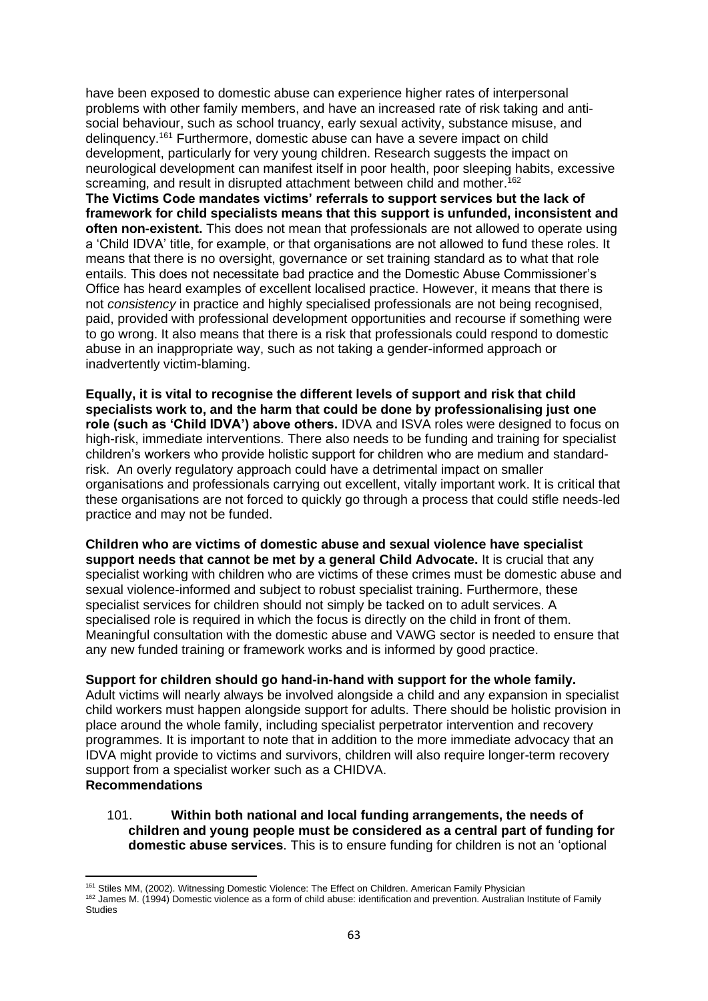have been exposed to domestic abuse can experience higher rates of interpersonal problems with other family members, and have an increased rate of risk taking and antisocial behaviour, such as school truancy, early sexual activity, substance misuse, and delinquency. <sup>161</sup> Furthermore, domestic abuse can have a severe impact on child development, particularly for very young children. Research suggests the impact on neurological development can manifest itself in poor health, poor sleeping habits, excessive screaming, and result in disrupted attachment between child and mother.<sup>162</sup>

**The Victims Code mandates victims' referrals to support services but the lack of framework for child specialists means that this support is unfunded, inconsistent and often non-existent.** This does not mean that professionals are not allowed to operate using a 'Child IDVA' title, for example, or that organisations are not allowed to fund these roles. It means that there is no oversight, governance or set training standard as to what that role entails. This does not necessitate bad practice and the Domestic Abuse Commissioner's Office has heard examples of excellent localised practice. However, it means that there is not *consistency* in practice and highly specialised professionals are not being recognised, paid, provided with professional development opportunities and recourse if something were to go wrong. It also means that there is a risk that professionals could respond to domestic abuse in an inappropriate way, such as not taking a gender-informed approach or inadvertently victim-blaming.

**Equally, it is vital to recognise the different levels of support and risk that child specialists work to, and the harm that could be done by professionalising just one role (such as 'Child IDVA') above others.** IDVA and ISVA roles were designed to focus on high-risk, immediate interventions. There also needs to be funding and training for specialist children's workers who provide holistic support for children who are medium and standardrisk. An overly regulatory approach could have a detrimental impact on smaller organisations and professionals carrying out excellent, vitally important work. It is critical that these organisations are not forced to quickly go through a process that could stifle needs-led practice and may not be funded.

**Children who are victims of domestic abuse and sexual violence have specialist support needs that cannot be met by a general Child Advocate.** It is crucial that any specialist working with children who are victims of these crimes must be domestic abuse and sexual violence-informed and subject to robust specialist training. Furthermore, these specialist services for children should not simply be tacked on to adult services. A specialised role is required in which the focus is directly on the child in front of them. Meaningful consultation with the domestic abuse and VAWG sector is needed to ensure that any new funded training or framework works and is informed by good practice.

#### **Support for children should go hand-in-hand with support for the whole family.**

Adult victims will nearly always be involved alongside a child and any expansion in specialist child workers must happen alongside support for adults. There should be holistic provision in place around the whole family, including specialist perpetrator intervention and recovery programmes. It is important to note that in addition to the more immediate advocacy that an IDVA might provide to victims and survivors, children will also require longer-term recovery support from a specialist worker such as a CHIDVA. **Recommendations**

### 101. **Within both national and local funding arrangements, the needs of children and young people must be considered as a central part of funding for domestic abuse services**. This is to ensure funding for children is not an 'optional

<sup>161</sup> Stiles MM, (2002). Witnessing Domestic Violence: The Effect on Children. American Family Physician

<sup>162</sup> James M. (1994) Domestic violence as a form of child abuse: identification and prevention. Australian Institute of Family **Studies**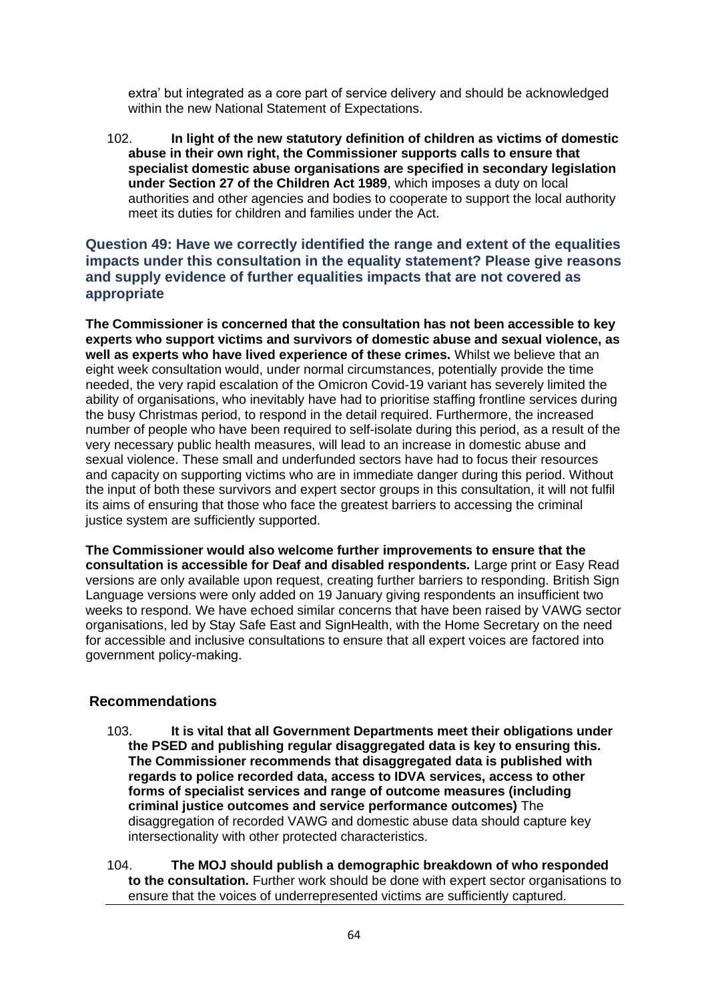extra' but integrated as a core part of service delivery and should be acknowledged within the new National Statement of Expectations.

102. **In light of the new statutory definition of children as victims of domestic abuse in their own right, the Commissioner supports calls to ensure that specialist domestic abuse organisations are specified in secondary legislation under Section 27 of the Children Act 1989**, which imposes a duty on local authorities and other agencies and bodies to cooperate to support the local authority meet its duties for children and families under the Act.

# **Question 49: Have we correctly identified the range and extent of the equalities impacts under this consultation in the equality statement? Please give reasons and supply evidence of further equalities impacts that are not covered as appropriate**

**The Commissioner is concerned that the consultation has not been accessible to key experts who support victims and survivors of domestic abuse and sexual violence, as well as experts who have lived experience of these crimes.** Whilst we believe that an eight week consultation would, under normal circumstances, potentially provide the time needed, the very rapid escalation of the Omicron Covid-19 variant has severely limited the ability of organisations, who inevitably have had to prioritise staffing frontline services during the busy Christmas period, to respond in the detail required. Furthermore, the increased number of people who have been required to self-isolate during this period, as a result of the very necessary public health measures, will lead to an increase in domestic abuse and sexual violence. These small and underfunded sectors have had to focus their resources and capacity on supporting victims who are in immediate danger during this period. Without the input of both these survivors and expert sector groups in this consultation, it will not fulfil its aims of ensuring that those who face the greatest barriers to accessing the criminal justice system are sufficiently supported.

**The Commissioner would also welcome further improvements to ensure that the consultation is accessible for Deaf and disabled respondents.** Large print or Easy Read versions are only available upon request, creating further barriers to responding. British Sign Language versions were only added on 19 January giving respondents an insufficient two weeks to respond. We have echoed similar concerns that have been raised by VAWG sector organisations, led by Stay Safe East and SignHealth, with the Home Secretary on the need for accessible and inclusive consultations to ensure that all expert voices are factored into government policy-making.  

# **Recommendations**

103. **It is vital that all Government Departments meet their obligations under the PSED and publishing regular disaggregated data is key to ensuring this. The Commissioner recommends that disaggregated data is published with regards to police recorded data, access to IDVA services, access to other forms of specialist services and range of outcome measures (including criminal justice outcomes and service performance outcomes)** The disaggregation of recorded VAWG and domestic abuse data should capture key intersectionality with other protected characteristics.

104. **The MOJ should publish a demographic breakdown of who responded to the consultation.** Further work should be done with expert sector organisations to ensure that the voices of underrepresented victims are sufficiently captured.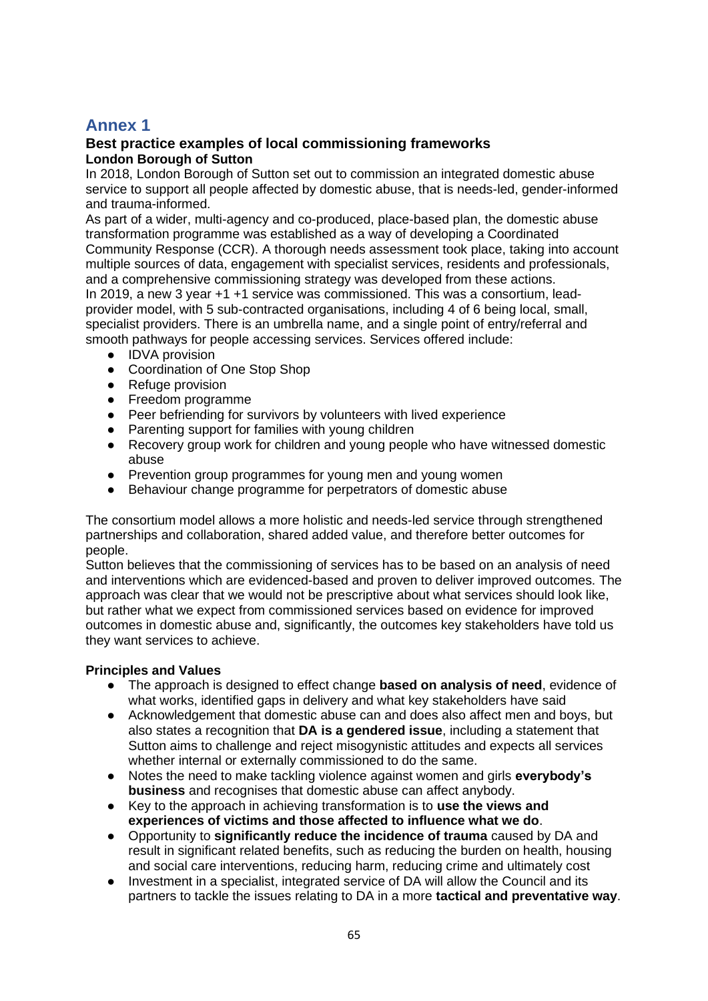# **Annex 1**

# **Best practice examples of local commissioning frameworks London Borough of Sutton**

In 2018, London Borough of Sutton set out to commission an integrated domestic abuse service to support all people affected by domestic abuse, that is needs-led, gender-informed and trauma-informed.

As part of a wider, multi-agency and co-produced, place-based plan, the domestic abuse transformation programme was established as a way of developing a Coordinated Community Response (CCR). A thorough needs assessment took place, taking into account multiple sources of data, engagement with specialist services, residents and professionals, and a comprehensive commissioning strategy was developed from these actions. In 2019, a new 3 year +1 +1 service was commissioned. This was a consortium, leadprovider model, with 5 sub-contracted organisations, including 4 of 6 being local, small, specialist providers. There is an umbrella name, and a single point of entry/referral and smooth pathways for people accessing services. Services offered include:

- IDVA provision
- Coordination of One Stop Shop
- Refuge provision
- Freedom programme
- Peer befriending for survivors by volunteers with lived experience
- Parenting support for families with young children
- Recovery group work for children and young people who have witnessed domestic abuse
- Prevention group programmes for young men and young women
- Behaviour change programme for perpetrators of domestic abuse

The consortium model allows a more holistic and needs-led service through strengthened partnerships and collaboration, shared added value, and therefore better outcomes for people.

Sutton believes that the commissioning of services has to be based on an analysis of need and interventions which are evidenced-based and proven to deliver improved outcomes. The approach was clear that we would not be prescriptive about what services should look like, but rather what we expect from commissioned services based on evidence for improved outcomes in domestic abuse and, significantly, the outcomes key stakeholders have told us they want services to achieve.

## **Principles and Values**

- The approach is designed to effect change **based on analysis of need**, evidence of what works, identified gaps in delivery and what key stakeholders have said
- Acknowledgement that domestic abuse can and does also affect men and boys, but also states a recognition that **DA is a gendered issue**, including a statement that Sutton aims to challenge and reject misogynistic attitudes and expects all services whether internal or externally commissioned to do the same.
- Notes the need to make tackling violence against women and girls **everybody's business** and recognises that domestic abuse can affect anybody.
- Key to the approach in achieving transformation is to **use the views and experiences of victims and those affected to influence what we do**.
- Opportunity to **significantly reduce the incidence of trauma** caused by DA and result in significant related benefits, such as reducing the burden on health, housing and social care interventions, reducing harm, reducing crime and ultimately cost
- Investment in a specialist, integrated service of DA will allow the Council and its partners to tackle the issues relating to DA in a more **tactical and preventative way**.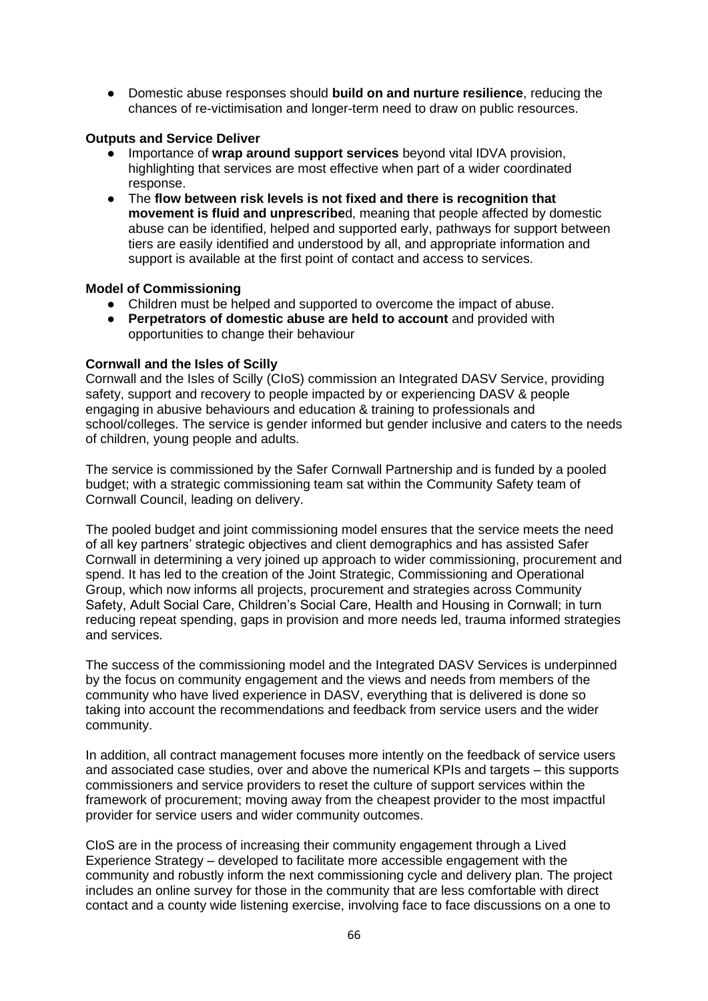● Domestic abuse responses should **build on and nurture resilience**, reducing the chances of re-victimisation and longer-term need to draw on public resources.

# **Outputs and Service Deliver**

- Importance of **wrap around support services** beyond vital IDVA provision, highlighting that services are most effective when part of a wider coordinated response.
- The **flow between risk levels is not fixed and there is recognition that movement is fluid and unprescribe**d, meaning that people affected by domestic abuse can be identified, helped and supported early, pathways for support between tiers are easily identified and understood by all, and appropriate information and support is available at the first point of contact and access to services.

## **Model of Commissioning**

- Children must be helped and supported to overcome the impact of abuse.
- **Perpetrators of domestic abuse are held to account** and provided with opportunities to change their behaviour

## **Cornwall and the Isles of Scilly**

Cornwall and the Isles of Scilly (CIoS) commission an Integrated DASV Service, providing safety, support and recovery to people impacted by or experiencing DASV & people engaging in abusive behaviours and education & training to professionals and school/colleges. The service is gender informed but gender inclusive and caters to the needs of children, young people and adults.

The service is commissioned by the Safer Cornwall Partnership and is funded by a pooled budget; with a strategic commissioning team sat within the Community Safety team of Cornwall Council, leading on delivery.

The pooled budget and joint commissioning model ensures that the service meets the need of all key partners' strategic objectives and client demographics and has assisted Safer Cornwall in determining a very joined up approach to wider commissioning, procurement and spend. It has led to the creation of the Joint Strategic, Commissioning and Operational Group, which now informs all projects, procurement and strategies across Community Safety, Adult Social Care, Children's Social Care, Health and Housing in Cornwall; in turn reducing repeat spending, gaps in provision and more needs led, trauma informed strategies and services.

The success of the commissioning model and the Integrated DASV Services is underpinned by the focus on community engagement and the views and needs from members of the community who have lived experience in DASV, everything that is delivered is done so taking into account the recommendations and feedback from service users and the wider community.

In addition, all contract management focuses more intently on the feedback of service users and associated case studies, over and above the numerical KPIs and targets – this supports commissioners and service providers to reset the culture of support services within the framework of procurement; moving away from the cheapest provider to the most impactful provider for service users and wider community outcomes.

CIoS are in the process of increasing their community engagement through a Lived Experience Strategy – developed to facilitate more accessible engagement with the community and robustly inform the next commissioning cycle and delivery plan. The project includes an online survey for those in the community that are less comfortable with direct contact and a county wide listening exercise, involving face to face discussions on a one to